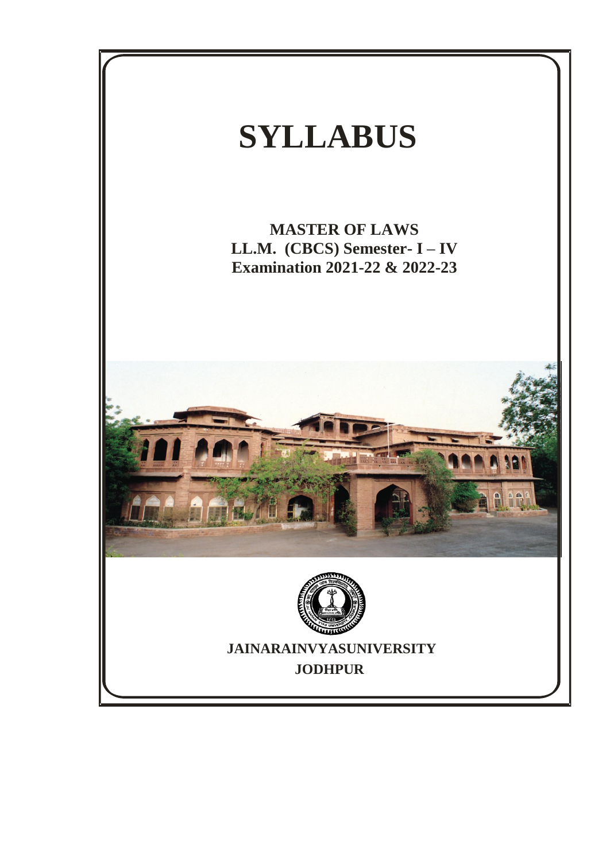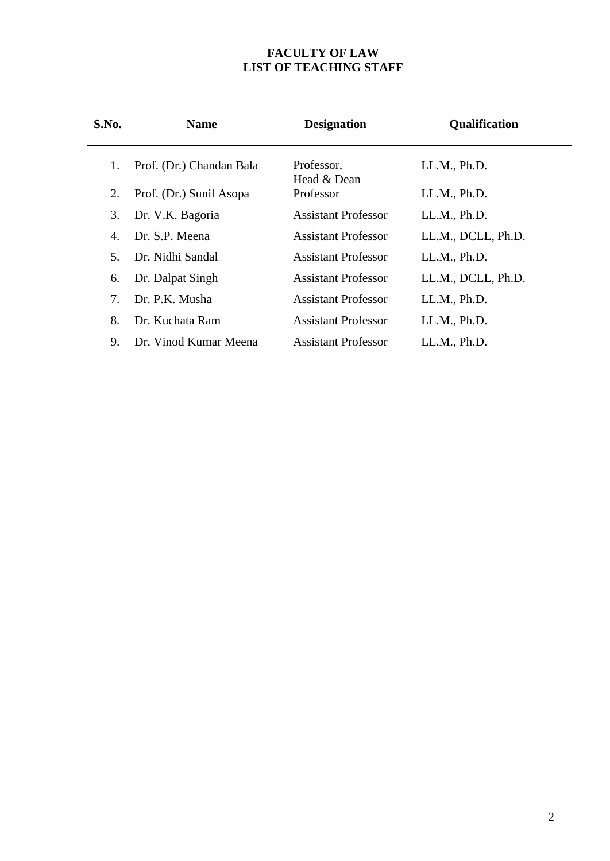#### **FACULTY OF LAW LIST OF TEACHING STAFF**

| S.No. | <b>Name</b>              | <b>Designation</b>         |                    |
|-------|--------------------------|----------------------------|--------------------|
| 1.    | Prof. (Dr.) Chandan Bala | Professor,<br>Head & Dean  | LL.M., Ph.D.       |
| 2.    | Prof. (Dr.) Sunil Asopa  | Professor                  | LL.M., Ph.D.       |
| 3.    | Dr. V.K. Bagoria         | <b>Assistant Professor</b> | LL.M., Ph.D.       |
| 4.    | Dr. S.P. Meena           | <b>Assistant Professor</b> | LL.M., DCLL, Ph.D. |
| 5.    | Dr. Nidhi Sandal         | <b>Assistant Professor</b> | LL.M., Ph.D.       |
| 6.    | Dr. Dalpat Singh         | <b>Assistant Professor</b> | LL.M., DCLL, Ph.D. |
| 7.    | Dr. P.K. Musha           | <b>Assistant Professor</b> | LL.M., Ph.D.       |
| 8.    | Dr. Kuchata Ram          | Assistant Professor        | LL.M., Ph.D.       |
| 9.    | Dr. Vinod Kumar Meena    | <b>Assistant Professor</b> | LL.M., Ph.D.       |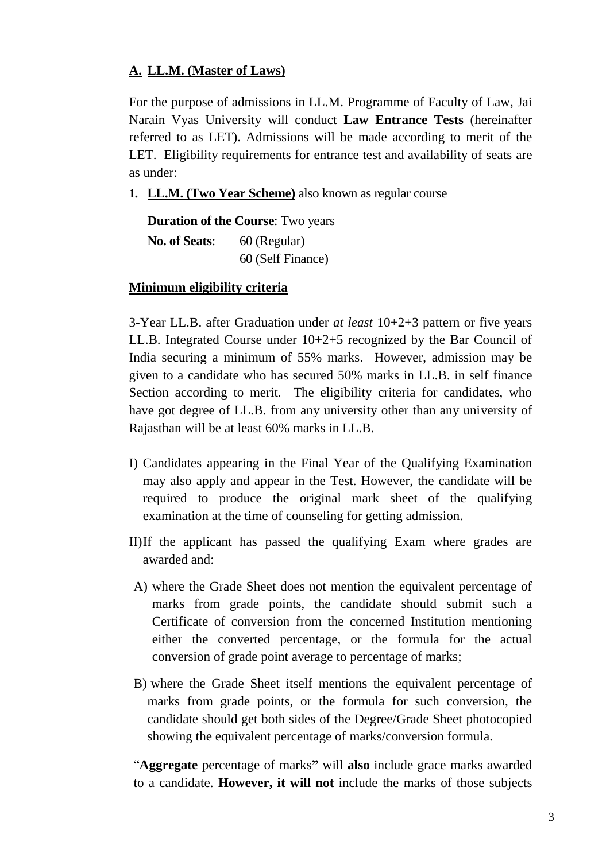# **A. LL.M. (Master of Laws)**

For the purpose of admissions in LL.M. Programme of Faculty of Law, Jai Narain Vyas University will conduct **Law Entrance Tests** (hereinafter referred to as LET). Admissions will be made according to merit of the LET. Eligibility requirements for entrance test and availability of seats are as under:

**1. LL.M. (Two Year Scheme)** also known as regular course

**Duration of the Course**: Two years **No. of Seats:** 60 (Regular) 60 (Self Finance)

# **Minimum eligibility criteria**

3-Year LL.B. after Graduation under *at least* 10+2+3 pattern or five years LL.B. Integrated Course under 10+2+5 recognized by the Bar Council of India securing a minimum of 55% marks. However, admission may be given to a candidate who has secured 50% marks in LL.B. in self finance Section according to merit. The eligibility criteria for candidates, who have got degree of LL.B. from any university other than any university of Rajasthan will be at least 60% marks in LL.B.

- I) Candidates appearing in the Final Year of the Qualifying Examination may also apply and appear in the Test. However, the candidate will be required to produce the original mark sheet of the qualifying examination at the time of counseling for getting admission.
- II)If the applicant has passed the qualifying Exam where grades are awarded and:
- A) where the Grade Sheet does not mention the equivalent percentage of marks from grade points, the candidate should submit such a Certificate of conversion from the concerned Institution mentioning either the converted percentage, or the formula for the actual conversion of grade point average to percentage of marks;
- B) where the Grade Sheet itself mentions the equivalent percentage of marks from grade points, or the formula for such conversion, the candidate should get both sides of the Degree/Grade Sheet photocopied showing the equivalent percentage of marks/conversion formula.

"**Aggregate** percentage of marks**"** will **also** include grace marks awarded to a candidate. **However, it will not** include the marks of those subjects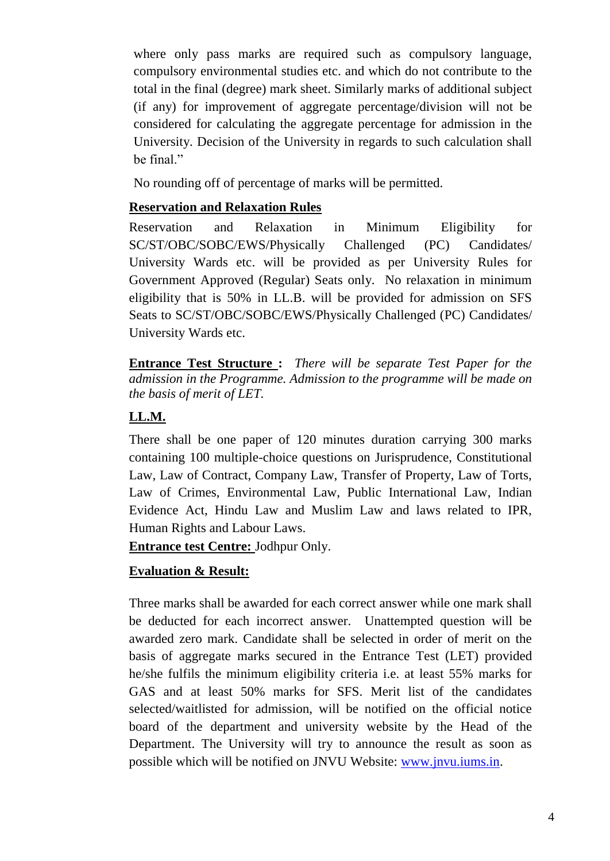where only pass marks are required such as compulsory language, compulsory environmental studies etc. and which do not contribute to the total in the final (degree) mark sheet. Similarly marks of additional subject (if any) for improvement of aggregate percentage/division will not be considered for calculating the aggregate percentage for admission in the University. Decision of the University in regards to such calculation shall be final."

No rounding off of percentage of marks will be permitted.

# **Reservation and Relaxation Rules**

Reservation and Relaxation in Minimum Eligibility for SC/ST/OBC/SOBC/EWS/Physically Challenged (PC) Candidates/ University Wards etc. will be provided as per University Rules for Government Approved (Regular) Seats only. No relaxation in minimum eligibility that is 50% in LL.B. will be provided for admission on SFS Seats to SC/ST/OBC/SOBC/EWS/Physically Challenged (PC) Candidates/ University Wards etc.

**Entrance Test Structure :** *There will be separate Test Paper for the admission in the Programme. Admission to the programme will be made on the basis of merit of LET.* 

# **LL.M.**

There shall be one paper of 120 minutes duration carrying 300 marks containing 100 multiple-choice questions on Jurisprudence, Constitutional Law, Law of Contract, Company Law, Transfer of Property, Law of Torts, Law of Crimes, Environmental Law, Public International Law, Indian Evidence Act, Hindu Law and Muslim Law and laws related to IPR, Human Rights and Labour Laws.

**Entrance test Centre:** Jodhpur Only.

# **Evaluation & Result:**

Three marks shall be awarded for each correct answer while one mark shall be deducted for each incorrect answer. Unattempted question will be awarded zero mark. Candidate shall be selected in order of merit on the basis of aggregate marks secured in the Entrance Test (LET) provided he/she fulfils the minimum eligibility criteria i.e. at least 55% marks for GAS and at least 50% marks for SFS. Merit list of the candidates selected/waitlisted for admission, will be notified on the official notice board of the department and university website by the Head of the Department. The University will try to announce the result as soon as possible which will be notified on JNVU Website: [www.jnvu.iums.in.](http://www.jnvu.iums.in/)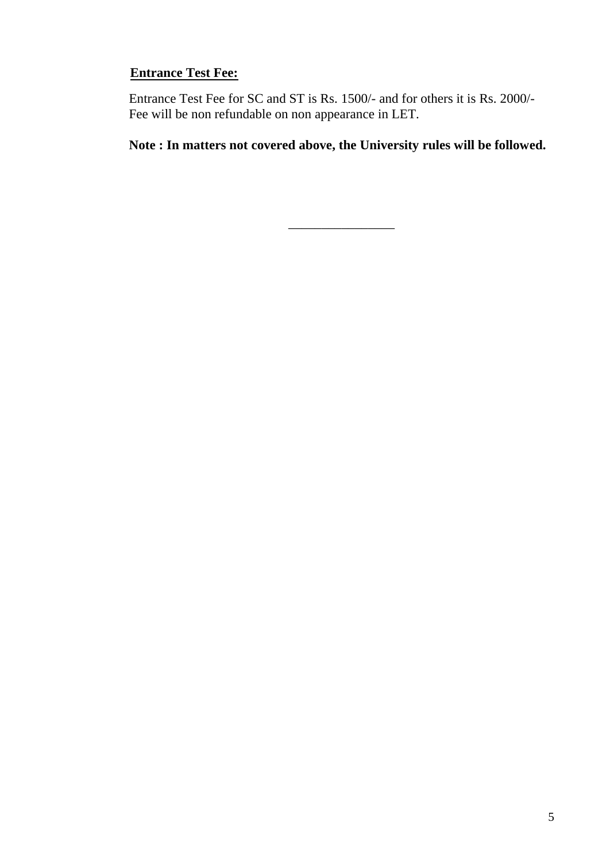# **Entrance Test Fee:**

Entrance Test Fee for SC and ST is Rs. 1500/- and for others it is Rs. 2000/- Fee will be non refundable on non appearance in LET.

**Note : In matters not covered above, the University rules will be followed.**

\_\_\_\_\_\_\_\_\_\_\_\_\_\_\_\_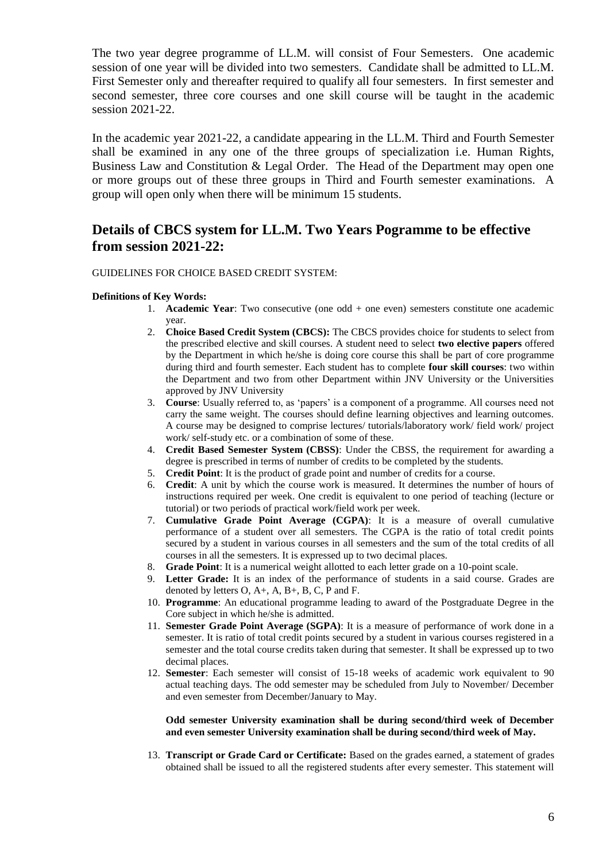The two year degree programme of LL.M. will consist of Four Semesters. One academic session of one year will be divided into two semesters. Candidate shall be admitted to LL.M. First Semester only and thereafter required to qualify all four semesters. In first semester and second semester, three core courses and one skill course will be taught in the academic session 2021-22.

In the academic year 2021-22, a candidate appearing in the LL.M. Third and Fourth Semester shall be examined in any one of the three groups of specialization i.e. Human Rights, Business Law and Constitution & Legal Order. The Head of the Department may open one or more groups out of these three groups in Third and Fourth semester examinations. A group will open only when there will be minimum 15 students.

# **Details of CBCS system for LL.M. Two Years Pogramme to be effective from session 2021-22:**

#### GUIDELINES FOR CHOICE BASED CREDIT SYSTEM:

#### **Definitions of Key Words:**

- 1. **Academic Year**: Two consecutive (one odd + one even) semesters constitute one academic year.
- 2. **Choice Based Credit System (CBCS):** The CBCS provides choice for students to select from the prescribed elective and skill courses. A student need to select **two elective papers** offered by the Department in which he/she is doing core course this shall be part of core programme during third and fourth semester. Each student has to complete **four skill courses**: two within the Department and two from other Department within JNV University or the Universities approved by JNV University
- 3. **Course**: Usually referred to, as 'papers' is a component of a programme. All courses need not carry the same weight. The courses should define learning objectives and learning outcomes. A course may be designed to comprise lectures/ tutorials/laboratory work/ field work/ project work/ self-study etc. or a combination of some of these.
- 4. **Credit Based Semester System (CBSS)**: Under the CBSS, the requirement for awarding a degree is prescribed in terms of number of credits to be completed by the students.
- 5. **Credit Point**: It is the product of grade point and number of credits for a course.
- 6. **Credit**: A unit by which the course work is measured. It determines the number of hours of instructions required per week. One credit is equivalent to one period of teaching (lecture or tutorial) or two periods of practical work/field work per week.
- 7. **Cumulative Grade Point Average (CGPA)**: It is a measure of overall cumulative performance of a student over all semesters. The CGPA is the ratio of total credit points secured by a student in various courses in all semesters and the sum of the total credits of all courses in all the semesters. It is expressed up to two decimal places.
- 8. **Grade Point**: It is a numerical weight allotted to each letter grade on a 10-point scale.
- 9. **Letter Grade:** It is an index of the performance of students in a said course. Grades are denoted by letters  $O$ ,  $A+$ ,  $A$ ,  $B+$ ,  $B$ ,  $C$ ,  $P$  and  $F$ .
- 10. **Programme**: An educational programme leading to award of the Postgraduate Degree in the Core subject in which he/she is admitted.
- 11. **Semester Grade Point Average (SGPA)**: It is a measure of performance of work done in a semester. It is ratio of total credit points secured by a student in various courses registered in a semester and the total course credits taken during that semester. It shall be expressed up to two decimal places.
- 12. **Semester**: Each semester will consist of 15-18 weeks of academic work equivalent to 90 actual teaching days. The odd semester may be scheduled from July to November/ December and even semester from December/January to May.

#### **Odd semester University examination shall be during second/third week of December and even semester University examination shall be during second/third week of May.**

13. **Transcript or Grade Card or Certificate:** Based on the grades earned, a statement of grades obtained shall be issued to all the registered students after every semester. This statement will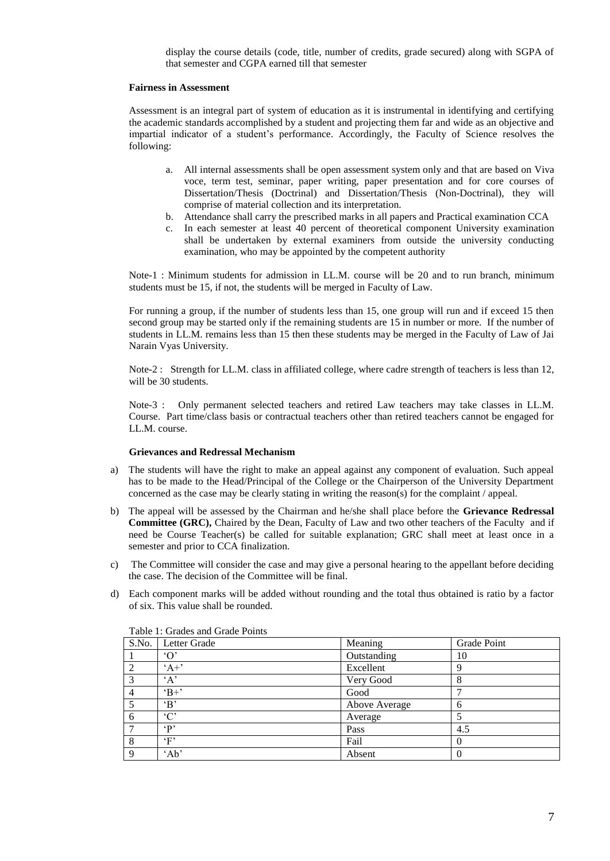display the course details (code, title, number of credits, grade secured) along with SGPA of that semester and CGPA earned till that semester

#### **Fairness in Assessment**

Assessment is an integral part of system of education as it is instrumental in identifying and certifying the academic standards accomplished by a student and projecting them far and wide as an objective and impartial indicator of a student's performance. Accordingly, the Faculty of Science resolves the following:

- a. All internal assessments shall be open assessment system only and that are based on Viva voce, term test, seminar, paper writing, paper presentation and for core courses of Dissertation/Thesis (Doctrinal) and Dissertation/Thesis (Non-Doctrinal), they will comprise of material collection and its interpretation.
- b. Attendance shall carry the prescribed marks in all papers and Practical examination CCA
- c. In each semester at least 40 percent of theoretical component University examination shall be undertaken by external examiners from outside the university conducting examination, who may be appointed by the competent authority

Note-1 : Minimum students for admission in LL.M. course will be 20 and to run branch, minimum students must be 15, if not, the students will be merged in Faculty of Law.

For running a group, if the number of students less than 15, one group will run and if exceed 15 then second group may be started only if the remaining students are 15 in number or more. If the number of students in LL.M. remains less than 15 then these students may be merged in the Faculty of Law of Jai Narain Vyas University.

Note-2 : Strength for LL.M. class in affiliated college, where cadre strength of teachers is less than 12, will be 30 students.

Note-3 : Only permanent selected teachers and retired Law teachers may take classes in LL.M. Course. Part time/class basis or contractual teachers other than retired teachers cannot be engaged for LL.M. course.

#### **Grievances and Redressal Mechanism**

- a) The students will have the right to make an appeal against any component of evaluation. Such appeal has to be made to the Head/Principal of the College or the Chairperson of the University Department concerned as the case may be clearly stating in writing the reason(s) for the complaint / appeal.
- b) The appeal will be assessed by the Chairman and he/she shall place before the **Grievance Redressal Committee (GRC),** Chaired by the Dean, Faculty of Law and two other teachers of the Faculty and if need be Course Teacher(s) be called for suitable explanation; GRC shall meet at least once in a semester and prior to CCA finalization.
- c) The Committee will consider the case and may give a personal hearing to the appellant before deciding the case. The decision of the Committee will be final.
- d) Each component marks will be added without rounding and the total thus obtained is ratio by a factor of six. This value shall be rounded.

| S.No.        | Letter Grade | Meaning       | Grade Point  |
|--------------|--------------|---------------|--------------|
|              | $\Omega$     | Outstanding   | 10           |
|              | $A +$        | Excellent     | 9            |
| 3            | $\Delta$     | Very Good     | 8            |
| 4            | $B+$         | Good          |              |
|              | $\cdot$ B    | Above Average | 6            |
| 6            | $\cdot$ C'   | Average       |              |
|              | $\cdot$ p    | Pass          | 4.5          |
|              | $\cdot_F$    | Fail          | $\mathbf{0}$ |
| <sup>Q</sup> | 'Ab'         | Absent        |              |

Table 1: Grades and Grade Points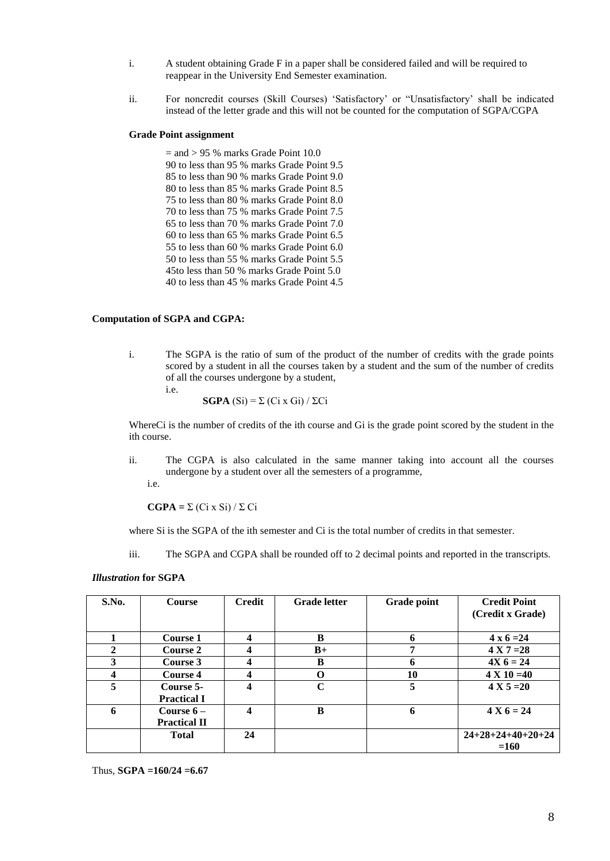- i. A student obtaining Grade F in a paper shall be considered failed and will be required to reappear in the University End Semester examination.
- ii. For noncredit courses (Skill Courses) 'Satisfactory' or "Unsatisfactory' shall be indicated instead of the letter grade and this will not be counted for the computation of SGPA/CGPA

#### **Grade Point assignment**

 $=$  and  $> 95$  % marks Grade Point 10.0 90 to less than 95 % marks Grade Point 9.5 85 to less than 90 % marks Grade Point 9.0 80 to less than 85 % marks Grade Point 8.5 75 to less than 80 % marks Grade Point 8.0 70 to less than 75 % marks Grade Point 7.5 65 to less than 70 % marks Grade Point 7.0 60 to less than 65 % marks Grade Point 6.5 55 to less than 60 % marks Grade Point 6.0 50 to less than 55 % marks Grade Point 5.5 45to less than 50 % marks Grade Point 5.0 40 to less than 45 % marks Grade Point 4.5

#### **Computation of SGPA and CGPA:**

i. The SGPA is the ratio of sum of the product of the number of credits with the grade points scored by a student in all the courses taken by a student and the sum of the number of credits of all the courses undergone by a student, i.e.

$$
\mathbf{SGPA} \text{ (Si)} = \Sigma \text{ (Ci x Gi)} / \Sigma \text{Ci}
$$

WhereCi is the number of credits of the ith course and Gi is the grade point scored by the student in the ith course.

ii. The CGPA is also calculated in the same manner taking into account all the courses undergone by a student over all the semesters of a programme,

i.e.

**CGPA =** Σ (Ci x Si) / Σ Ci

where Si is the SGPA of the ith semester and Ci is the total number of credits in that semester.

iii. The SGPA and CGPA shall be rounded off to 2 decimal points and reported in the transcripts.

#### *Illustration* **for SGPA**

| S.No. | <b>Course</b>                      | <b>Credit</b> | <b>Grade</b> letter | Grade point | <b>Credit Point</b><br>(Credit x Grade) |
|-------|------------------------------------|---------------|---------------------|-------------|-----------------------------------------|
|       | Course 1                           | 4             | B                   | 6           | $4 \times 6 = 24$                       |
| 2     | <b>Course 2</b>                    | 4             | $B+$                |             | $4 X 7 = 28$                            |
| 3     | Course 3                           | 4             | B                   | 6           | $4X_6 = 24$                             |
| 4     | <b>Course 4</b>                    | 4             | O                   | 10          | $4 X 10 = 40$                           |
| 5     | Course 5-<br><b>Practical I</b>    | 4             | C                   | 5           | $4 X 5 = 20$                            |
| 6     | Course $6-$<br><b>Practical II</b> | 4             | B                   | 6           | $4 X 6 = 24$                            |
|       | <b>Total</b>                       | 24            |                     |             | $24+28+24+40+20+24$                     |
|       |                                    |               |                     |             | $=160$                                  |

Thus, **SGPA =160/24 =6.67**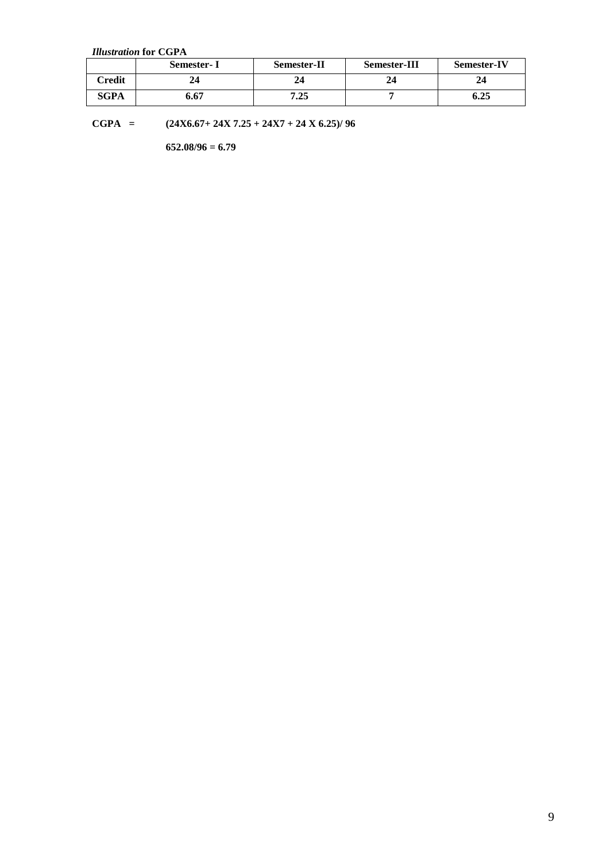*Illustration* **for CGPA**

|             | Semester- I | <b>Semester-II</b> | <b>Semester-III</b> | <b>Semester-IV</b> |
|-------------|-------------|--------------------|---------------------|--------------------|
| Credit      |             | 24                 | 44                  | 24                 |
| <b>SGPA</b> | 6.67        | 7.25               |                     | 6.25               |

**CGPA = (24X6.67+ 24X 7.25 + 24X7 + 24 X 6.25)/ 96**

**652.08/96 = 6.79**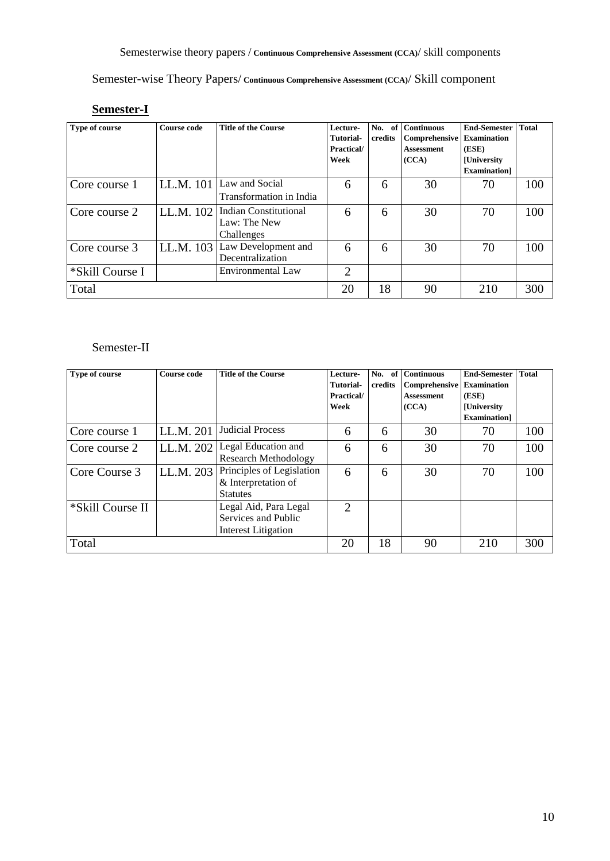Semester-wise Theory Papers/ **Continuous Comprehensive Assessment (CCA)**/ Skill component

# **Semester-I**

| Type of course  | <b>Course code</b> | <b>Title of the Course</b>                                 | Lecture-<br>Tutorial-<br>Practical/<br>Week | No.<br>of<br>credits | <b>Continuous</b><br>Comprehensive<br><b>Assessment</b><br>(CCA) | <b>End-Semester</b><br><b>Examination</b><br>(ESE)<br><b>[University</b><br><b>Examination</b> | <b>Total</b> |
|-----------------|--------------------|------------------------------------------------------------|---------------------------------------------|----------------------|------------------------------------------------------------------|------------------------------------------------------------------------------------------------|--------------|
| Core course 1   | LL.M. 101          | Law and Social<br>Transformation in India                  | 6                                           | 6                    | 30                                                               | 70                                                                                             | 100          |
| Core course 2   | LL.M. 102          | <b>Indian Constitutional</b><br>Law: The New<br>Challenges | 6                                           | 6                    | 30                                                               | 70                                                                                             | 100          |
| Core course 3   | LL.M. 103          | Law Development and<br>Decentralization                    | 6                                           | 6                    | 30                                                               | 70                                                                                             | 100          |
| *Skill Course I |                    | Environmental Law                                          | $\overline{2}$                              |                      |                                                                  |                                                                                                |              |
| Total           |                    |                                                            | 20                                          | 18                   | 90                                                               | 210                                                                                            | 300          |

# Semester-II

| Type of course   | <b>Course code</b> | <b>Title of the Course</b>  | Lecture-                    | No.<br>of | <b>Continuous</b> | <b>End-Semester</b> | <b>Total</b> |
|------------------|--------------------|-----------------------------|-----------------------------|-----------|-------------------|---------------------|--------------|
|                  |                    |                             | <b>Tutorial-</b>            | credits   | Comprehensive     | <b>Examination</b>  |              |
|                  |                    |                             | Practical/                  |           | <b>Assessment</b> | (ESE)               |              |
|                  |                    |                             | Week                        |           | (CCA)             | <b>[University</b>  |              |
|                  |                    |                             |                             |           |                   | <b>Examination</b>  |              |
| Core course 1    | LL.M. 201          | <b>Judicial Process</b>     | 6                           | 6         | 30                | 70                  | 100          |
| Core course 2    | LL.M. 202          | Legal Education and         | 6                           | 6         | 30                | 70                  | 100          |
|                  |                    | <b>Research Methodology</b> |                             |           |                   |                     |              |
| Core Course 3    | LL.M. 203          | Principles of Legislation   | 6                           | 6         | 30                | 70                  | 100          |
|                  |                    | & Interpretation of         |                             |           |                   |                     |              |
|                  |                    | <b>Statutes</b>             |                             |           |                   |                     |              |
| *Skill Course II |                    | Legal Aid, Para Legal       | $\mathcal{D}_{\mathcal{L}}$ |           |                   |                     |              |
|                  |                    | Services and Public         |                             |           |                   |                     |              |
|                  |                    | Interest Litigation         |                             |           |                   |                     |              |
| Total            |                    |                             | 20                          | 18        | 90                | 210                 | 300          |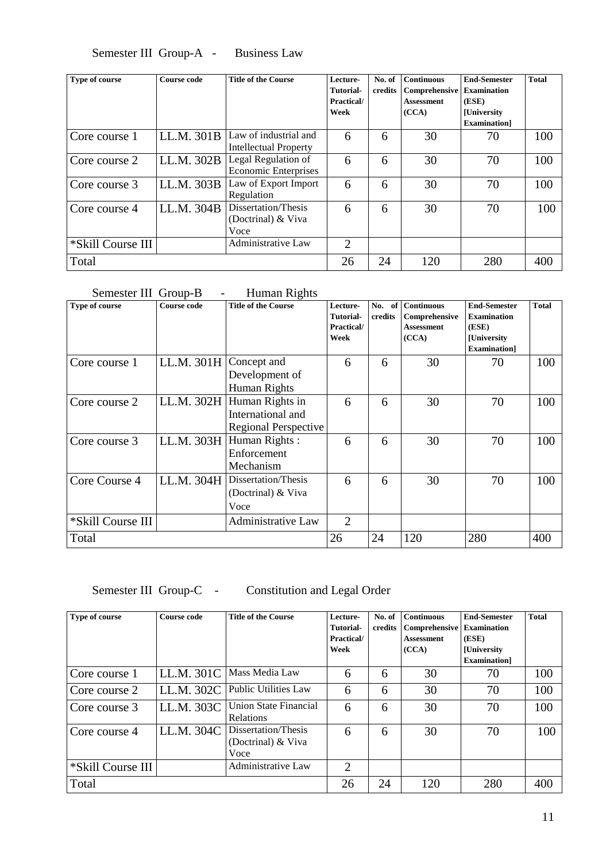Semester III Group-A - Business Law

| Type of course    | <b>Course code</b> | <b>Title of the Course</b>                            | Lecture-<br><b>Tutorial-</b> | No. of<br>credits | <b>Continuous</b><br>Comprehensive | <b>End-Semester</b><br><b>Examination</b> | <b>Total</b> |
|-------------------|--------------------|-------------------------------------------------------|------------------------------|-------------------|------------------------------------|-------------------------------------------|--------------|
|                   |                    |                                                       | Practical/                   |                   | <b>Assessment</b>                  | (ESE)                                     |              |
|                   |                    |                                                       | Week                         |                   | (CCA)                              | <b>[University</b>                        |              |
|                   |                    |                                                       |                              |                   |                                    | <b>Examination</b>                        |              |
| Core course 1     | LL.M. 301B         | Law of industrial and<br><b>Intellectual Property</b> | 6                            | 6                 | 30                                 | 70                                        | 100          |
| Core course 2     | LL.M. 302B         | Legal Regulation of<br><b>Economic Enterprises</b>    | 6                            | 6                 | 30                                 | 70                                        | 100          |
| Core course 3     | LL.M. 303B         | Law of Export Import<br>Regulation                    | 6                            | 6                 | 30                                 | 70                                        | 100          |
| Core course 4     | LL.M. 304B         | Dissertation/Thesis<br>(Doctrinal) & Viva<br>Voce     | 6                            | 6                 | 30                                 | 70                                        | 100          |
| *Skill Course III |                    | <b>Administrative Law</b>                             | $\overline{2}$               |                   |                                    |                                           |              |
| Total             |                    |                                                       | 26                           | 24                | 120                                | 280                                       | 400          |

# Semester III Group-B - Human Rights

| Type of course    | Course code              | <b>Title of the Course</b>  | Lecture-   | No.<br>of | <b>Continuous</b> | <b>End-Semester</b> | <b>Total</b> |
|-------------------|--------------------------|-----------------------------|------------|-----------|-------------------|---------------------|--------------|
|                   |                          |                             | Tutorial-  | credits   | Comprehensive     | <b>Examination</b>  |              |
|                   |                          |                             | Practical/ |           | <b>Assessment</b> | (ESE)               |              |
|                   |                          |                             | Week       |           | (CCA)             | [University         |              |
|                   |                          |                             |            |           |                   | Examination]        |              |
| Core course 1     | LL.M. $301H$ Concept and |                             | 6          | 6         | 30                | 70                  | 100          |
|                   |                          | Development of              |            |           |                   |                     |              |
|                   |                          | Human Rights                |            |           |                   |                     |              |
| Core course 2     | LL.M. 302H               | Human Rights in             | 6          | 6         | 30                | 70                  | 100          |
|                   |                          | International and           |            |           |                   |                     |              |
|                   |                          | <b>Regional Perspective</b> |            |           |                   |                     |              |
| Core course 3     | LL.M. 303H               | Human Rights:               | 6          | 6         | 30                | 70                  | 100          |
|                   |                          | Enforcement                 |            |           |                   |                     |              |
|                   |                          | Mechanism                   |            |           |                   |                     |              |
| Core Course 4     | LL.M. 304H               | Dissertation/Thesis         | 6          | 6         | 30                | 70                  | 100          |
|                   |                          | (Doctrinal) & Viva          |            |           |                   |                     |              |
|                   |                          | Voce                        |            |           |                   |                     |              |
| *Skill Course III |                          | Administrative Law          | 2          |           |                   |                     |              |
| Total             |                          |                             | 26         | 24        | 120               | 280                 | 400          |

Semester III Group-C - Constitution and Legal Order

| Type of course    | Course code | <b>Title of the Course</b>                        | Lecture-<br>Tutorial-<br><b>Practical/</b><br>Week | No. of<br>credits | <b>Continuous</b><br><b>Comprehensive</b><br><b>Assessment</b><br>(CCA) | <b>End-Semester</b><br><b>Examination</b><br>(ESE)<br><b>[University</b><br><b>Examination</b> | <b>Total</b> |
|-------------------|-------------|---------------------------------------------------|----------------------------------------------------|-------------------|-------------------------------------------------------------------------|------------------------------------------------------------------------------------------------|--------------|
| Core course 1     | LL.M. 301C  | Mass Media Law                                    | 6                                                  | 6                 | 30                                                                      | 70                                                                                             | 100          |
| Core course 2     | LL.M. 302C  | <b>Public Utilities Law</b>                       | 6                                                  | 6                 | 30                                                                      | 70                                                                                             | 100          |
| Core course 3     | LL.M. 303C  | Union State Financial<br><b>Relations</b>         | 6                                                  | 6                 | 30                                                                      | 70                                                                                             | 100          |
| Core course 4     | LL.M. 304C  | Dissertation/Thesis<br>(Doctrinal) & Viva<br>Voce | 6                                                  | 6                 | 30                                                                      | 70                                                                                             | 100          |
| *Skill Course III |             | <b>Administrative Law</b>                         | $\overline{2}$                                     |                   |                                                                         |                                                                                                |              |
| Total             |             |                                                   | 26                                                 | 24                | 120                                                                     | 280                                                                                            | 400          |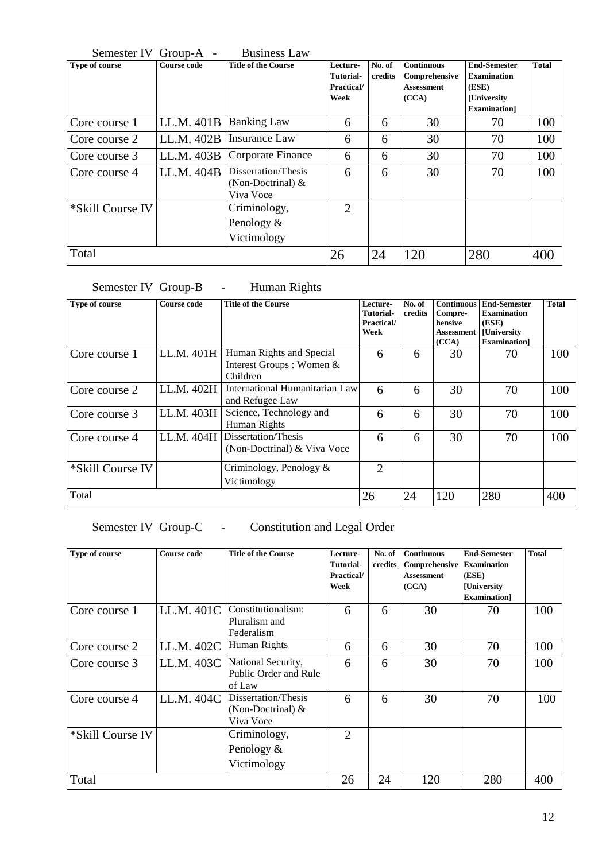| Semester IV Group-A - |                    | <b>Business Law</b>                                     |                                                    |                   |                                                                  |                                                                                                |              |
|-----------------------|--------------------|---------------------------------------------------------|----------------------------------------------------|-------------------|------------------------------------------------------------------|------------------------------------------------------------------------------------------------|--------------|
| Type of course        | <b>Course code</b> | <b>Title of the Course</b>                              | Lecture-<br><b>Tutorial-</b><br>Practical/<br>Week | No. of<br>credits | <b>Continuous</b><br>Comprehensive<br><b>Assessment</b><br>(CCA) | <b>End-Semester</b><br><b>Examination</b><br>(ESE)<br><b>[University</b><br><b>Examination</b> | <b>Total</b> |
| Core course 1         | LL.M. $401B$       | <b>Banking Law</b>                                      | 6                                                  | 6                 | 30                                                               | 70                                                                                             | 100          |
| Core course 2         | LL.M. $402B$       | Insurance Law                                           | 6                                                  | 6                 | 30                                                               | 70                                                                                             | 100          |
| Core course 3         | LL.M. $403B$       | Corporate Finance                                       | 6                                                  | 6                 | 30                                                               | 70                                                                                             | 100          |
| Core course 4         | LL.M. 404B         | Dissertation/Thesis<br>(Non-Doctrinal) $&$<br>Viva Voce | 6                                                  | 6                 | 30                                                               | 70                                                                                             | 100          |
| *Skill Course IV      |                    | Criminology,                                            | $\overline{2}$                                     |                   |                                                                  |                                                                                                |              |
|                       |                    | Penology &                                              |                                                    |                   |                                                                  |                                                                                                |              |
|                       |                    | Victimology                                             |                                                    |                   |                                                                  |                                                                                                |              |
| Total                 |                    |                                                         | 26                                                 | 24                | 120                                                              | 280                                                                                            | 400          |

# Semester IV Group-B - Human Rights

| Type of course   | Course code | <b>Title of the Course</b>                                              | Lecture-<br>Tutorial-<br>Practical/<br>Week | No. of<br>credits | <b>Continuous</b><br>Compre-<br>hensive<br>Assessment<br>(CCA) | <b>End-Semester</b><br><b>Examination</b><br>(ESE)<br><b>[University</b><br><b>Examination</b> | <b>Total</b> |
|------------------|-------------|-------------------------------------------------------------------------|---------------------------------------------|-------------------|----------------------------------------------------------------|------------------------------------------------------------------------------------------------|--------------|
| Core course 1    | LL.M. 401H  | Human Rights and Special<br>Interest Groups: Women &<br><b>Children</b> | 6                                           | 6                 | 30                                                             | 70                                                                                             | 100          |
| Core course 2    | LL.M. 402H  | International Humanitarian Law<br>and Refugee Law                       | 6                                           | 6                 | 30                                                             | 70                                                                                             | 100          |
| Core course 3    | LL.M. 403H  | Science, Technology and<br>Human Rights                                 | 6                                           | 6                 | 30                                                             | 70                                                                                             | 100          |
| Core course 4    | LL.M. 404H  | Dissertation/Thesis<br>(Non-Doctrinal) & Viva Voce                      | 6                                           | 6                 | 30                                                             | 70                                                                                             | 100          |
| *Skill Course IV |             | Criminology, Penology $\&$<br>Victimology                               | 2                                           |                   |                                                                |                                                                                                |              |
| Total            |             |                                                                         | 26                                          | 24                | 120                                                            | 280                                                                                            | 400          |

# Semester IV Group-C - Constitution and Legal Order

| Type of course   | <b>Course code</b> | <b>Title of the Course</b>                              | Lecture-<br>Tutorial-<br>Practical/<br>Week | No. of<br>credits | <b>Continuous</b><br>Comprehensive<br><b>Assessment</b><br>(CCA) | <b>End-Semester</b><br><b>Examination</b><br>(ESE)<br><b>[University</b><br><b>Examination</b> | <b>Total</b> |
|------------------|--------------------|---------------------------------------------------------|---------------------------------------------|-------------------|------------------------------------------------------------------|------------------------------------------------------------------------------------------------|--------------|
| Core course 1    | LL.M. 401C         | Constitutionalism:<br>Pluralism and<br>Federalism       | 6                                           | 6                 | 30                                                               | 70                                                                                             | 100          |
| Core course 2    | LL.M. 402C         | Human Rights                                            | 6                                           | 6                 | 30                                                               | 70                                                                                             | 100          |
| Core course 3    | LL.M. 403C         | National Security,<br>Public Order and Rule<br>of Law   | 6                                           | 6                 | 30                                                               | 70                                                                                             | 100          |
| Core course 4    | LL.M. 404C         | Dissertation/Thesis<br>(Non-Doctrinal) $&$<br>Viva Voce | 6                                           | 6                 | 30                                                               | 70                                                                                             | 100          |
| *Skill Course IV |                    | Criminology,<br>Penology $\&$<br>Victimology            | $\overline{2}$                              |                   |                                                                  |                                                                                                |              |
| Total            |                    |                                                         | 26                                          | 24                | 120                                                              | 280                                                                                            | 400          |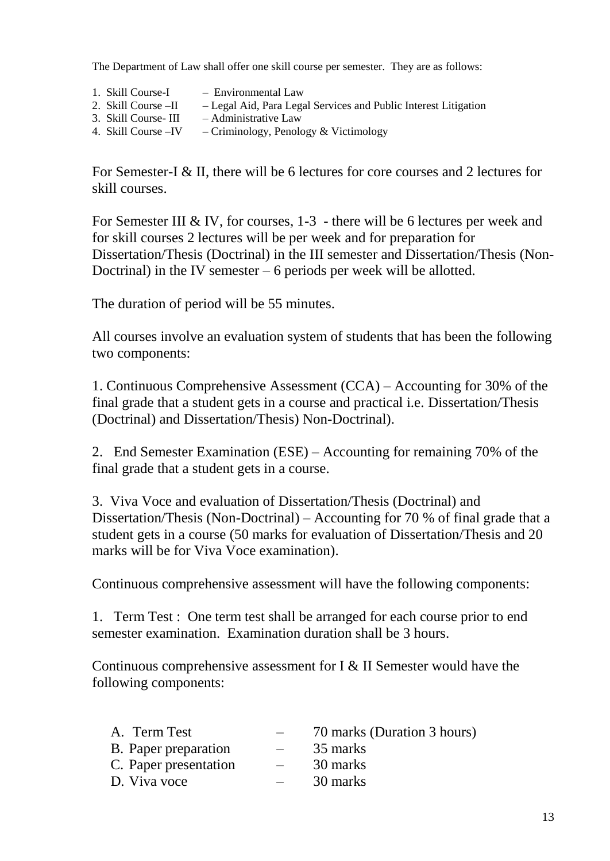The Department of Law shall offer one skill course per semester. They are as follows:

- 1. Skill Course-I Environmental Law
- 2. Skill Course –II Legal Aid, Para Legal Services and Public Interest Litigation
- 3. Skill Course- III Administrative Law<br>4. Skill Course IV Criminology. Penology
- $-$  Criminology, Penology & Victimology

For Semester-I & II, there will be 6 lectures for core courses and 2 lectures for skill courses.

For Semester III & IV, for courses, 1-3 - there will be 6 lectures per week and for skill courses 2 lectures will be per week and for preparation for Dissertation/Thesis (Doctrinal) in the III semester and Dissertation/Thesis (Non-Doctrinal) in the IV semester  $-6$  periods per week will be allotted.

The duration of period will be 55 minutes.

All courses involve an evaluation system of students that has been the following two components:

1. Continuous Comprehensive Assessment (CCA) – Accounting for 30% of the final grade that a student gets in a course and practical i.e. Dissertation/Thesis (Doctrinal) and Dissertation/Thesis) Non-Doctrinal).

2. End Semester Examination (ESE) – Accounting for remaining 70% of the final grade that a student gets in a course.

3. Viva Voce and evaluation of Dissertation/Thesis (Doctrinal) and Dissertation/Thesis (Non-Doctrinal) – Accounting for 70 % of final grade that a student gets in a course (50 marks for evaluation of Dissertation/Thesis and 20 marks will be for Viva Voce examination).

Continuous comprehensive assessment will have the following components:

1. Term Test : One term test shall be arranged for each course prior to end semester examination. Examination duration shall be 3 hours.

Continuous comprehensive assessment for I & II Semester would have the following components:

| A. Term Test          |                          | 70 marks (Duration 3 hours) |
|-----------------------|--------------------------|-----------------------------|
| B. Paper preparation  | $\overline{\phantom{a}}$ | 35 marks                    |
| C. Paper presentation |                          | 30 marks                    |
| D. Viva voce          |                          | 30 marks                    |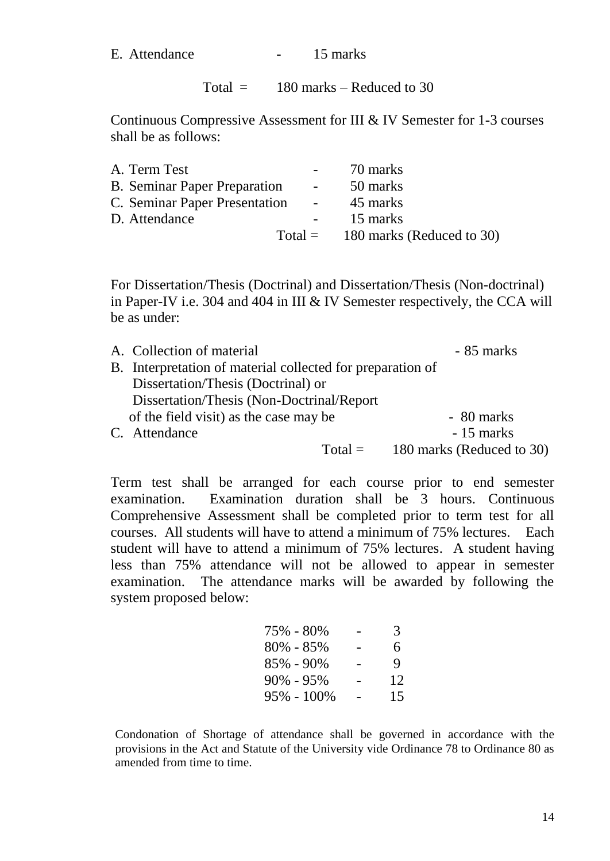E. Attendance - 15 marks

Total  $=$  180 marks – Reduced to 30

Continuous Compressive Assessment for III & IV Semester for 1-3 courses shall be as follows:

| A. Term Test                        |                  | 70 marks                            |
|-------------------------------------|------------------|-------------------------------------|
| <b>B.</b> Seminar Paper Preparation | $\sim$ 100 $\mu$ | 50 marks                            |
| C. Seminar Paper Presentation       | $\sim$ 10 $\pm$  | 45 marks                            |
| D. Attendance                       |                  | 15 marks                            |
|                                     |                  | Total = $180$ marks (Reduced to 30) |

For Dissertation/Thesis (Doctrinal) and Dissertation/Thesis (Non-doctrinal) in Paper-IV i.e. 304 and 404 in III & IV Semester respectively, the CCA will be as under:

| A. Collection of material                                  | - 85 marks |                           |  |
|------------------------------------------------------------|------------|---------------------------|--|
| B. Interpretation of material collected for preparation of |            |                           |  |
| Dissertation/Thesis (Doctrinal) or                         |            |                           |  |
| Dissertation/Thesis (Non-Doctrinal/Report)                 |            |                           |  |
| of the field visit) as the case may be                     |            | - 80 marks                |  |
| C. Attendance                                              |            | - 15 marks                |  |
|                                                            | $Total =$  | 180 marks (Reduced to 30) |  |

Term test shall be arranged for each course prior to end semester examination. Examination duration shall be 3 hours. Continuous Comprehensive Assessment shall be completed prior to term test for all courses. All students will have to attend a minimum of 75% lectures. Each student will have to attend a minimum of 75% lectures. A student having less than 75% attendance will not be allowed to appear in semester examination. The attendance marks will be awarded by following the system proposed below:

|   | 3  |
|---|----|
|   | 6  |
|   | 9  |
| - | 12 |
| - | 15 |
|   |    |

Condonation of Shortage of attendance shall be governed in accordance with the provisions in the Act and Statute of the University vide Ordinance 78 to Ordinance 80 as amended from time to time.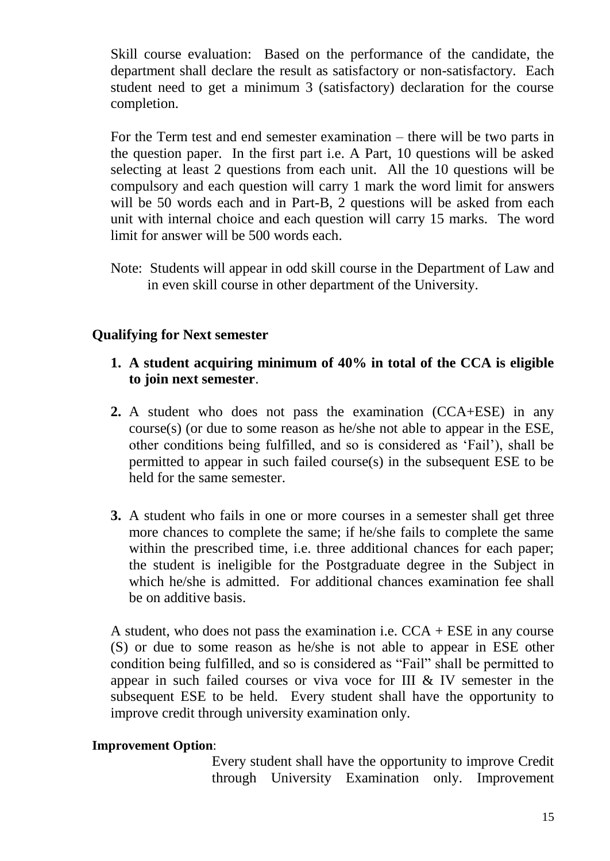Skill course evaluation: Based on the performance of the candidate, the department shall declare the result as satisfactory or non-satisfactory. Each student need to get a minimum 3 (satisfactory) declaration for the course completion.

For the Term test and end semester examination – there will be two parts in the question paper. In the first part i.e. A Part, 10 questions will be asked selecting at least 2 questions from each unit. All the 10 questions will be compulsory and each question will carry 1 mark the word limit for answers will be 50 words each and in Part-B, 2 questions will be asked from each unit with internal choice and each question will carry 15 marks. The word limit for answer will be 500 words each.

Note: Students will appear in odd skill course in the Department of Law and in even skill course in other department of the University.

# **Qualifying for Next semester**

- **1. A student acquiring minimum of 40% in total of the CCA is eligible to join next semester**.
- **2.** A student who does not pass the examination (CCA+ESE) in any course(s) (or due to some reason as he/she not able to appear in the ESE, other conditions being fulfilled, and so is considered as 'Fail'), shall be permitted to appear in such failed course(s) in the subsequent ESE to be held for the same semester.
- **3.** A student who fails in one or more courses in a semester shall get three more chances to complete the same; if he/she fails to complete the same within the prescribed time, i.e. three additional chances for each paper; the student is ineligible for the Postgraduate degree in the Subject in which he/she is admitted. For additional chances examination fee shall be on additive basis.

A student, who does not pass the examination i.e.  $CCA + ESE$  in any course (S) or due to some reason as he/she is not able to appear in ESE other condition being fulfilled, and so is considered as "Fail" shall be permitted to appear in such failed courses or viva voce for III & IV semester in the subsequent ESE to be held. Every student shall have the opportunity to improve credit through university examination only.

# **Improvement Option**:

Every student shall have the opportunity to improve Credit through University Examination only. Improvement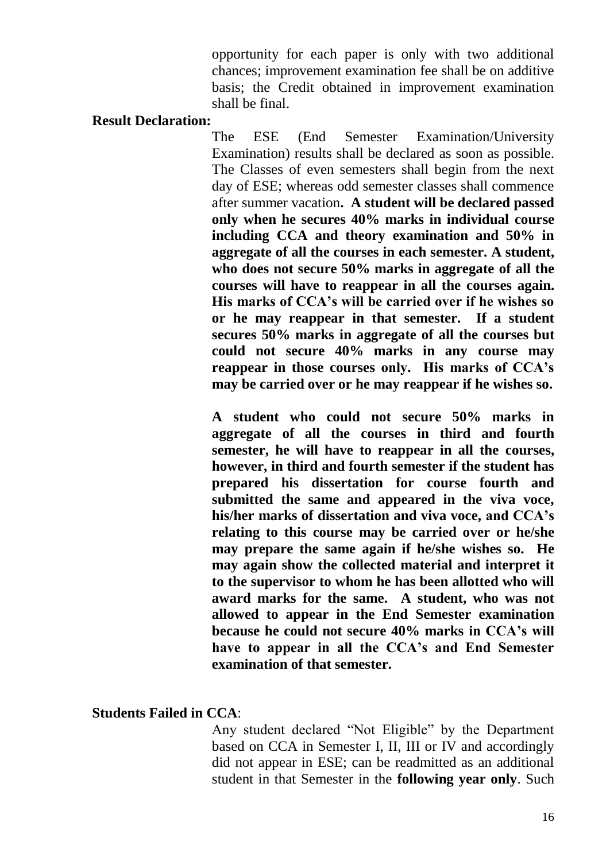opportunity for each paper is only with two additional chances; improvement examination fee shall be on additive basis; the Credit obtained in improvement examination shall be final.

## **Result Declaration:**

The ESE (End Semester Examination/University Examination) results shall be declared as soon as possible. The Classes of even semesters shall begin from the next day of ESE; whereas odd semester classes shall commence after summer vacation**. A student will be declared passed only when he secures 40% marks in individual course including CCA and theory examination and 50% in aggregate of all the courses in each semester. A student, who does not secure 50% marks in aggregate of all the courses will have to reappear in all the courses again. His marks of CCA's will be carried over if he wishes so or he may reappear in that semester. If a student secures 50% marks in aggregate of all the courses but could not secure 40% marks in any course may reappear in those courses only. His marks of CCA's may be carried over or he may reappear if he wishes so.**

**A student who could not secure 50% marks in aggregate of all the courses in third and fourth semester, he will have to reappear in all the courses, however, in third and fourth semester if the student has prepared his dissertation for course fourth and submitted the same and appeared in the viva voce, his/her marks of dissertation and viva voce, and CCA's relating to this course may be carried over or he/she may prepare the same again if he/she wishes so. He may again show the collected material and interpret it to the supervisor to whom he has been allotted who will award marks for the same. A student, who was not allowed to appear in the End Semester examination because he could not secure 40% marks in CCA's will have to appear in all the CCA's and End Semester examination of that semester.**

# **Students Failed in CCA**:

Any student declared "Not Eligible" by the Department based on CCA in Semester I, II, III or IV and accordingly did not appear in ESE; can be readmitted as an additional student in that Semester in the **following year only**. Such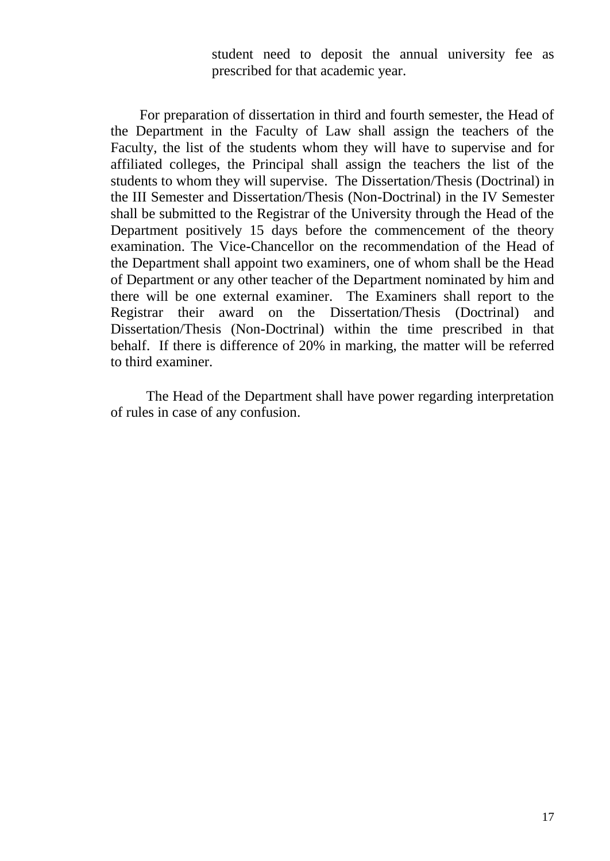student need to deposit the annual university fee as prescribed for that academic year.

 For preparation of dissertation in third and fourth semester, the Head of the Department in the Faculty of Law shall assign the teachers of the Faculty, the list of the students whom they will have to supervise and for affiliated colleges, the Principal shall assign the teachers the list of the students to whom they will supervise. The Dissertation/Thesis (Doctrinal) in the III Semester and Dissertation/Thesis (Non-Doctrinal) in the IV Semester shall be submitted to the Registrar of the University through the Head of the Department positively 15 days before the commencement of the theory examination. The Vice-Chancellor on the recommendation of the Head of the Department shall appoint two examiners, one of whom shall be the Head of Department or any other teacher of the Department nominated by him and there will be one external examiner. The Examiners shall report to the Registrar their award on the Dissertation/Thesis (Doctrinal) and Dissertation/Thesis (Non-Doctrinal) within the time prescribed in that behalf. If there is difference of 20% in marking, the matter will be referred to third examiner.

 The Head of the Department shall have power regarding interpretation of rules in case of any confusion.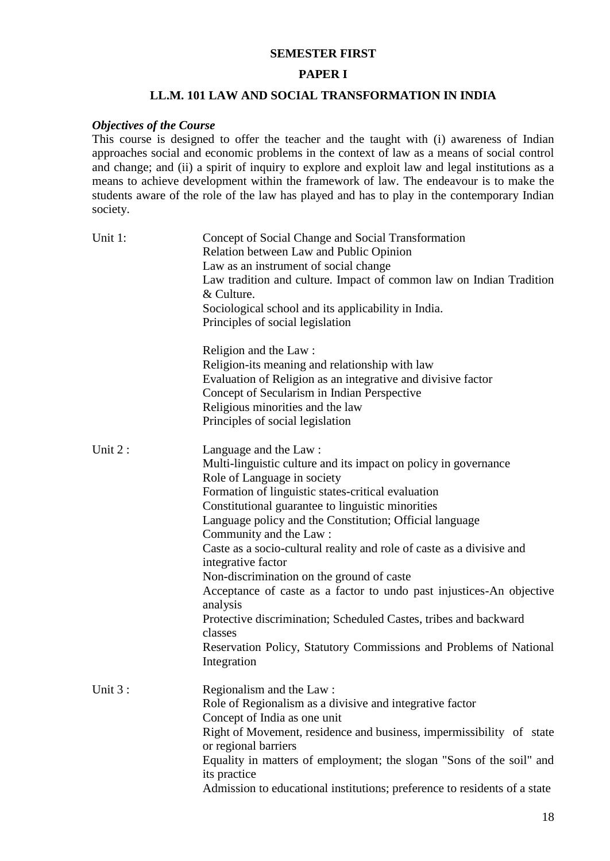### **SEMESTER FIRST**

#### **PAPER I**

#### **LL.M. 101 LAW AND SOCIAL TRANSFORMATION IN INDIA**

#### *Objectives of the Course*

This course is designed to offer the teacher and the taught with (i) awareness of Indian approaches social and economic problems in the context of law as a means of social control and change; and (ii) a spirit of inquiry to explore and exploit law and legal institutions as a means to achieve development within the framework of law. The endeavour is to make the students aware of the role of the law has played and has to play in the contemporary Indian society.

| Unit 1: | Concept of Social Change and Social Transformation<br>Relation between Law and Public Opinion<br>Law as an instrument of social change<br>Law tradition and culture. Impact of common law on Indian Tradition<br>& Culture.<br>Sociological school and its applicability in India.<br>Principles of social legislation                                                                                                                                                                                                                                                                                                                                                                                                      |
|---------|-----------------------------------------------------------------------------------------------------------------------------------------------------------------------------------------------------------------------------------------------------------------------------------------------------------------------------------------------------------------------------------------------------------------------------------------------------------------------------------------------------------------------------------------------------------------------------------------------------------------------------------------------------------------------------------------------------------------------------|
|         | Religion and the Law:<br>Religion-its meaning and relationship with law<br>Evaluation of Religion as an integrative and divisive factor<br>Concept of Secularism in Indian Perspective<br>Religious minorities and the law<br>Principles of social legislation                                                                                                                                                                                                                                                                                                                                                                                                                                                              |
| Unit 2: | Language and the Law:<br>Multi-linguistic culture and its impact on policy in governance<br>Role of Language in society<br>Formation of linguistic states-critical evaluation<br>Constitutional guarantee to linguistic minorities<br>Language policy and the Constitution; Official language<br>Community and the Law:<br>Caste as a socio-cultural reality and role of caste as a divisive and<br>integrative factor<br>Non-discrimination on the ground of caste<br>Acceptance of caste as a factor to undo past injustices-An objective<br>analysis<br>Protective discrimination; Scheduled Castes, tribes and backward<br>classes<br>Reservation Policy, Statutory Commissions and Problems of National<br>Integration |
| Unit 3: | Regionalism and the Law:<br>Role of Regionalism as a divisive and integrative factor<br>Concept of India as one unit<br>Right of Movement, residence and business, impermissibility of state<br>or regional barriers<br>Equality in matters of employment; the slogan "Sons of the soil" and<br>its practice<br>Admission to educational institutions; preference to residents of a state                                                                                                                                                                                                                                                                                                                                   |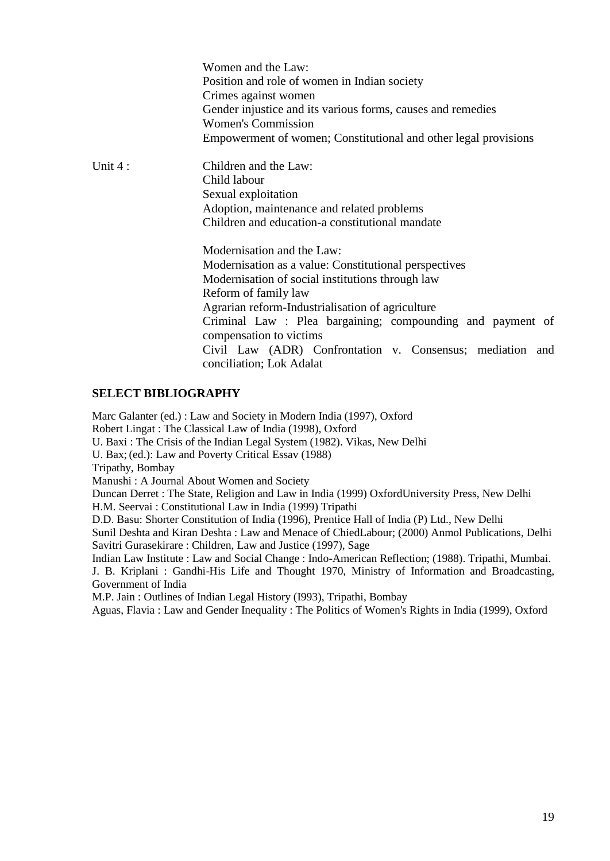|         | Women and the Law:<br>Position and role of women in Indian society<br>Crimes against women<br>Gender injustice and its various forms, causes and remedies<br><b>Women's Commission</b><br>Empowerment of women; Constitutional and other legal provisions |  |  |
|---------|-----------------------------------------------------------------------------------------------------------------------------------------------------------------------------------------------------------------------------------------------------------|--|--|
| Unit 4: | Children and the Law:                                                                                                                                                                                                                                     |  |  |
|         | Child labour                                                                                                                                                                                                                                              |  |  |
|         | Sexual exploitation                                                                                                                                                                                                                                       |  |  |
|         | Adoption, maintenance and related problems                                                                                                                                                                                                                |  |  |
|         | Children and education-a constitutional mandate                                                                                                                                                                                                           |  |  |
|         | Modernisation and the Law:                                                                                                                                                                                                                                |  |  |
|         | Modernisation as a value: Constitutional perspectives                                                                                                                                                                                                     |  |  |
|         | Modernisation of social institutions through law                                                                                                                                                                                                          |  |  |
|         | Reform of family law                                                                                                                                                                                                                                      |  |  |
|         | Agrarian reform-Industrialisation of agriculture                                                                                                                                                                                                          |  |  |
|         | Criminal Law : Plea bargaining; compounding and payment of                                                                                                                                                                                                |  |  |
|         | compensation to victims<br>Civil Law (ADR) Confrontation v. Consensus; mediation and                                                                                                                                                                      |  |  |
|         | conciliation; Lok Adalat                                                                                                                                                                                                                                  |  |  |

#### **SELECT BIBLIOGRAPHY**

Marc Galanter (ed.) : Law and Society in Modern India (1997), Oxford

Robert Lingat : The Classical Law of India (1998), Oxford

U. Baxi : The Crisis of the Indian Legal System (1982). Vikas, New Delhi

U. Bax;(ed.): Law and Poverty Critical Essav (1988)

Tripathy, Bombay

Manushi : A Journal About Women and Society

Duncan Derret : The State, Religion and Law in India (1999) OxfordUniversity Press, New Delhi H.M. Seervai : Constitutional Law in India (1999) Tripathi

D.D. Basu: Shorter Constitution of India (1996), Prentice Hall of India (P) Ltd., New Delhi

Sunil Deshta and Kiran Deshta : Law and Menace of ChiedLabour; (2000) Anmol Publications, Delhi Savitri Gurasekirare : Children, Law and Justice (1997), Sage

Indian Law Institute : Law and Social Change : Indo-American Reflection; (1988). Tripathi, Mumbai. J. B. Kriplani : Gandhi-His Life and Thought 1970, Ministry of Information and Broadcasting, Government of India

M.P. Jain : Outlines of Indian Legal History (I993), Tripathi, Bombay

Aguas, Flavia : Law and Gender Inequality : The Politics of Women's Rights in India (1999), Oxford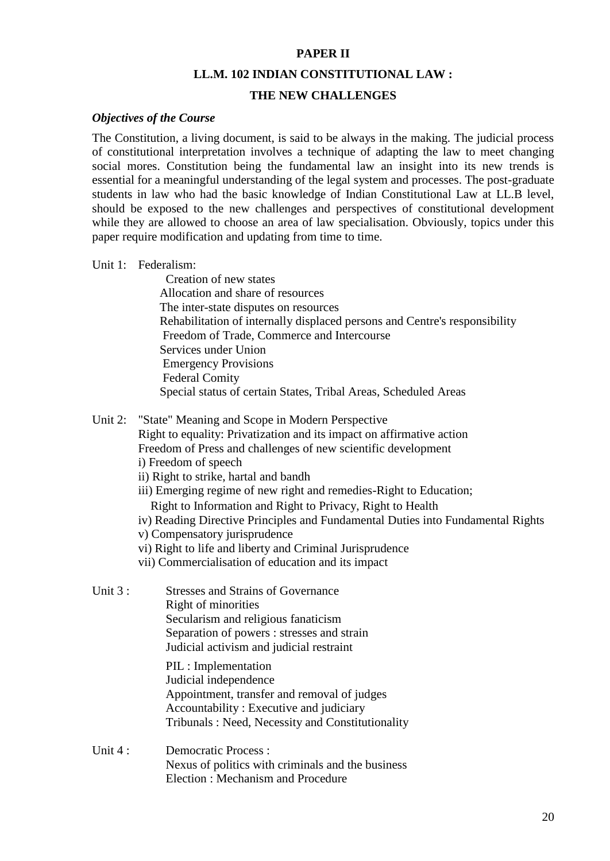#### **PAPER II**

#### **LL.M. 102 INDIAN CONSTITUTIONAL LAW :**

#### **THE NEW CHALLENGES**

#### *Objectives of the Course*

The Constitution, a living document, is said to be always in the making. The judicial process of constitutional interpretation involves a technique of adapting the law to meet changing social mores. Constitution being the fundamental law an insight into its new trends is essential for a meaningful understanding of the legal system and processes. The post-graduate students in law who had the basic knowledge of Indian Constitutional Law at LL.B level, should be exposed to the new challenges and perspectives of constitutional development while they are allowed to choose an area of law specialisation. Obviously, topics under this paper require modification and updating from time to time.

#### Unit 1: Federalism:

 Creation of new states Allocation and share of resources The inter-state disputes on resources Rehabilitation of internally displaced persons and Centre's responsibility Freedom of Trade, Commerce and Intercourse Services under Union Emergency Provisions Federal Comity Special status of certain States, Tribal Areas, Scheduled Areas

#### Unit 2: "State" Meaning and Scope in Modern Perspective

Right to equality: Privatization and its impact on affirmative action Freedom of Press and challenges of new scientific development

- i) Freedom of speech
- ii) Right to strike, hartal and bandh
- iii) Emerging regime of new right and remedies-Right to Education; Right to Information and Right to Privacy, Right to Health
- iv) Reading Directive Principles and Fundamental Duties into Fundamental Rights
- v) Compensatory jurisprudence
- vi) Right to life and liberty and Criminal Jurisprudence
- vii) Commercialisation of education and its impact

| Unit $3:$ | <b>Stresses and Strains of Governance</b>                                              |
|-----------|----------------------------------------------------------------------------------------|
|           | Right of minorities                                                                    |
|           | Secularism and religious fanaticism                                                    |
|           | Separation of powers : stresses and strain<br>Judicial activism and judicial restraint |
|           | PIL : Implementation                                                                   |
|           | Judicial independence                                                                  |
|           |                                                                                        |

Appointment, transfer and removal of judges Accountability : Executive and judiciary Tribunals : Need, Necessity and Constitutionality

Unit 4 : Democratic Process : Nexus of politics with criminals and the business Election : Mechanism and Procedure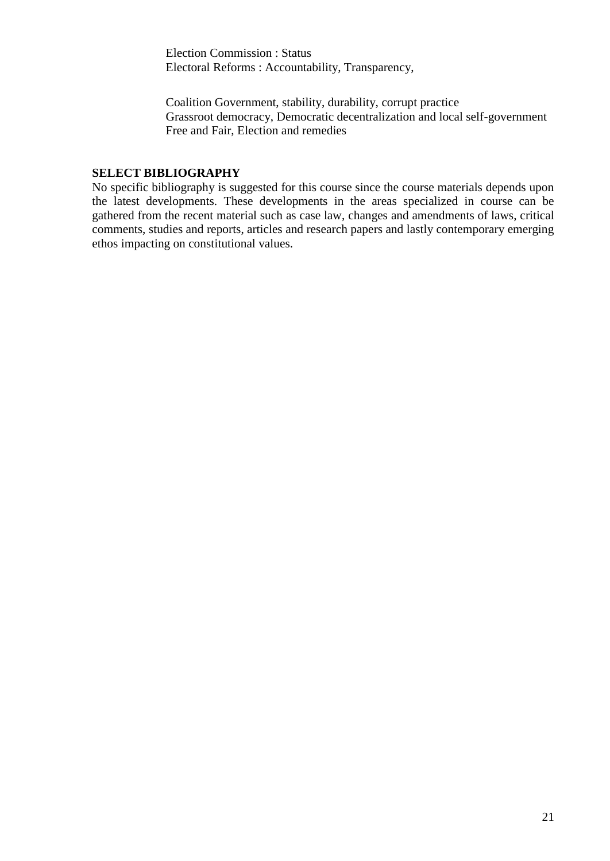Election Commission : Status Electoral Reforms : Accountability, Transparency,

 Coalition Government, stability, durability, corrupt practice Grassroot democracy, Democratic decentralization and local self-government Free and Fair, Election and remedies

#### **SELECT BIBLIOGRAPHY**

No specific bibliography is suggested for this course since the course materials depends upon the latest developments. These developments in the areas specialized in course can be gathered from the recent material such as case law, changes and amendments of laws, critical comments, studies and reports, articles and research papers and lastly contemporary emerging ethos impacting on constitutional values.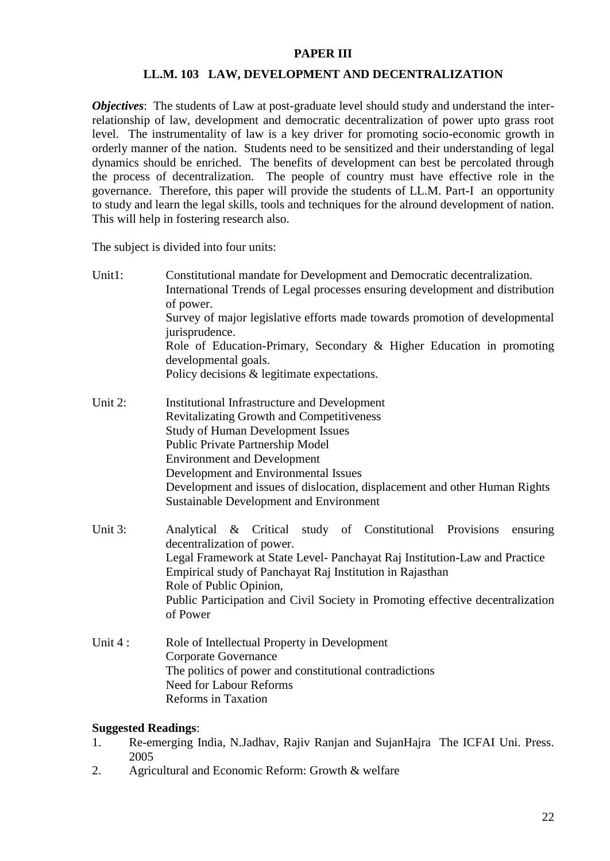#### **PAPER III**

#### **LL.M. 103 LAW, DEVELOPMENT AND DECENTRALIZATION**

*Objectives*: The students of Law at post-graduate level should study and understand the interrelationship of law, development and democratic decentralization of power upto grass root level. The instrumentality of law is a key driver for promoting socio-economic growth in orderly manner of the nation. Students need to be sensitized and their understanding of legal dynamics should be enriched. The benefits of development can best be percolated through the process of decentralization. The people of country must have effective role in the governance. Therefore, this paper will provide the students of LL.M. Part-I an opportunity to study and learn the legal skills, tools and techniques for the alround development of nation. This will help in fostering research also.

The subject is divided into four units:

| Unit1:  | Constitutional mandate for Development and Democratic decentralization.<br>International Trends of Legal processes ensuring development and distribution<br>of power. |  |  |
|---------|-----------------------------------------------------------------------------------------------------------------------------------------------------------------------|--|--|
|         |                                                                                                                                                                       |  |  |
|         |                                                                                                                                                                       |  |  |
|         | Survey of major legislative efforts made towards promotion of developmental<br>jurisprudence.                                                                         |  |  |
|         | Role of Education-Primary, Secondary & Higher Education in promoting<br>developmental goals.                                                                          |  |  |
|         | Policy decisions & legitimate expectations.                                                                                                                           |  |  |
| Unit 2: | Institutional Infrastructure and Development                                                                                                                          |  |  |
|         | <b>Revitalizating Growth and Competitiveness</b>                                                                                                                      |  |  |
|         | <b>Study of Human Development Issues</b>                                                                                                                              |  |  |
|         | Public Private Partnership Model                                                                                                                                      |  |  |
|         | <b>Environment and Development</b>                                                                                                                                    |  |  |

Development and Environmental Issues Development and issues of dislocation, displacement and other Human Rights Sustainable Development and Environment

- Unit 3: Analytical & Critical study of Constitutional Provisions ensuring decentralization of power. Legal Framework at State Level- Panchayat Raj Institution-Law and Practice Empirical study of Panchayat Raj Institution in Rajasthan Role of Public Opinion, Public Participation and Civil Society in Promoting effective decentralization of Power
- Unit 4 : Role of Intellectual Property in Development Corporate Governance The politics of power and constitutional contradictions Need for Labour Reforms Reforms in Taxation

#### **Suggested Readings**:

- 1. Re-emerging India, N.Jadhav, Rajiv Ranjan and SujanHajra The ICFAI Uni. Press. 2005
- 2. Agricultural and Economic Reform: Growth & welfare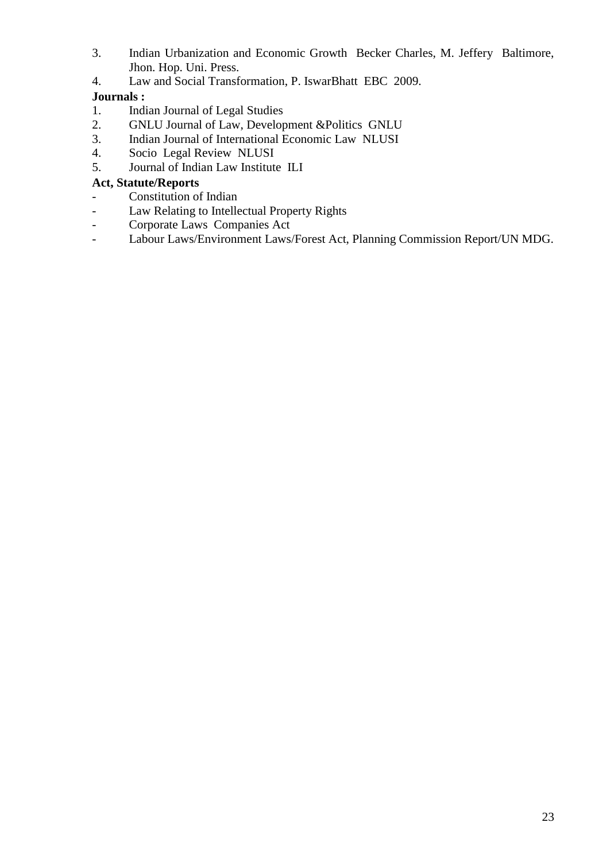- 3. Indian Urbanization and Economic Growth Becker Charles, M. Jeffery Baltimore, Jhon. Hop. Uni. Press.
- 4. Law and Social Transformation, P. IswarBhatt EBC 2009.

## **Journals :**

- 1. Indian Journal of Legal Studies
- 2. GNLU Journal of Law, Development &Politics GNLU
- 3. Indian Journal of International Economic Law NLUSI
- 4. Socio Legal Review NLUSI
- 5. Journal of Indian Law Institute ILI

## **Act, Statute/Reports**

- Constitution of Indian
- Law Relating to Intellectual Property Rights
- Corporate Laws Companies Act
- Labour Laws/Environment Laws/Forest Act, Planning Commission Report/UN MDG.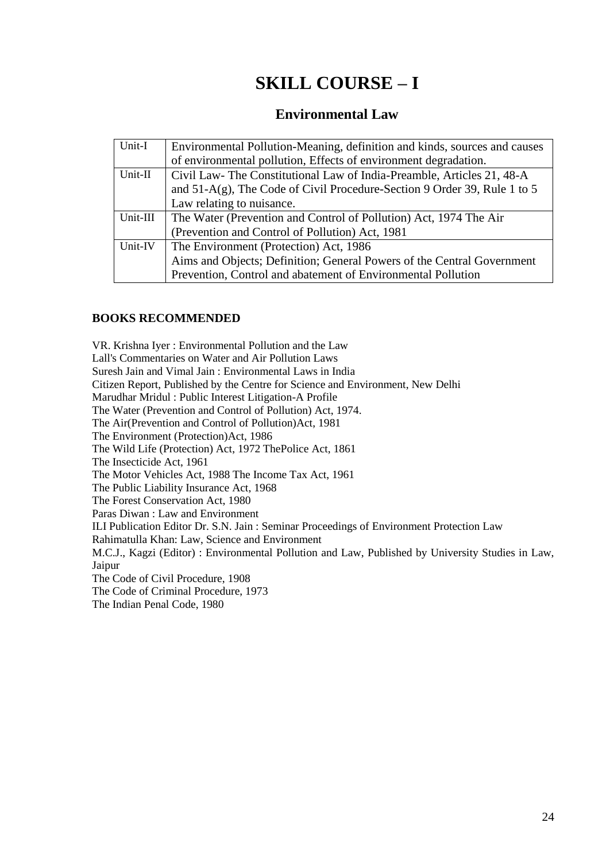# **SKILL COURSE – I**

# **Environmental Law**

| Unit-I   | Environmental Pollution-Meaning, definition and kinds, sources and causes   |
|----------|-----------------------------------------------------------------------------|
|          | of environmental pollution, Effects of environment degradation.             |
| Unit-II  | Civil Law-The Constitutional Law of India-Preamble, Articles 21, 48-A       |
|          | and $51-A(g)$ , The Code of Civil Procedure-Section 9 Order 39, Rule 1 to 5 |
|          | Law relating to nuisance.                                                   |
| Unit-III | The Water (Prevention and Control of Pollution) Act, 1974 The Air           |
|          | (Prevention and Control of Pollution) Act, 1981                             |
| Unit-IV  | The Environment (Protection) Act, 1986                                      |
|          | Aims and Objects; Definition; General Powers of the Central Government      |
|          | Prevention, Control and abatement of Environmental Pollution                |

#### **BOOKS RECOMMENDED**

VR. Krishna Iyer : Environmental Pollution and the Law Lall's Commentaries on Water and Air Pollution Laws Suresh Jain and Vimal Jain : Environmental Laws in India Citizen Report, Published by the Centre for Science and Environment, New Delhi Marudhar Mridul : Public Interest Litigation-A Profile The Water (Prevention and Control of Pollution) Act, 1974. The Air(Prevention and Control of Pollution)Act, 1981 The Environment (Protection)Act, 1986 The Wild Life (Protection) Act, 1972 ThePolice Act, 1861 The Insecticide Act, 1961 The Motor Vehicles Act, 1988 The Income Tax Act, 1961 The Public Liability Insurance Act, 1968 The Forest Conservation Act, 1980 Paras Diwan : Law and Environment ILI Publication Editor Dr. S.N. Jain : Seminar Proceedings of Environment Protection Law Rahimatulla Khan: Law, Science and Environment M.C.J., Kagzi (Editor) : Environmental Pollution and Law, Published by University Studies in Law, Jaipur The Code of Civil Procedure, 1908 The Code of Criminal Procedure, 1973 The Indian Penal Code, 1980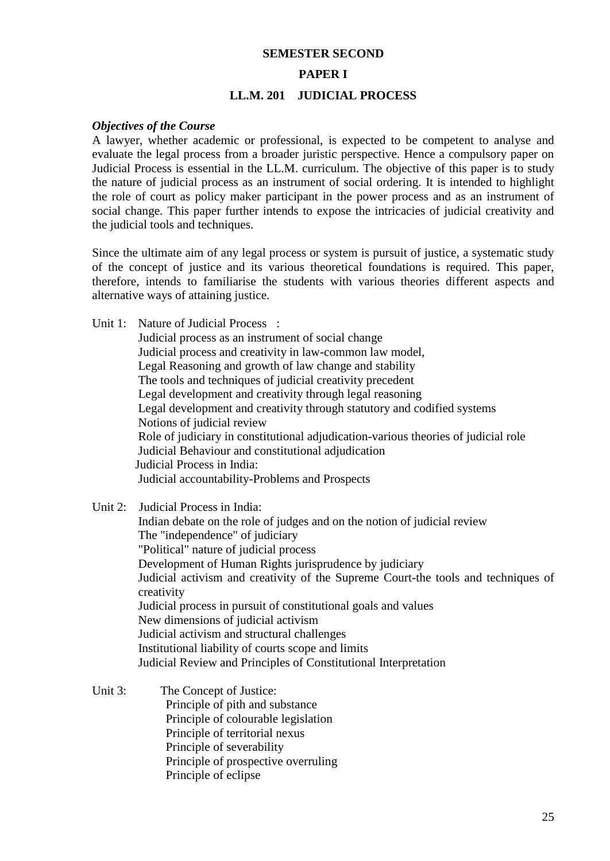# **SEMESTER SECOND PAPER I LL.M. 201 JUDICIAL PROCESS**

#### *Objectives of the Course*

A lawyer, whether academic or professional, is expected to be competent to analyse and evaluate the legal process from a broader juristic perspective. Hence a compulsory paper on Judicial Process is essential in the LL.M. curriculum. The objective of this paper is to study the nature of judicial process as an instrument of social ordering. It is intended to highlight the role of court as policy maker participant in the power process and as an instrument of social change. This paper further intends to expose the intricacies of judicial creativity and the judicial tools and techniques.

Since the ultimate aim of any legal process or system is pursuit of justice, a systematic study of the concept of justice and its various theoretical foundations is required. This paper, therefore, intends to familiarise the students with various theories different aspects and alternative ways of attaining justice.

Unit 1: Nature of Judicial Process :

Judicial process as an instrument of social change Judicial process and creativity in law-common law model, Legal Reasoning and growth of law change and stability The tools and techniques of judicial creativity precedent Legal development and creativity through legal reasoning Legal development and creativity through statutory and codified systems Notions of judicial review Role of judiciary in constitutional adjudication-various theories of judicial role Judicial Behaviour and constitutional adjudication Judicial Process in India: Judicial accountability-Problems and Prospects

Unit 2: Judicial Process in India:

 Indian debate on the role of judges and on the notion of judicial review The "independence" of judiciary "Political" nature of judicial process Development of Human Rights jurisprudence by judiciary Judicial activism and creativity of the Supreme Court-the tools and techniques of creativity Judicial process in pursuit of constitutional goals and values New dimensions of judicial activism Judicial activism and structural challenges Institutional liability of courts scope and limits Judicial Review and Principles of Constitutional Interpretation

Unit 3: The Concept of Justice: Principle of pith and substance Principle of colourable legislation Principle of territorial nexus Principle of severability Principle of prospective overruling Principle of eclipse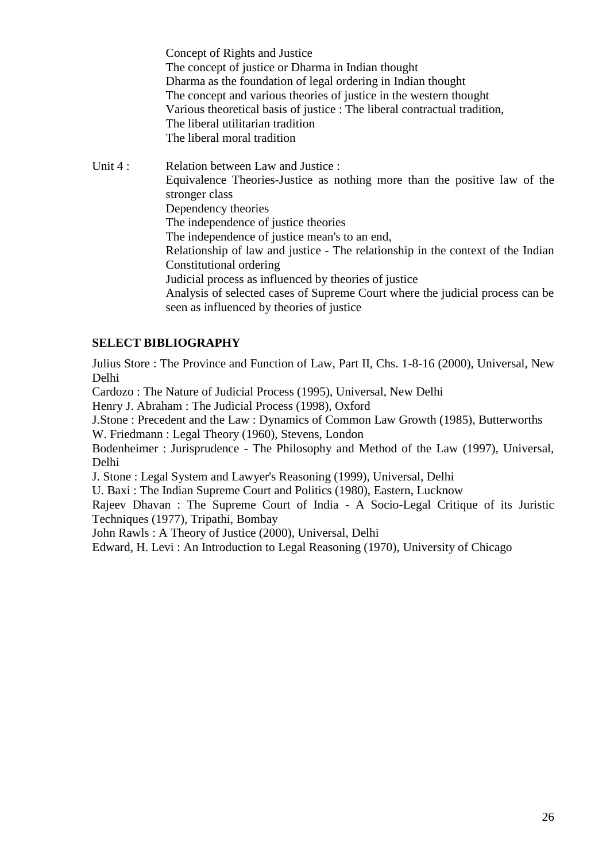Concept of Rights and Justice The concept of justice or Dharma in Indian thought Dharma as the foundation of legal ordering in Indian thought The concept and various theories of justice in the western thought Various theoretical basis of justice : The liberal contractual tradition, The liberal utilitarian tradition The liberal moral tradition

Unit 4 : Relation between Law and Justice : Equivalence Theories-Justice as nothing more than the positive law of the stronger class Dependency theories The independence of justice theories The independence of justice mean's to an end, Relationship of law and justice - The relationship in the context of the Indian Constitutional ordering Judicial process as influenced by theories of justice Analysis of selected cases of Supreme Court where the judicial process can be seen as influenced by theories of justice

### **SELECT BIBLIOGRAPHY**

Julius Store : The Province and Function of Law, Part II, Chs. 1-8-16 (2000), Universal, New Delhi

Cardozo : The Nature of Judicial Process (1995), Universal, New Delhi

Henry J. Abraham : The Judicial Process (1998), Oxford

J.Stone : Precedent and the Law : Dynamics of Common Law Growth (1985), Butterworths W. Friedmann : Legal Theory (1960), Stevens, London

Bodenheimer : Jurisprudence - The Philosophy and Method of the Law (1997), Universal, Delhi

J. Stone : Legal System and Lawyer's Reasoning (1999), Universal, Delhi

U. Baxi : The Indian Supreme Court and Politics (1980), Eastern, Lucknow

Rajeev Dhavan : The Supreme Court of India - A Socio-Legal Critique of its Juristic Techniques (1977), Tripathi, Bombay

John Rawls : A Theory of Justice (2000), Universal, Delhi

Edward, H. Levi : An Introduction to Legal Reasoning (1970), University of Chicago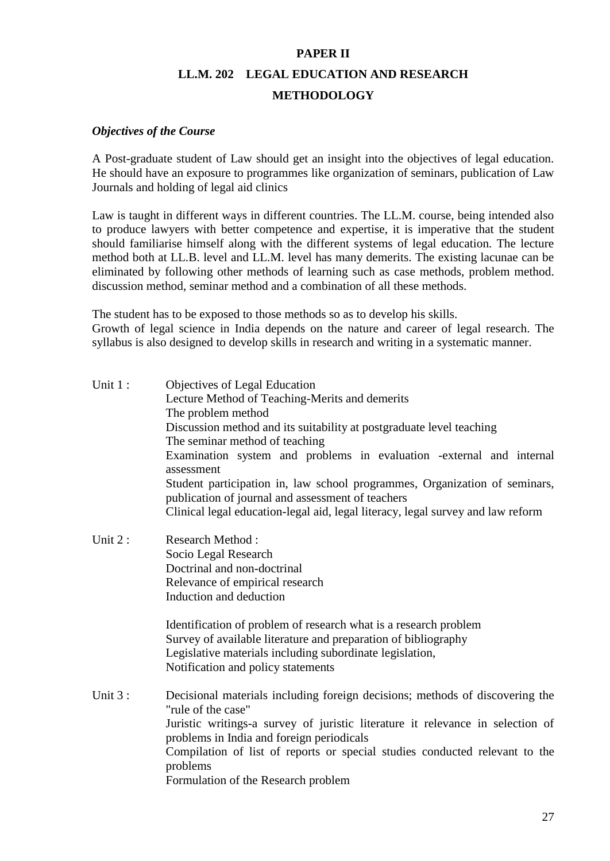# **PAPER II LL.M. 202 LEGAL EDUCATION AND RESEARCH METHODOLOGY**

#### *Objectives of the Course*

A Post-graduate student of Law should get an insight into the objectives of legal education. He should have an exposure to programmes like organization of seminars, publication of Law Journals and holding of legal aid clinics

Law is taught in different ways in different countries. The LL.M. course, being intended also to produce lawyers with better competence and expertise, it is imperative that the student should familiarise himself along with the different systems of legal education. The lecture method both at LL.B. level and LL.M. level has many demerits. The existing lacunae can be eliminated by following other methods of learning such as case methods, problem method. discussion method, seminar method and a combination of all these methods.

The student has to be exposed to those methods so as to develop his skills.

Growth of legal science in India depends on the nature and career of legal research. The syllabus is also designed to develop skills in research and writing in a systematic manner.

| Unit 1:   | Objectives of Legal Education<br>Lecture Method of Teaching-Merits and demerits<br>The problem method<br>Discussion method and its suitability at postgraduate level teaching<br>The seminar method of teaching<br>Examination system and problems in evaluation -external and internal<br>assessment                                                               |
|-----------|---------------------------------------------------------------------------------------------------------------------------------------------------------------------------------------------------------------------------------------------------------------------------------------------------------------------------------------------------------------------|
|           | Student participation in, law school programmes, Organization of seminars,<br>publication of journal and assessment of teachers<br>Clinical legal education-legal aid, legal literacy, legal survey and law reform                                                                                                                                                  |
| Unit $2:$ | Research Method:<br>Socio Legal Research<br>Doctrinal and non-doctrinal<br>Relevance of empirical research<br>Induction and deduction                                                                                                                                                                                                                               |
|           | Identification of problem of research what is a research problem<br>Survey of available literature and preparation of bibliography<br>Legislative materials including subordinate legislation,<br>Notification and policy statements                                                                                                                                |
| Unit 3:   | Decisional materials including foreign decisions; methods of discovering the<br>"rule of the case"<br>Juristic writings-a survey of juristic literature it relevance in selection of<br>problems in India and foreign periodicals<br>Compilation of list of reports or special studies conducted relevant to the<br>problems<br>Formulation of the Research problem |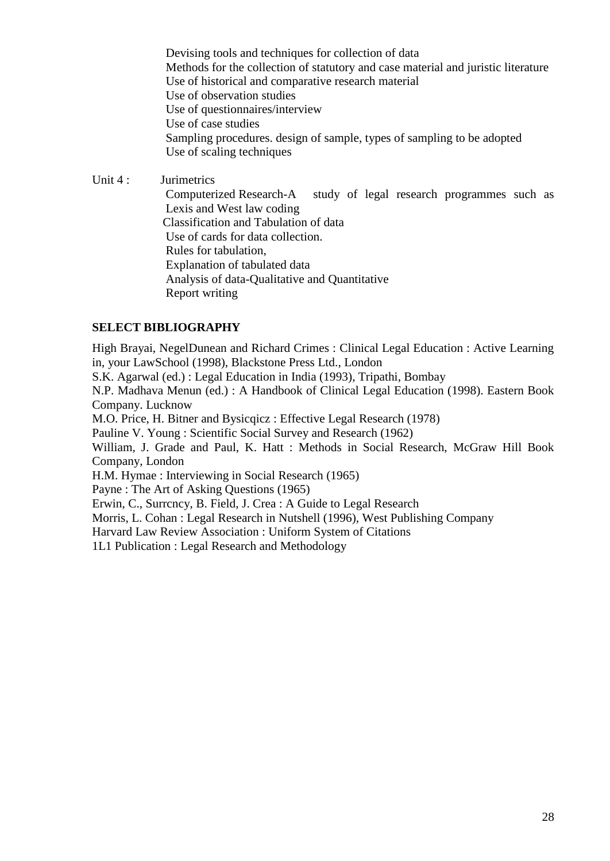Devising tools and techniques for collection of data Methods for the collection of statutory and case material and juristic literature Use of historical and comparative research material Use of observation studies Use of questionnaires/interview Use of case studies Sampling procedures. design of sample, types of sampling to be adopted Use of scaling techniques

Unit 4 : Jurimetrics

Computerized Research-A study of legal research programmes such as Lexis and West law coding Classification and Tabulation of data Use of cards for data collection. Rules for tabulation, Explanation of tabulated data Analysis of data-Qualitative and Quantitative Report writing

#### **SELECT BIBLIOGRAPHY**

High Brayai, NegelDunean and Richard Crimes : Clinical Legal Education : Active Learning in, your LawSchool (1998), Blackstone Press Ltd., London

S.K. Agarwal (ed.) : Legal Education in India (1993), Tripathi, Bombay

N.P. Madhava Menun (ed.) : A Handbook of Clinical Legal Education (1998). Eastern Book Company. Lucknow

M.O. Price, H. Bitner and Bysicqicz : Effective Legal Research (1978)

Pauline V. Young : Scientific Social Survey and Research (1962)

William, J. Grade and Paul, K. Hatt : Methods in Social Research, McGraw Hill Book Company, London

H.M. Hymae : Interviewing in Social Research (1965)

Payne : The Art of Asking Questions (1965)

Erwin, C., Surrcncy, B. Field, J. Crea : A Guide to Legal Research

Morris, L. Cohan : Legal Research in Nutshell (1996), West Publishing Company

Harvard Law Review Association : Uniform System of Citations

1L1 Publication : Legal Research and Methodology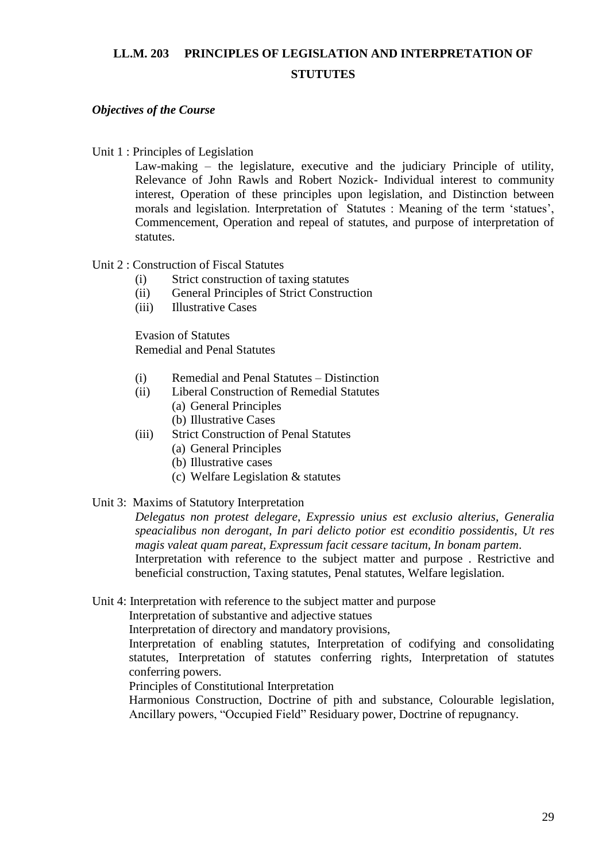# **LL.M. 203 PRINCIPLES OF LEGISLATION AND INTERPRETATION OF STUTUTES**

### *Objectives of the Course*

#### Unit 1 : Principles of Legislation

Law-making – the legislature, executive and the judiciary Principle of utility, Relevance of John Rawls and Robert Nozick- Individual interest to community interest, Operation of these principles upon legislation, and Distinction between morals and legislation. Interpretation of Statutes : Meaning of the term 'statues', Commencement, Operation and repeal of statutes, and purpose of interpretation of statutes.

#### Unit 2 : Construction of Fiscal Statutes

- (i) Strict construction of taxing statutes
- (ii) General Principles of Strict Construction
- (iii) Illustrative Cases

Evasion of Statutes Remedial and Penal Statutes

- (i) Remedial and Penal Statutes Distinction
- (ii) Liberal Construction of Remedial Statutes
	- (a) General Principles
	- (b) Illustrative Cases
- (iii) Strict Construction of Penal Statutes
	- (a) General Principles
	- (b) Illustrative cases
	- (c) Welfare Legislation & statutes
- Unit 3:Maxims of Statutory Interpretation

*Delegatus non protest delegare*, *Expressio unius est exclusio alterius*, *Generalia speacialibus non derogant*, *In pari delicto potior est econditio possidentis*, *Ut res magis valeat quam pareat*, *Expressum facit cessare tacitum, In bonam partem*. Interpretation with reference to the subject matter and purpose . Restrictive and beneficial construction, Taxing statutes, Penal statutes, Welfare legislation.

Unit 4: Interpretation with reference to the subject matter and purpose

Interpretation of substantive and adjective statues

Interpretation of directory and mandatory provisions,

Interpretation of enabling statutes, Interpretation of codifying and consolidating statutes, Interpretation of statutes conferring rights, Interpretation of statutes conferring powers.

Principles of Constitutional Interpretation

Harmonious Construction, Doctrine of pith and substance, Colourable legislation, Ancillary powers, "Occupied Field" Residuary power, Doctrine of repugnancy.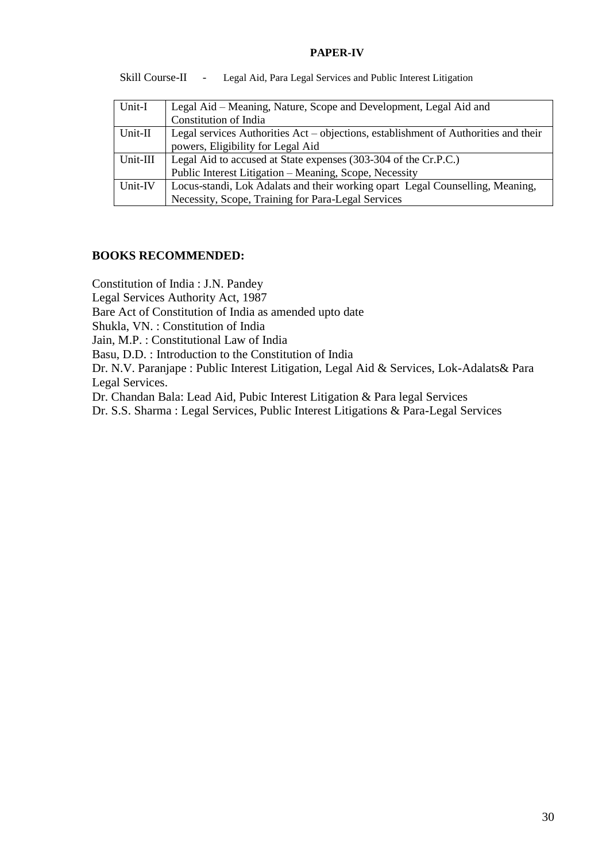#### **PAPER-IV**

Skill Course-II - Legal Aid, Para Legal Services and Public Interest Litigation

| Unit-I   | Legal Aid – Meaning, Nature, Scope and Development, Legal Aid and                   |
|----------|-------------------------------------------------------------------------------------|
|          | Constitution of India                                                               |
| Unit-II  | Legal services Authorities Act – objections, establishment of Authorities and their |
|          | powers, Eligibility for Legal Aid                                                   |
| Unit-III | Legal Aid to accused at State expenses (303-304 of the Cr.P.C.)                     |
|          | Public Interest Litigation - Meaning, Scope, Necessity                              |
| Unit-IV  | Locus-standi, Lok Adalats and their working opart Legal Counselling, Meaning,       |
|          | Necessity, Scope, Training for Para-Legal Services                                  |

#### **BOOKS RECOMMENDED:**

Constitution of India : J.N. Pandey

Legal Services Authority Act, 1987

Bare Act of Constitution of India as amended upto date

Shukla, VN. : Constitution of India

Jain, M.P. : Constitutional Law of India

Basu, D.D. : Introduction to the Constitution of India

Dr. N.V. Paranjape : Public Interest Litigation, Legal Aid & Services, Lok-Adalats& Para Legal Services.

Dr. Chandan Bala: Lead Aid, Pubic Interest Litigation & Para legal Services

Dr. S.S. Sharma : Legal Services, Public Interest Litigations & Para-Legal Services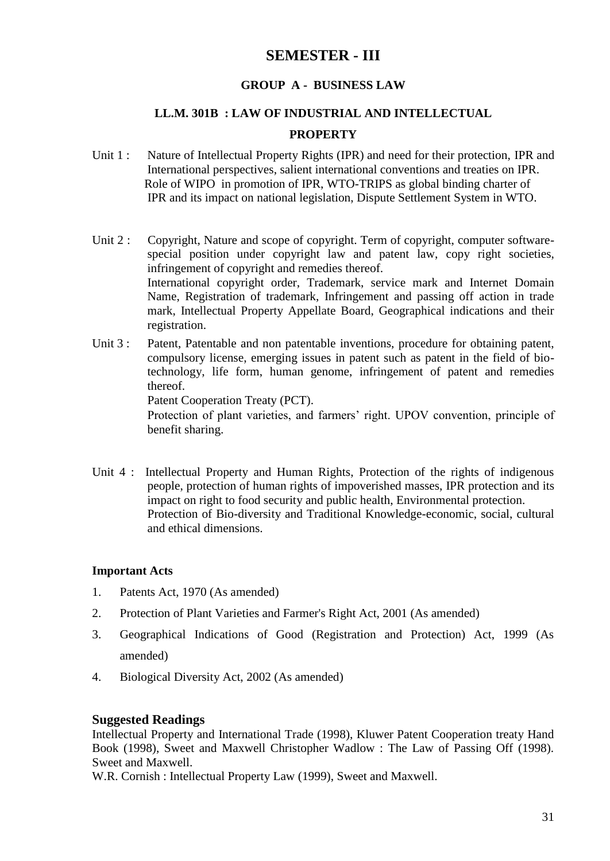# **SEMESTER - III**

### **GROUP A - BUSINESS LAW**

## **LL.M. 301B : LAW OF INDUSTRIAL AND INTELLECTUAL**

#### **PROPERTY**

- Unit 1 : Nature of Intellectual Property Rights (IPR) and need for their protection, IPR and International perspectives, salient international conventions and treaties on IPR. Role of WIPO in promotion of IPR, WTO-TRIPS as global binding charter of IPR and its impact on national legislation, Dispute Settlement System in WTO.
- Unit 2 : Copyright, Nature and scope of copyright. Term of copyright, computer softwarespecial position under copyright law and patent law, copy right societies, infringement of copyright and remedies thereof. International copyright order, Trademark, service mark and Internet Domain Name, Registration of trademark, Infringement and passing off action in trade mark, Intellectual Property Appellate Board, Geographical indications and their registration.
- Unit 3 : Patent, Patentable and non patentable inventions, procedure for obtaining patent, compulsory license, emerging issues in patent such as patent in the field of biotechnology, life form, human genome, infringement of patent and remedies thereof. Patent Cooperation Treaty (PCT). Protection of plant varieties, and farmers' right. UPOV convention, principle of

benefit sharing.

Unit 4 : Intellectual Property and Human Rights, Protection of the rights of indigenous people, protection of human rights of impoverished masses, IPR protection and its impact on right to food security and public health, Environmental protection. Protection of Bio-diversity and Traditional Knowledge-economic, social, cultural and ethical dimensions.

### **Important Acts**

- 1. Patents Act, 1970 (As amended)
- 2. Protection of Plant Varieties and Farmer's Right Act, 2001 (As amended)
- 3. Geographical Indications of Good (Registration and Protection) Act, 1999 (As amended)
- 4. Biological Diversity Act, 2002 (As amended)

#### **Suggested Readings**

Intellectual Property and International Trade (1998), Kluwer Patent Cooperation treaty Hand Book (1998), Sweet and Maxwell Christopher Wadlow : The Law of Passing Off (1998). Sweet and Maxwell.

W.R. Cornish : Intellectual Property Law (1999), Sweet and Maxwell.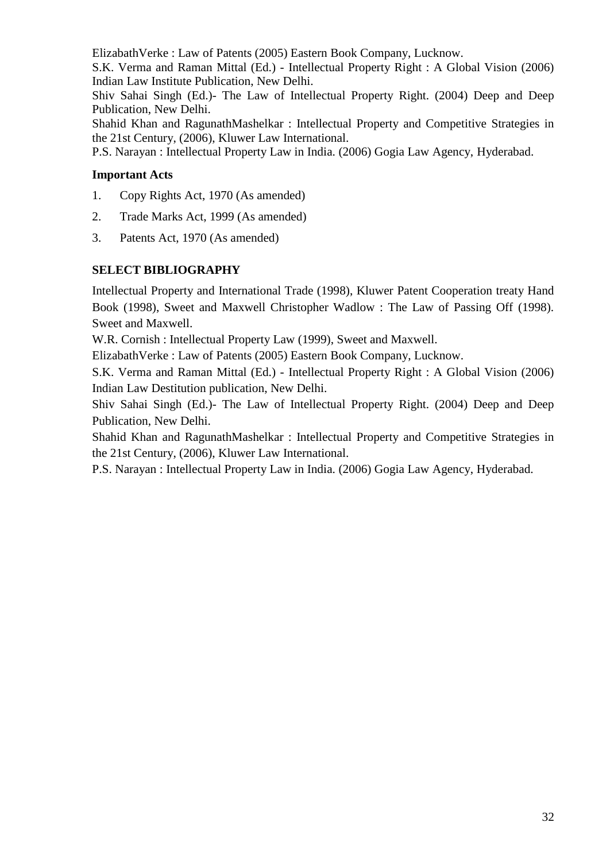ElizabathVerke : Law of Patents (2005) Eastern Book Company, Lucknow.

S.K. Verma and Raman Mittal (Ed.) - Intellectual Property Right : A Global Vision (2006) Indian Law Institute Publication, New Delhi.

Shiv Sahai Singh (Ed.)- The Law of Intellectual Property Right. (2004) Deep and Deep Publication, New Delhi.

Shahid Khan and RagunathMashelkar : Intellectual Property and Competitive Strategies in the 21st Century, (2006), Kluwer Law International.

P.S. Narayan : Intellectual Property Law in India. (2006) Gogia Law Agency, Hyderabad.

## **Important Acts**

- 1. Copy Rights Act, 1970 (As amended)
- 2. Trade Marks Act, 1999 (As amended)
- 3. Patents Act, 1970 (As amended)

# **SELECT BIBLIOGRAPHY**

Intellectual Property and International Trade (1998), Kluwer Patent Cooperation treaty Hand Book (1998), Sweet and Maxwell Christopher Wadlow : The Law of Passing Off (1998). Sweet and Maxwell.

W.R. Cornish : Intellectual Property Law (1999), Sweet and Maxwell.

ElizabathVerke : Law of Patents (2005) Eastern Book Company, Lucknow.

S.K. Verma and Raman Mittal (Ed.) - Intellectual Property Right : A Global Vision (2006) Indian Law Destitution publication, New Delhi.

Shiv Sahai Singh (Ed.)- The Law of Intellectual Property Right. (2004) Deep and Deep Publication, New Delhi.

Shahid Khan and RagunathMashelkar : Intellectual Property and Competitive Strategies in the 21st Century, (2006), Kluwer Law International.

P.S. Narayan : Intellectual Property Law in India. (2006) Gogia Law Agency, Hyderabad.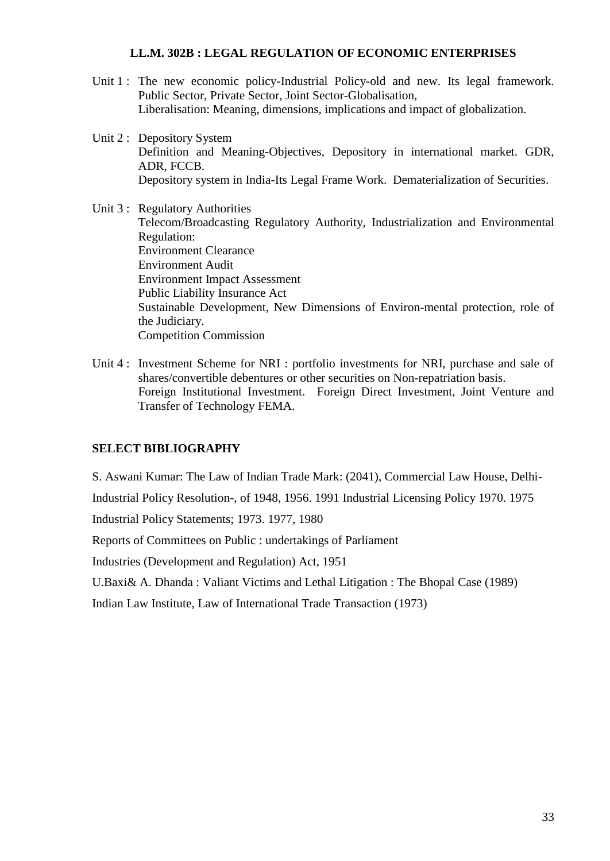#### **LL.M. 302B : LEGAL REGULATION OF ECONOMIC ENTERPRISES**

- Unit 1 : The new economic policy-Industrial Policy-old and new. Its legal framework. Public Sector, Private Sector, Joint Sector-Globalisation, Liberalisation: Meaning, dimensions, implications and impact of globalization.
- Unit 2 : Depository System Definition and Meaning-Objectives, Depository in international market. GDR, ADR, FCCB. Depository system in India-Its Legal Frame Work. Dematerialization of Securities.

Unit 3 : Regulatory Authorities Telecom/Broadcasting Regulatory Authority, Industrialization and Environmental Regulation: Environment Clearance Environment Audit Environment Impact Assessment Public Liability Insurance Act Sustainable Development, New Dimensions of Environ-mental protection, role of the Judiciary. Competition Commission

Unit 4 : Investment Scheme for NRI : portfolio investments for NRI, purchase and sale of shares/convertible debentures or other securities on Non-repatriation basis. Foreign Institutional Investment. Foreign Direct Investment, Joint Venture and Transfer of Technology FEMA.

### **SELECT BIBLIOGRAPHY**

S. Aswani Kumar: The Law of Indian Trade Mark: (2041), Commercial Law House, Delhi-

Industrial Policy Resolution-, of 1948, 1956. 1991 Industrial Licensing Policy 1970. 1975

Industrial Policy Statements; 1973. 1977, 1980

Reports of Committees on Public : undertakings of Parliament

Industries (Development and Regulation) Act, 1951

U.Baxi& A. Dhanda : Valiant Victims and Lethal Litigation : The Bhopal Case (1989)

Indian Law Institute, Law of International Trade Transaction (1973)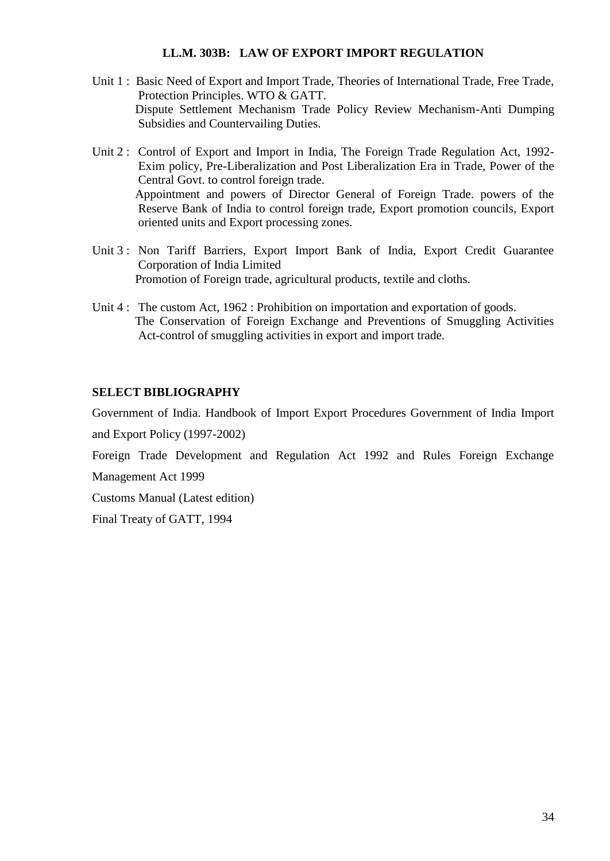#### **LL.M. 303B: LAW OF EXPORT IMPORT REGULATION**

- Unit 1 : Basic Need of Export and Import Trade, Theories of International Trade, Free Trade, Protection Principles. WTO & GATT. Dispute Settlement Mechanism Trade Policy Review Mechanism-Anti Dumping Subsidies and Countervailing Duties.
- Unit 2: Control of Export and Import in India, The Foreign Trade Regulation Act, 1992-Exim policy, Pre-Liberalization and Post Liberalization Era in Trade, Power of the Central Govt. to control foreign trade. Appointment and powers of Director General of Foreign Trade. powers of the Reserve Bank of India to control foreign trade, Export promotion councils, Export oriented units and Export processing zones.
- Unit 3 : Non Tariff Barriers, Export Import Bank of India, Export Credit Guarantee Corporation of India Limited Promotion of Foreign trade, agricultural products, textile and cloths.
- Unit 4 : The custom Act, 1962 : Prohibition on importation and exportation of goods. The Conservation of Foreign Exchange and Preventions of Smuggling Activities Act-control of smuggling activities in export and import trade.

### **SELECT BIBLIOGRAPHY**

Government of India. Handbook of Import Export Procedures Government of India Import

and Export Policy (1997-2002)

Foreign Trade Development and Regulation Act 1992 and Rules Foreign Exchange Management Act 1999

Customs Manual (Latest edition)

Final Treaty of GATT, 1994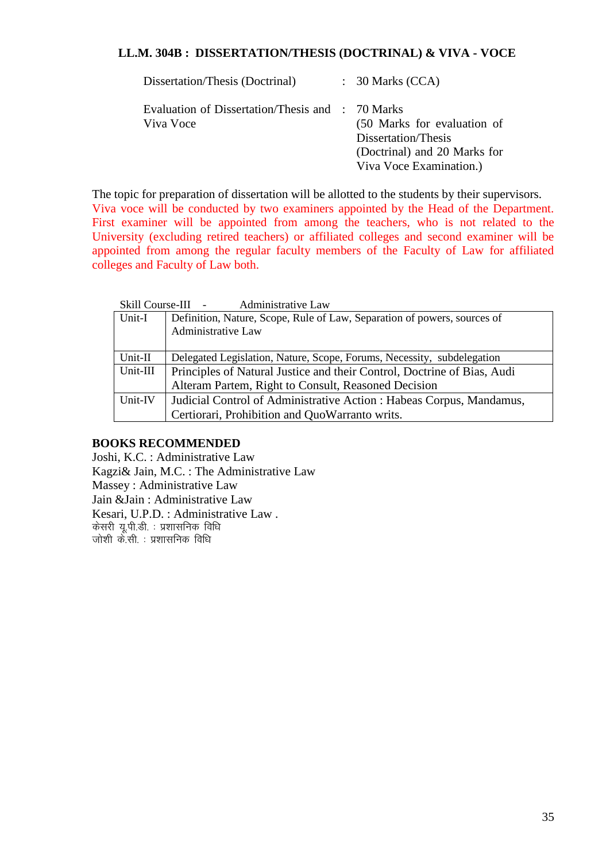#### **LL.M. 304B : DISSERTATION/THESIS (DOCTRINAL) & VIVA - VOCE**

| Dissertation/Thesis (Doctrinal)                               | $\therefore$ 30 Marks (CCA)                                                                                   |
|---------------------------------------------------------------|---------------------------------------------------------------------------------------------------------------|
| Evaluation of Dissertation/Thesis and : 70 Marks<br>Viva Voce | (50 Marks for evaluation of<br>Dissertation/Thesis<br>(Doctrinal) and 20 Marks for<br>Viva Voce Examination.) |

The topic for preparation of dissertation will be allotted to the students by their supervisors. Viva voce will be conducted by two examiners appointed by the Head of the Department. First examiner will be appointed from among the teachers, who is not related to the University (excluding retired teachers) or affiliated colleges and second examiner will be appointed from among the regular faculty members of the Faculty of Law for affiliated colleges and Faculty of Law both.

|          | <b>Administrative Law</b><br>Skill Course-III -                          |
|----------|--------------------------------------------------------------------------|
| Unit-I   | Definition, Nature, Scope, Rule of Law, Separation of powers, sources of |
|          | Administrative Law                                                       |
|          |                                                                          |
| Unit-II  | Delegated Legislation, Nature, Scope, Forums, Necessity, subdelegation   |
| Unit-III | Principles of Natural Justice and their Control, Doctrine of Bias, Audi  |
|          | Alteram Partem, Right to Consult, Reasoned Decision                      |
| Unit-IV  | Judicial Control of Administrative Action : Habeas Corpus, Mandamus,     |
|          | Certiorari, Prohibition and QuoWarranto writs.                           |

#### **BOOKS RECOMMENDED**

Joshi, K.C. : Administrative Law Kagzi& Jain, M.C. : The Administrative Law Massey : Administrative Law Jain &Jain : Administrative Law Kesari, U.P.D. : Administrative Law . केसरी यू.पी.डी. : प्रशासनिक विधि जोशी के.सी. : प्रशासनिक विधि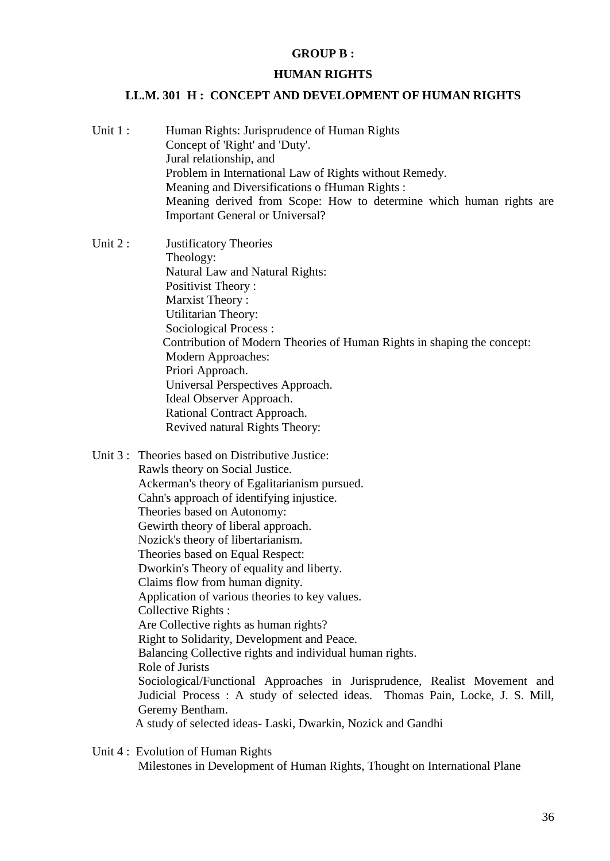#### **GROUP B :**

#### **HUMAN RIGHTS**

#### **LL.M. 301 H : CONCEPT AND DEVELOPMENT OF HUMAN RIGHTS**

Unit 1 : Human Rights: Jurisprudence of Human Rights Concept of 'Right' and 'Duty'. Jural relationship, and Problem in International Law of Rights without Remedy. Meaning and Diversifications o fHuman Rights : Meaning derived from Scope: How to determine which human rights are Important General or Universal?

Unit 2 : Justificatory Theories Theology: Natural Law and Natural Rights: Positivist Theory : Marxist Theory : Utilitarian Theory: Sociological Process : Contribution of Modern Theories of Human Rights in shaping the concept: Modern Approaches: Priori Approach. Universal Perspectives Approach. Ideal Observer Approach. Rational Contract Approach. Revived natural Rights Theory:

- Unit 3 : Theories based on Distributive Justice: Rawls theory on Social Justice. Ackerman's theory of Egalitarianism pursued. Cahn's approach of identifying injustice. Theories based on Autonomy: Gewirth theory of liberal approach. Nozick's theory of libertarianism. Theories based on Equal Respect: Dworkin's Theory of equality and liberty. Claims flow from human dignity. Application of various theories to key values. Collective Rights : Are Collective rights as human rights? Right to Solidarity, Development and Peace. Balancing Collective rights and individual human rights. Role of Jurists Sociological/Functional Approaches in Jurisprudence, Realist Movement and Judicial Process : A study of selected ideas. Thomas Pain, Locke, J. S. Mill, Geremy Bentham. A study of selected ideas- Laski, Dwarkin, Nozick and Gandhi
	- Unit 4 : Evolution of Human Rights Milestones in Development of Human Rights, Thought on International Plane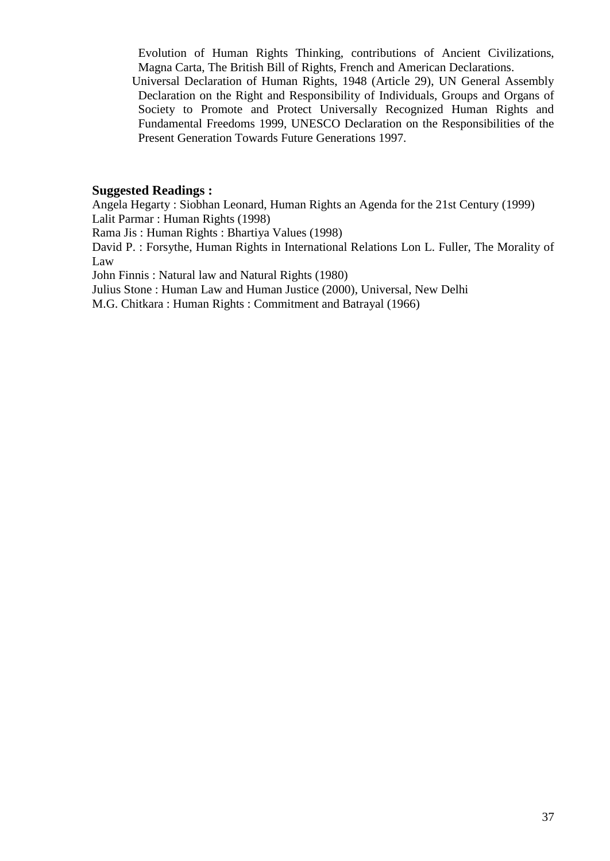Evolution of Human Rights Thinking, contributions of Ancient Civilizations, Magna Carta, The British Bill of Rights, French and American Declarations.

 Universal Declaration of Human Rights, 1948 (Article 29), UN General Assembly Declaration on the Right and Responsibility of Individuals, Groups and Organs of Society to Promote and Protect Universally Recognized Human Rights and Fundamental Freedoms 1999, UNESCO Declaration on the Responsibilities of the Present Generation Towards Future Generations 1997.

#### **Suggested Readings :**

Angela Hegarty : Siobhan Leonard, Human Rights an Agenda for the 21st Century (1999) Lalit Parmar : Human Rights (1998)

Rama Jis : Human Rights : Bhartiya Values (1998)

David P. : Forsythe, Human Rights in International Relations Lon L. Fuller, The Morality of Law

John Finnis : Natural law and Natural Rights (1980)

Julius Stone : Human Law and Human Justice (2000), Universal, New Delhi

M.G. Chitkara : Human Rights : Commitment and Batrayal (1966)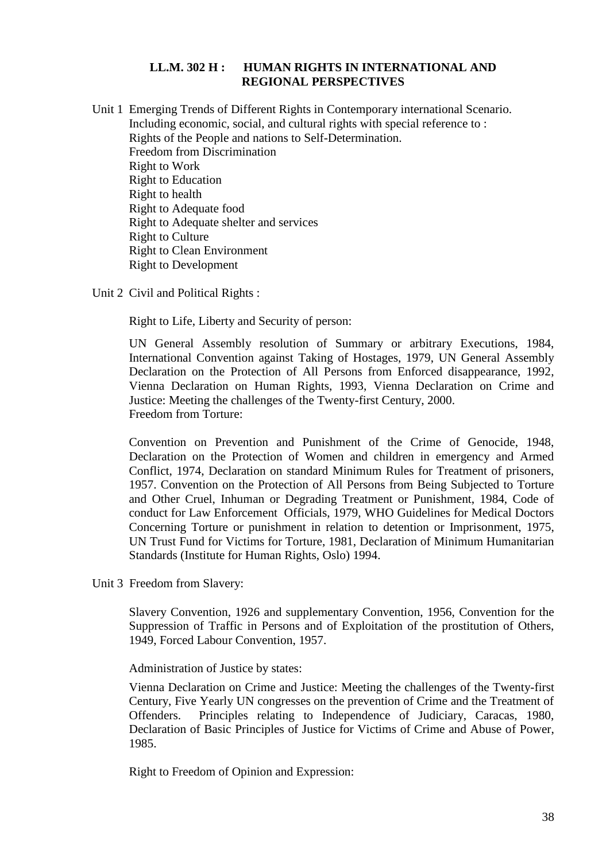### **LL.M. 302 H : HUMAN RIGHTS IN INTERNATIONAL AND REGIONAL PERSPECTIVES**

Unit 1 Emerging Trends of Different Rights in Contemporary international Scenario. Including economic, social, and cultural rights with special reference to : Rights of the People and nations to Self-Determination. Freedom from Discrimination Right to Work Right to Education Right to health Right to Adequate food Right to Adequate shelter and services Right to Culture Right to Clean Environment Right to Development

Unit 2 Civil and Political Rights :

Right to Life, Liberty and Security of person:

UN General Assembly resolution of Summary or arbitrary Executions, 1984, International Convention against Taking of Hostages, 1979, UN General Assembly Declaration on the Protection of All Persons from Enforced disappearance, 1992, Vienna Declaration on Human Rights, 1993, Vienna Declaration on Crime and Justice: Meeting the challenges of the Twenty-first Century, 2000. Freedom from Torture:

Convention on Prevention and Punishment of the Crime of Genocide, 1948, Declaration on the Protection of Women and children in emergency and Armed Conflict, 1974, Declaration on standard Minimum Rules for Treatment of prisoners, 1957. Convention on the Protection of All Persons from Being Subjected to Torture and Other Cruel, Inhuman or Degrading Treatment or Punishment, 1984, Code of conduct for Law Enforcement Officials, 1979, WHO Guidelines for Medical Doctors Concerning Torture or punishment in relation to detention or Imprisonment, 1975, UN Trust Fund for Victims for Torture, 1981, Declaration of Minimum Humanitarian Standards (Institute for Human Rights, Oslo) 1994.

Unit 3 Freedom from Slavery:

Slavery Convention, 1926 and supplementary Convention, 1956, Convention for the Suppression of Traffic in Persons and of Exploitation of the prostitution of Others, 1949, Forced Labour Convention, 1957.

Administration of Justice by states:

Vienna Declaration on Crime and Justice: Meeting the challenges of the Twenty-first Century, Five Yearly UN congresses on the prevention of Crime and the Treatment of Offenders. Principles relating to Independence of Judiciary, Caracas, 1980, Declaration of Basic Principles of Justice for Victims of Crime and Abuse of Power, 1985.

Right to Freedom of Opinion and Expression: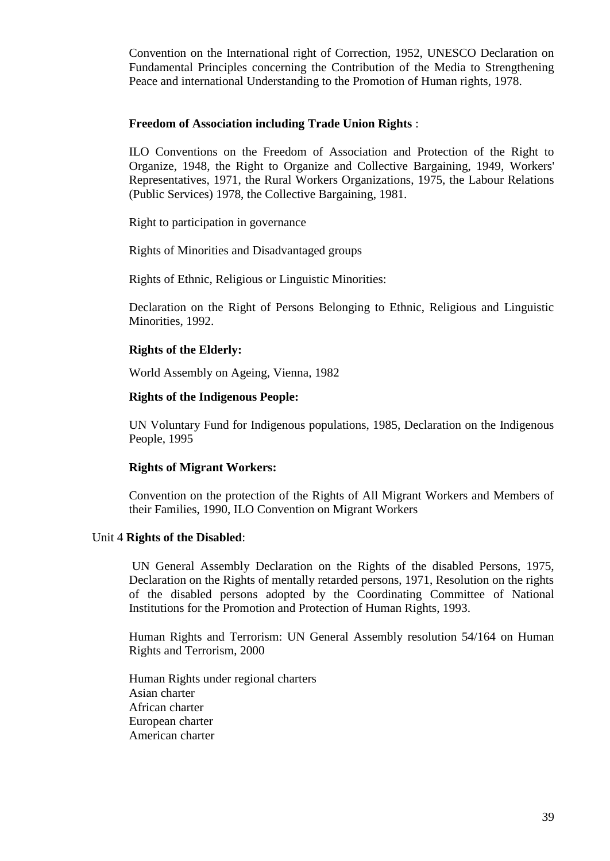Convention on the International right of Correction, 1952, UNESCO Declaration on Fundamental Principles concerning the Contribution of the Media to Strengthening Peace and international Understanding to the Promotion of Human rights, 1978.

#### **Freedom of Association including Trade Union Rights** :

ILO Conventions on the Freedom of Association and Protection of the Right to Organize, 1948, the Right to Organize and Collective Bargaining, 1949, Workers' Representatives, 1971, the Rural Workers Organizations, 1975, the Labour Relations (Public Services) 1978, the Collective Bargaining, 1981.

Right to participation in governance

Rights of Minorities and Disadvantaged groups

Rights of Ethnic, Religious or Linguistic Minorities:

Declaration on the Right of Persons Belonging to Ethnic, Religious and Linguistic Minorities, 1992.

#### **Rights of the Elderly:**

World Assembly on Ageing, Vienna, 1982

#### **Rights of the Indigenous People:**

UN Voluntary Fund for Indigenous populations, 1985, Declaration on the Indigenous People, 1995

#### **Rights of Migrant Workers:**

Convention on the protection of the Rights of All Migrant Workers and Members of their Families, 1990, ILO Convention on Migrant Workers

#### Unit 4 **Rights of the Disabled**:

UN General Assembly Declaration on the Rights of the disabled Persons, 1975, Declaration on the Rights of mentally retarded persons, 1971, Resolution on the rights of the disabled persons adopted by the Coordinating Committee of National Institutions for the Promotion and Protection of Human Rights, 1993.

Human Rights and Terrorism: UN General Assembly resolution 54/164 on Human Rights and Terrorism, 2000

Human Rights under regional charters Asian charter African charter European charter American charter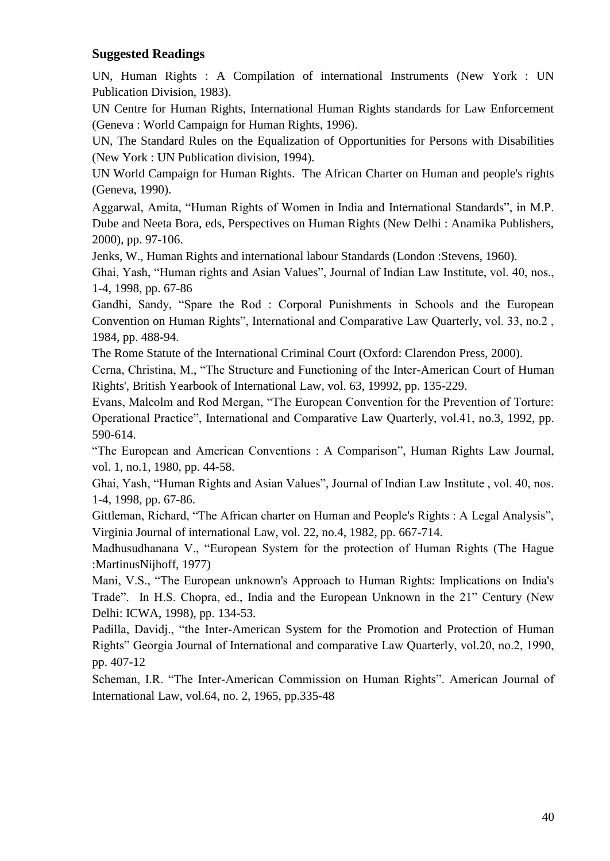## **Suggested Readings**

UN, Human Rights : A Compilation of international Instruments (New York : UN Publication Division, 1983).

UN Centre for Human Rights, International Human Rights standards for Law Enforcement (Geneva : World Campaign for Human Rights, 1996).

UN, The Standard Rules on the Equalization of Opportunities for Persons with Disabilities (New York : UN Publication division, 1994).

UN World Campaign for Human Rights. The African Charter on Human and people's rights (Geneva, 1990).

Aggarwal, Amita, "Human Rights of Women in India and International Standards", in M.P. Dube and Neeta Bora, eds, Perspectives on Human Rights (New Delhi : Anamika Publishers, 2000), pp. 97-106.

Jenks, W., Human Rights and international labour Standards (London :Stevens, 1960).

Ghai, Yash, "Human rights and Asian Values", Journal of Indian Law Institute, vol. 40, nos., 1-4, 1998, pp. 67-86

Gandhi, Sandy, "Spare the Rod : Corporal Punishments in Schools and the European Convention on Human Rights", International and Comparative Law Quarterly, vol. 33, no.2 , 1984, pp. 488-94.

The Rome Statute of the International Criminal Court (Oxford: Clarendon Press, 2000).

Cerna, Christina, M., "The Structure and Functioning of the Inter-American Court of Human Rights', British Yearbook of International Law, vol. 63, 19992, pp. 135-229.

Evans, Malcolm and Rod Mergan, "The European Convention for the Prevention of Torture: Operational Practice", International and Comparative Law Quarterly, vol.41, no.3, 1992, pp. 590-614.

"The European and American Conventions : A Comparison", Human Rights Law Journal, vol. 1, no.1, 1980, pp. 44-58.

Ghai, Yash, "Human Rights and Asian Values", Journal of Indian Law Institute , vol. 40, nos. 1-4, 1998, pp. 67-86.

Gittleman, Richard, "The African charter on Human and People's Rights : A Legal Analysis", Virginia Journal of international Law, vol. 22, no.4, 1982, pp. 667-714.

Madhusudhanana V., "European System for the protection of Human Rights (The Hague :MartinusNijhoff, 1977)

Mani, V.S., "The European unknown's Approach to Human Rights: Implications on India's Trade". In H.S. Chopra, ed., India and the European Unknown in the 21" Century (New Delhi: ICWA, 1998), pp. 134-53.

Padilla, Davidj., "the Inter-American System for the Promotion and Protection of Human Rights" Georgia Journal of International and comparative Law Quarterly, vol.20, no.2, 1990, pp. 407-12

Scheman, I.R. "The Inter-American Commission on Human Rights". American Journal of International Law, vol.64, no. 2, 1965, pp.335-48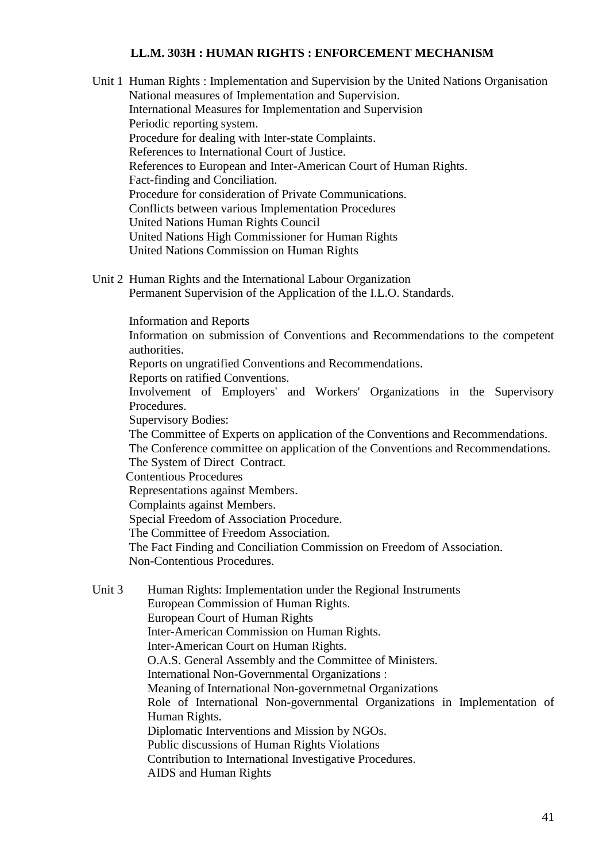#### **LL.M. 303H : HUMAN RIGHTS : ENFORCEMENT MECHANISM**

- Unit 1 Human Rights : Implementation and Supervision by the United Nations Organisation National measures of Implementation and Supervision. International Measures for Implementation and Supervision Periodic reporting system. Procedure for dealing with Inter-state Complaints. References to International Court of Justice. References to European and Inter-American Court of Human Rights. Fact-finding and Conciliation. Procedure for consideration of Private Communications. Conflicts between various Implementation Procedures United Nations Human Rights Council United Nations High Commissioner for Human Rights United Nations Commission on Human Rights
- Unit 2 Human Rights and the International Labour Organization Permanent Supervision of the Application of the I.L.O. Standards.

Information and Reports

Information on submission of Conventions and Recommendations to the competent authorities.

Reports on ungratified Conventions and Recommendations.

Reports on ratified Conventions.

Involvement of Employers' and Workers' Organizations in the Supervisory Procedures.

Supervisory Bodies:

The Committee of Experts on application of the Conventions and Recommendations.

The Conference committee on application of the Conventions and Recommendations.

The System of Direct Contract.

Contentious Procedures

Representations against Members.

Complaints against Members.

Special Freedom of Association Procedure.

The Committee of Freedom Association.

The Fact Finding and Conciliation Commission on Freedom of Association.

Non-Contentious Procedures.

Unit 3 Human Rights: Implementation under the Regional Instruments European Commission of Human Rights. European Court of Human Rights Inter-American Commission on Human Rights. Inter-American Court on Human Rights. O.A.S. General Assembly and the Committee of Ministers. International Non-Governmental Organizations : Meaning of International Non-governmetnal Organizations Role of International Non-governmental Organizations in Implementation of Human Rights. Diplomatic Interventions and Mission by NGOs. Public discussions of Human Rights Violations Contribution to International Investigative Procedures. AIDS and Human Rights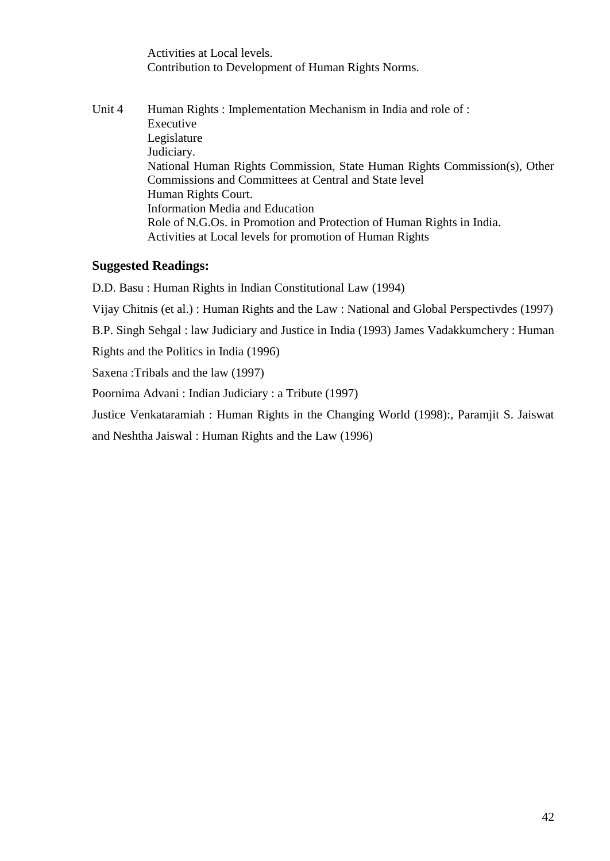Activities at Local levels. Contribution to Development of Human Rights Norms.

Unit 4 Human Rights : Implementation Mechanism in India and role of : Executive Legislature Judiciary. National Human Rights Commission, State Human Rights Commission(s), Other Commissions and Committees at Central and State level Human Rights Court. Information Media and Education Role of N.G.Os. in Promotion and Protection of Human Rights in India. Activities at Local levels for promotion of Human Rights

# **Suggested Readings:**

D.D. Basu : Human Rights in Indian Constitutional Law (1994) Vijay Chitnis (et al.) : Human Rights and the Law : National and Global Perspectivdes (1997)

B.P. Singh Sehgal : law Judiciary and Justice in India (1993) James Vadakkumchery : Human

Rights and the Politics in India (1996)

Saxena :Tribals and the law (1997)

Poornima Advani : Indian Judiciary : a Tribute (1997)

Justice Venkataramiah : Human Rights in the Changing World (1998):, Paramjit S. Jaiswat

and Neshtha Jaiswal : Human Rights and the Law (1996)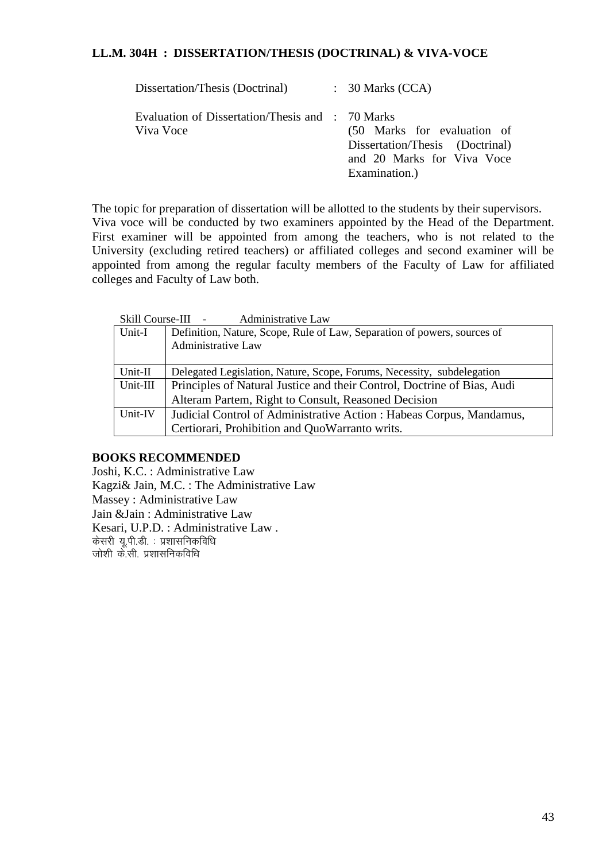#### **LL.M. 304H : DISSERTATION/THESIS (DOCTRINAL) & VIVA-VOCE**

| Dissertation/Thesis (Doctrinal)                               | $\therefore$ 30 Marks (CCA)                                                                                   |
|---------------------------------------------------------------|---------------------------------------------------------------------------------------------------------------|
| Evaluation of Dissertation/Thesis and : 70 Marks<br>Viva Voce | (50 Marks for evaluation of<br>Dissertation/Thesis (Doctrinal)<br>and 20 Marks for Viva Voce<br>Examination.) |

The topic for preparation of dissertation will be allotted to the students by their supervisors. Viva voce will be conducted by two examiners appointed by the Head of the Department. First examiner will be appointed from among the teachers, who is not related to the University (excluding retired teachers) or affiliated colleges and second examiner will be appointed from among the regular faculty members of the Faculty of Law for affiliated colleges and Faculty of Law both.

|          | Skill Course-III -<br><b>Administrative Law</b>                          |
|----------|--------------------------------------------------------------------------|
| Unit-I   | Definition, Nature, Scope, Rule of Law, Separation of powers, sources of |
|          | Administrative Law                                                       |
|          |                                                                          |
| Unit-II  | Delegated Legislation, Nature, Scope, Forums, Necessity, subdelegation   |
| Unit-III | Principles of Natural Justice and their Control, Doctrine of Bias, Audi  |
|          | Alteram Partem, Right to Consult, Reasoned Decision                      |
| Unit-IV  | Judicial Control of Administrative Action : Habeas Corpus, Mandamus,     |
|          | Certiorari, Prohibition and QuoWarranto writs.                           |

### **BOOKS RECOMMENDED**

Joshi, K.C. : Administrative Law Kagzi& Jain, M.C. : The Administrative Law Massey : Administrative Law Jain &Jain : Administrative Law Kesari, U.P.D. : Administrative Law . केसरी यू.पी.डी. : प्रशासनिकविधि जोशी के.सी. प्रशासनिकविधि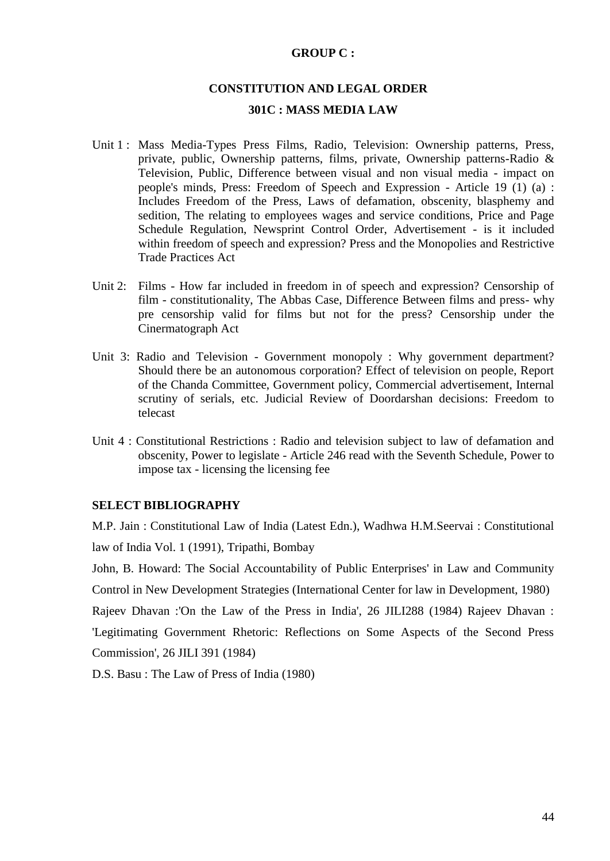#### **GROUP C :**

# **CONSTITUTION AND LEGAL ORDER 301C : MASS MEDIA LAW**

- Unit 1 : Mass Media-Types Press Films, Radio, Television: Ownership patterns, Press, private, public, Ownership patterns, films, private, Ownership patterns-Radio & Television, Public, Difference between visual and non visual media - impact on people's minds, Press: Freedom of Speech and Expression - Article 19 (1) (a) : Includes Freedom of the Press, Laws of defamation, obscenity, blasphemy and sedition, The relating to employees wages and service conditions, Price and Page Schedule Regulation, Newsprint Control Order, Advertisement - is it included within freedom of speech and expression? Press and the Monopolies and Restrictive Trade Practices Act
- Unit 2: Films How far included in freedom in of speech and expression? Censorship of film - constitutionality, The Abbas Case, Difference Between films and press- why pre censorship valid for films but not for the press? Censorship under the Cinermatograph Act
- Unit 3: Radio and Television Government monopoly : Why government department? Should there be an autonomous corporation? Effect of television on people, Report of the Chanda Committee, Government policy, Commercial advertisement, Internal scrutiny of serials, etc. Judicial Review of Doordarshan decisions: Freedom to telecast
- Unit 4 : Constitutional Restrictions : Radio and television subject to law of defamation and obscenity, Power to legislate - Article 246 read with the Seventh Schedule, Power to impose tax - licensing the licensing fee

#### **SELECT BIBLIOGRAPHY**

M.P. Jain : Constitutional Law of India (Latest Edn.), Wadhwa H.M.Seervai : Constitutional law of India Vol. 1 (1991), Tripathi, Bombay

John, B. Howard: The Social Accountability of Public Enterprises' in Law and Community Control in New Development Strategies (International Center for law in Development, 1980) Rajeev Dhavan :'On the Law of the Press in India', 26 JILI288 (1984) Rajeev Dhavan : 'Legitimating Government Rhetoric: Reflections on Some Aspects of the Second Press

Commission', 26 JILI 391 (1984)

D.S. Basu : The Law of Press of India (1980)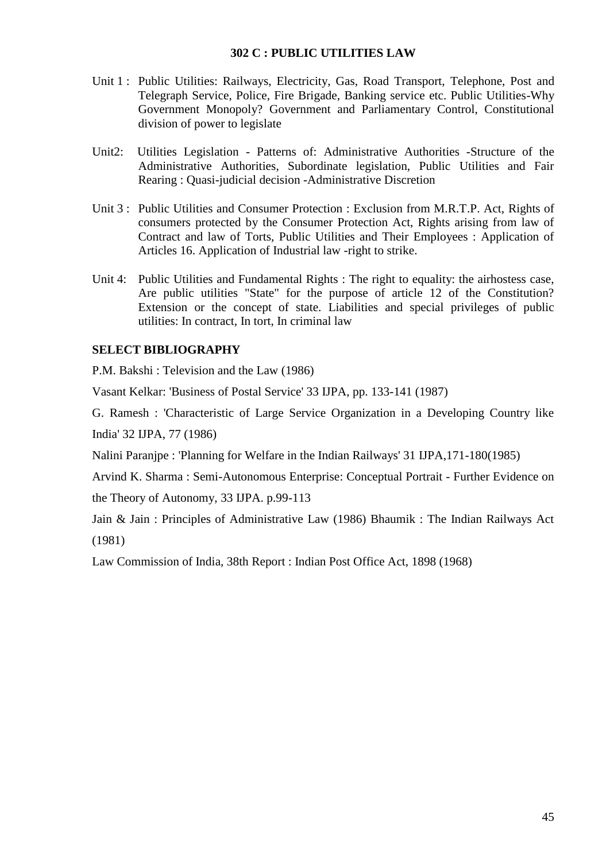#### **302 C : PUBLIC UTILITIES LAW**

- Unit 1 : Public Utilities: Railways, Electricity, Gas, Road Transport, Telephone, Post and Telegraph Service, Police, Fire Brigade, Banking service etc. Public Utilities-Why Government Monopoly? Government and Parliamentary Control, Constitutional division of power to legislate
- Unit2: Utilities Legislation Patterns of: Administrative Authorities -Structure of the Administrative Authorities, Subordinate legislation, Public Utilities and Fair Rearing : Quasi-judicial decision -Administrative Discretion
- Unit 3 : Public Utilities and Consumer Protection : Exclusion from M.R.T.P. Act, Rights of consumers protected by the Consumer Protection Act, Rights arising from law of Contract and law of Torts, Public Utilities and Their Employees : Application of Articles 16. Application of Industrial law -right to strike.
- Unit 4: Public Utilities and Fundamental Rights : The right to equality: the airhostess case, Are public utilities "State" for the purpose of article 12 of the Constitution? Extension or the concept of state. Liabilities and special privileges of public utilities: In contract, In tort, In criminal law

### **SELECT BIBLIOGRAPHY**

P.M. Bakshi : Television and the Law (1986)

Vasant Kelkar: 'Business of Postal Service' 33 IJPA, pp. 133-141 (1987)

G. Ramesh : 'Characteristic of Large Service Organization in a Developing Country like India' 32 IJPA, 77 (1986)

Nalini Paranjpe : 'Planning for Welfare in the Indian Railways' 31 IJPA,171-180(1985)

Arvind K. Sharma : Semi-Autonomous Enterprise: Conceptual Portrait - Further Evidence on the Theory of Autonomy, 33 IJPA. p.99-113

Jain & Jain : Principles of Administrative Law (1986) Bhaumik : The Indian Railways Act (1981)

Law Commission of India, 38th Report : Indian Post Office Act, 1898 (1968)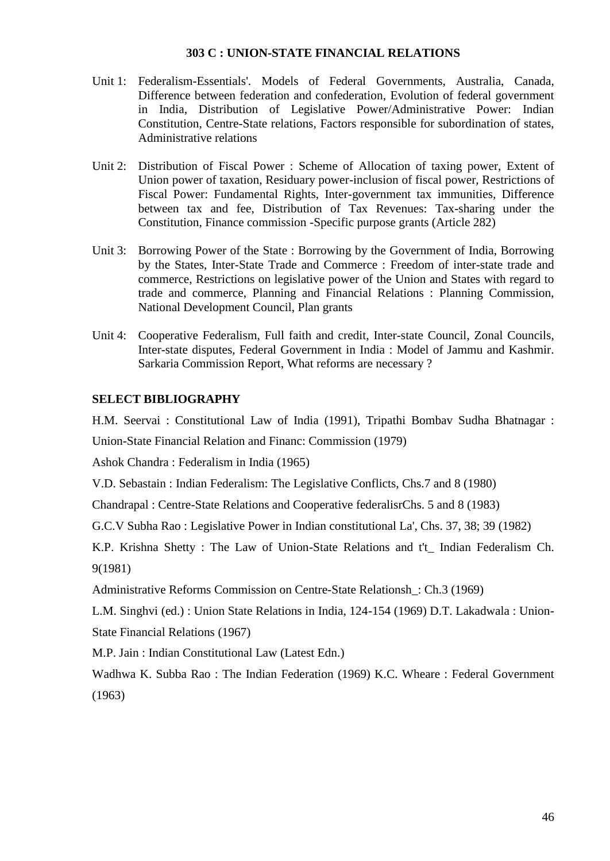#### **303 C : UNION-STATE FINANCIAL RELATIONS**

- Unit 1: Federalism-Essentials'. Models of Federal Governments, Australia, Canada, Difference between federation and confederation, Evolution of federal government in India, Distribution of Legislative Power/Administrative Power: Indian Constitution, Centre-State relations, Factors responsible for subordination of states, Administrative relations
- Unit 2: Distribution of Fiscal Power : Scheme of Allocation of taxing power, Extent of Union power of taxation, Residuary power-inclusion of fiscal power, Restrictions of Fiscal Power: Fundamental Rights, Inter-government tax immunities, Difference between tax and fee, Distribution of Tax Revenues: Tax-sharing under the Constitution, Finance commission -Specific purpose grants (Article 282)
- Unit 3: Borrowing Power of the State : Borrowing by the Government of India, Borrowing by the States, Inter-State Trade and Commerce : Freedom of inter-state trade and commerce, Restrictions on legislative power of the Union and States with regard to trade and commerce, Planning and Financial Relations : Planning Commission, National Development Council, Plan grants
- Unit 4: Cooperative Federalism, Full faith and credit, Inter-state Council, Zonal Councils, Inter-state disputes, Federal Government in India : Model of Jammu and Kashmir. Sarkaria Commission Report, What reforms are necessary ?

#### **SELECT BIBLIOGRAPHY**

H.M. Seervai : Constitutional Law of India (1991), Tripathi Bombav Sudha Bhatnagar :

Union-State Financial Relation and Financ: Commission (1979)

Ashok Chandra : Federalism in India (1965)

V.D. Sebastain : Indian Federalism: The Legislative Conflicts, Chs.7 and 8 (1980)

Chandrapal : Centre-State Relations and Cooperative federalisrChs. 5 and 8 (1983)

G.C.V Subha Rao : Legislative Power in Indian constitutional La', Chs. 37, 38; 39 (1982)

K.P. Krishna Shetty : The Law of Union-State Relations and t't\_ Indian Federalism Ch. 9(1981)

Administrative Reforms Commission on Centre-State Relationsh\_: Ch.3 (1969)

L.M. Singhvi (ed.) : Union State Relations in India, 124-154 (1969) D.T. Lakadwala : Union-

State Financial Relations (1967)

M.P. Jain : Indian Constitutional Law (Latest Edn.)

Wadhwa K. Subba Rao : The Indian Federation (1969) K.C. Wheare : Federal Government (1963)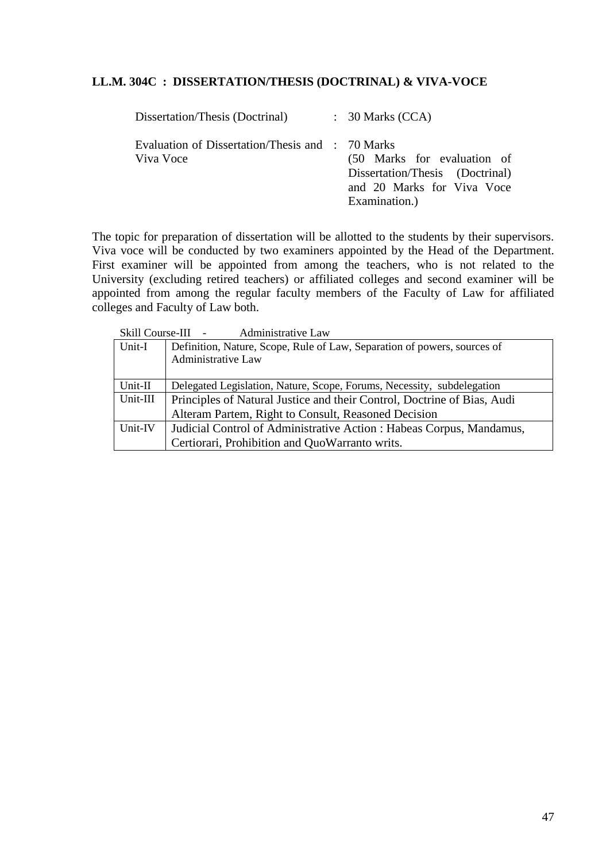#### **LL.M. 304C : DISSERTATION/THESIS (DOCTRINAL) & VIVA-VOCE**

| Dissertation/Thesis (Doctrinal)                               | $\therefore$ 30 Marks (CCA)                                                                                   |
|---------------------------------------------------------------|---------------------------------------------------------------------------------------------------------------|
| Evaluation of Dissertation/Thesis and : 70 Marks<br>Viva Voce | (50 Marks for evaluation of<br>Dissertation/Thesis (Doctrinal)<br>and 20 Marks for Viva Voce<br>Examination.) |

The topic for preparation of dissertation will be allotted to the students by their supervisors. Viva voce will be conducted by two examiners appointed by the Head of the Department. First examiner will be appointed from among the teachers, who is not related to the University (excluding retired teachers) or affiliated colleges and second examiner will be appointed from among the regular faculty members of the Faculty of Law for affiliated colleges and Faculty of Law both.

|          | <b>Administrative Law</b><br>Skill Course-III -                          |
|----------|--------------------------------------------------------------------------|
| Unit-I   | Definition, Nature, Scope, Rule of Law, Separation of powers, sources of |
|          | Administrative Law                                                       |
|          |                                                                          |
| Unit-II  | Delegated Legislation, Nature, Scope, Forums, Necessity, subdelegation   |
| Unit-III | Principles of Natural Justice and their Control, Doctrine of Bias, Audi  |
|          | Alteram Partem, Right to Consult, Reasoned Decision                      |
| Unit-IV  | Judicial Control of Administrative Action : Habeas Corpus, Mandamus,     |
|          | Certiorari, Prohibition and QuoWarranto writs.                           |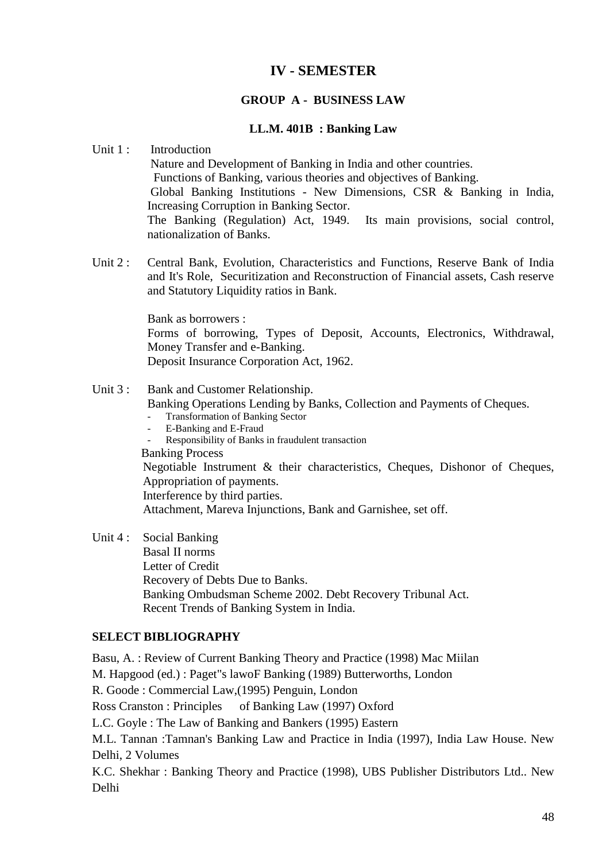# **IV - SEMESTER**

### **GROUP A - BUSINESS LAW**

#### **LL.M. 401B : Banking Law**

#### Unit 1: Introduction

Nature and Development of Banking in India and other countries. Functions of Banking, various theories and objectives of Banking. Global Banking Institutions - New Dimensions, CSR & Banking in India, Increasing Corruption in Banking Sector. The Banking (Regulation) Act, 1949. Its main provisions, social control, nationalization of Banks.

Unit 2 : Central Bank, Evolution, Characteristics and Functions, Reserve Bank of India and It's Role, Securitization and Reconstruction of Financial assets, Cash reserve and Statutory Liquidity ratios in Bank.

Bank as borrowers :

Forms of borrowing, Types of Deposit, Accounts, Electronics, Withdrawal, Money Transfer and e-Banking.

Deposit Insurance Corporation Act, 1962.

#### Unit 3 : Bank and Customer Relationship.

Banking Operations Lending by Banks, Collection and Payments of Cheques.

- Transformation of Banking Sector
- E-Banking and E-Fraud
- Responsibility of Banks in fraudulent transaction
- Banking Process

Negotiable Instrument & their characteristics, Cheques, Dishonor of Cheques, Appropriation of payments.

Interference by third parties.

Attachment, Mareva Injunctions, Bank and Garnishee, set off.

Unit 4: Social Banking Basal II norms Letter of Credit Recovery of Debts Due to Banks. Banking Ombudsman Scheme 2002. Debt Recovery Tribunal Act. Recent Trends of Banking System in India.

### **SELECT BIBLIOGRAPHY**

Basu, A. : Review of Current Banking Theory and Practice (1998) Mac Miilan M. Hapgood (ed.) : Paget"s lawoF Banking (1989) Butterworths, London R. Goode : Commercial Law,(1995) Penguin, London Ross Cranston : Principles of Banking Law (1997) Oxford L.C. Goyle : The Law of Banking and Bankers (1995) Eastern M.L. Tannan :Tamnan's Banking Law and Practice in India (1997), India Law House. New Delhi, 2 Volumes K.C. Shekhar : Banking Theory and Practice (1998), UBS Publisher Distributors Ltd.. New Delhi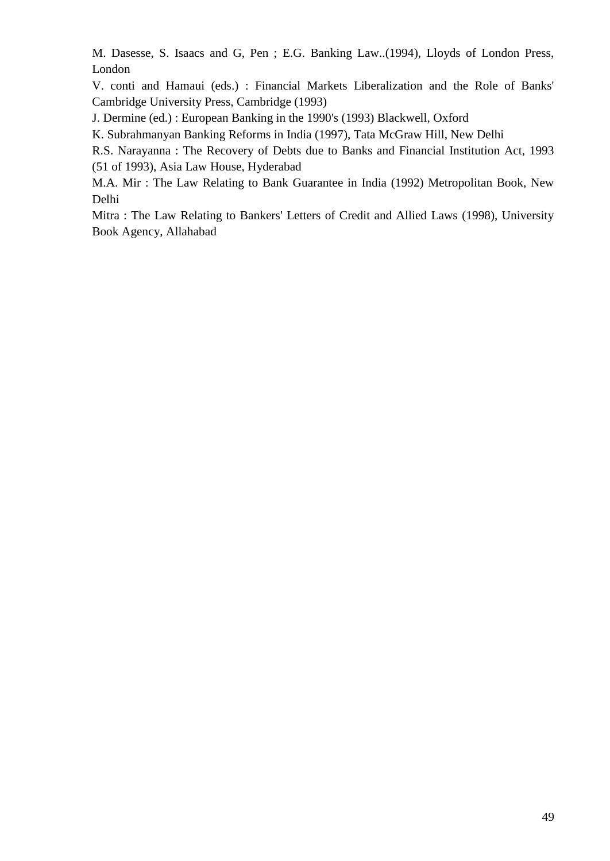M. Dasesse, S. Isaacs and G, Pen ; E.G. Banking Law..(1994), Lloyds of London Press, London

V. conti and Hamaui (eds.) : Financial Markets Liberalization and the Role of Banks' Cambridge University Press, Cambridge (1993)

J. Dermine (ed.) : European Banking in the 1990's (1993) Blackwell, Oxford

K. Subrahmanyan Banking Reforms in India (1997), Tata McGraw Hill, New Delhi

R.S. Narayanna : The Recovery of Debts due to Banks and Financial Institution Act, 1993 (51 of 1993), Asia Law House, Hyderabad

M.A. Mir : The Law Relating to Bank Guarantee in India (1992) Metropolitan Book, New Delhi

Mitra : The Law Relating to Bankers' Letters of Credit and Allied Laws (1998), University Book Agency, Allahabad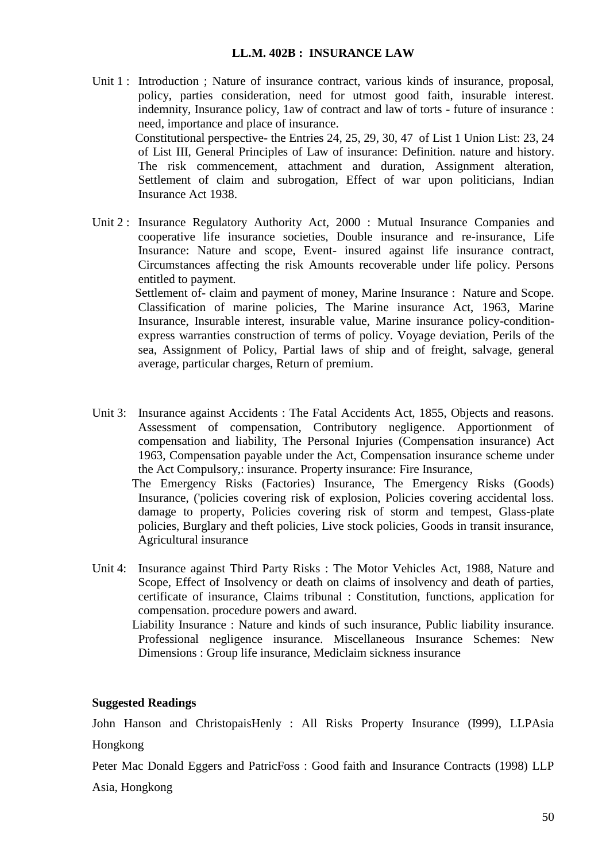#### **LL.M. 402B : INSURANCE LAW**

- Unit 1 : Introduction ; Nature of insurance contract, various kinds of insurance, proposal, policy, parties consideration, need for utmost good faith, insurable interest. indemnity, Insurance policy, 1aw of contract and law of torts - future of insurance : need, importance and place of insurance. Constitutional perspective- the Entries 24, 25, 29, 30, 47 of List 1 Union List: 23, 24 of List III, General Principles of Law of insurance: Definition. nature and history. The risk commencement, attachment and duration, Assignment alteration, Settlement of claim and subrogation, Effect of war upon politicians, Indian Insurance Act 1938.
- Unit 2 : Insurance Regulatory Authority Act, 2000 : Mutual Insurance Companies and cooperative life insurance societies, Double insurance and re-insurance, Life Insurance: Nature and scope, Event- insured against life insurance contract, Circumstances affecting the risk Amounts recoverable under life policy. Persons entitled to payment.

Settlement of- claim and payment of money, Marine Insurance : Nature and Scope. Classification of marine policies, The Marine insurance Act, 1963, Marine Insurance, Insurable interest, insurable value, Marine insurance policy-conditionexpress warranties construction of terms of policy. Voyage deviation, Perils of the sea, Assignment of Policy, Partial laws of ship and of freight, salvage, general average, particular charges, Return of premium.

Unit 3: Insurance against Accidents : The Fatal Accidents Act, 1855, Objects and reasons. Assessment of compensation, Contributory negligence. Apportionment of compensation and liability, The Personal Injuries (Compensation insurance) Act 1963, Compensation payable under the Act, Compensation insurance scheme under the Act Compulsory,: insurance. Property insurance: Fire Insurance,

The Emergency Risks (Factories) Insurance, The Emergency Risks (Goods) Insurance, ('policies covering risk of explosion, Policies covering accidental loss. damage to property, Policies covering risk of storm and tempest, Glass-plate policies, Burglary and theft policies, Live stock policies, Goods in transit insurance, Agricultural insurance

- Unit 4: Insurance against Third Party Risks : The Motor Vehicles Act, 1988, Nature and Scope, Effect of Insolvency or death on claims of insolvency and death of parties, certificate of insurance, Claims tribunal : Constitution, functions, application for compensation. procedure powers and award.
	- Liability Insurance : Nature and kinds of such insurance, Public liability insurance. Professional negligence insurance. Miscellaneous Insurance Schemes: New Dimensions : Group life insurance, Mediclaim sickness insurance

#### **Suggested Readings**

John Hanson and ChristopaisHenly : All Risks Property Insurance (I999), LLPAsia Hongkong

Peter Mac Donald Eggers and PatricFoss : Good faith and Insurance Contracts (1998) LLP

Asia, Hongkong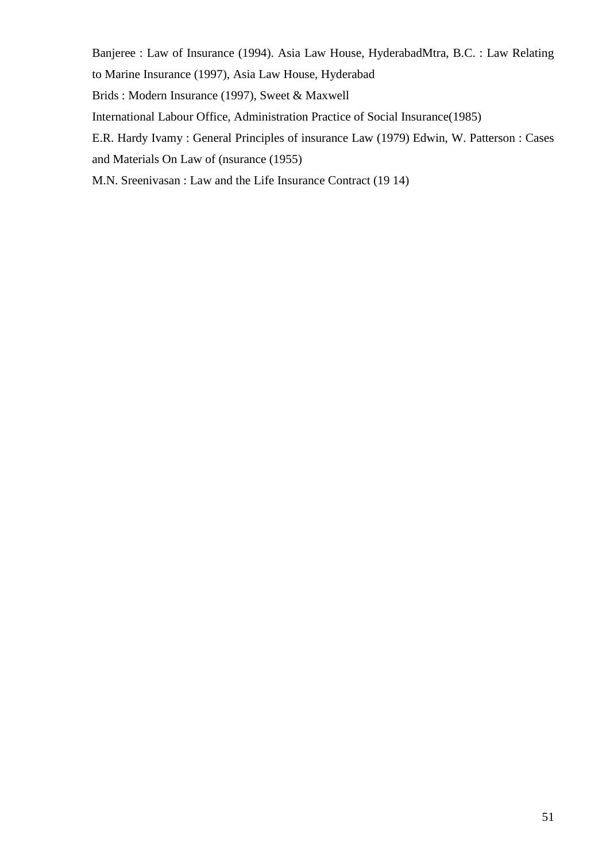Banjeree : Law of Insurance (1994). Asia Law House, HyderabadMtra, B.C. : Law Relating to Marine Insurance (1997), Asia Law House, Hyderabad Brids : Modern Insurance (1997), Sweet & Maxwell International Labour Office, Administration Practice of Social Insurance(1985) E.R. Hardy Ivamy : General Principles of insurance Law (1979) Edwin, W. Patterson : Cases

and Materials On Law of (nsurance (1955)

M.N. Sreenivasan : Law and the Life Insurance Contract (19 14)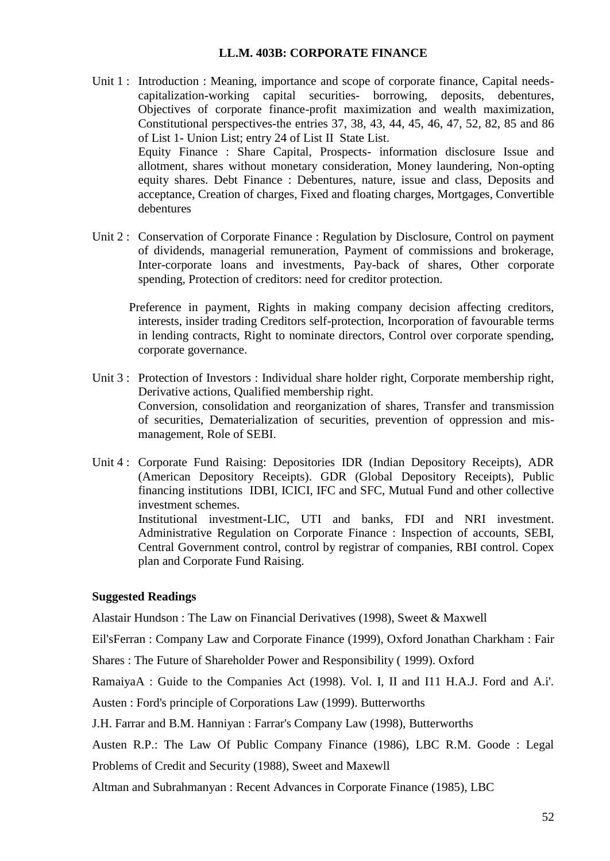#### **LL.M. 403B: CORPORATE FINANCE**

- Unit 1 : Introduction : Meaning, importance and scope of corporate finance, Capital needscapitalization-working capital securities- borrowing, deposits, debentures, Objectives of corporate finance-profit maximization and wealth maximization, Constitutional perspectives-the entries 37, 38, 43, 44, 45, 46, 47, 52, 82, 85 and 86 of List 1- Union List; entry 24 of List II State List. Equity Finance : Share Capital, Prospects- information disclosure Issue and allotment, shares without monetary consideration, Money laundering, Non-opting equity shares. Debt Finance : Debentures, nature, issue and class, Deposits and acceptance, Creation of charges, Fixed and floating charges, Mortgages, Convertible debentures
- Unit 2 : Conservation of Corporate Finance : Regulation by Disclosure, Control on payment of dividends, managerial remuneration, Payment of commissions and brokerage, Inter-corporate loans and investments, Pay-back of shares, Other corporate spending, Protection of creditors: need for creditor protection.
	- Preference in payment, Rights in making company decision affecting creditors, interests, insider trading Creditors self-protection, Incorporation of favourable terms in lending contracts, Right to nominate directors, Control over corporate spending, corporate governance.
- Unit 3 : Protection of Investors : Individual share holder right, Corporate membership right, Derivative actions, Qualified membership right. Conversion, consolidation and reorganization of shares, Transfer and transmission of securities, Dematerialization of securities, prevention of oppression and mismanagement, Role of SEBI.
- Unit 4 : Corporate Fund Raising: Depositories IDR (Indian Depository Receipts), ADR (American Depository Receipts). GDR (Global Depository Receipts), Public financing institutions IDBI, ICICI, IFC and SFC, Mutual Fund and other collective investment schemes. Institutional investment-LIC, UTI and banks, FDI and NRI investment. Administrative Regulation on Corporate Finance : Inspection of accounts, SEBI, Central Government control, control by registrar of companies, RBI control. Copex plan and Corporate Fund Raising.

#### **Suggested Readings**

Alastair Hundson : The Law on Financial Derivatives (1998), Sweet & Maxwell

Eil'sFerran : Company Law and Corporate Finance (1999), Oxford Jonathan Charkham : Fair

Shares : The Future of Shareholder Power and Responsibility ( 1999). Oxford

RamaiyaA : Guide to the Companies Act (1998). Vol. I, II and I11 H.A.J. Ford and A.i'.

Austen : Ford's principle of Corporations Law (1999). Butterworths

J.H. Farrar and B.M. Hanniyan : Farrar's Company Law (1998), Butterworths

Austen R.P.: The Law Of Public Company Finance (1986), LBC R.M. Goode : Legal Problems of Credit and Security (1988), Sweet and Maxewll

Altman and Subrahmanyan : Recent Advances in Corporate Finance (1985), LBC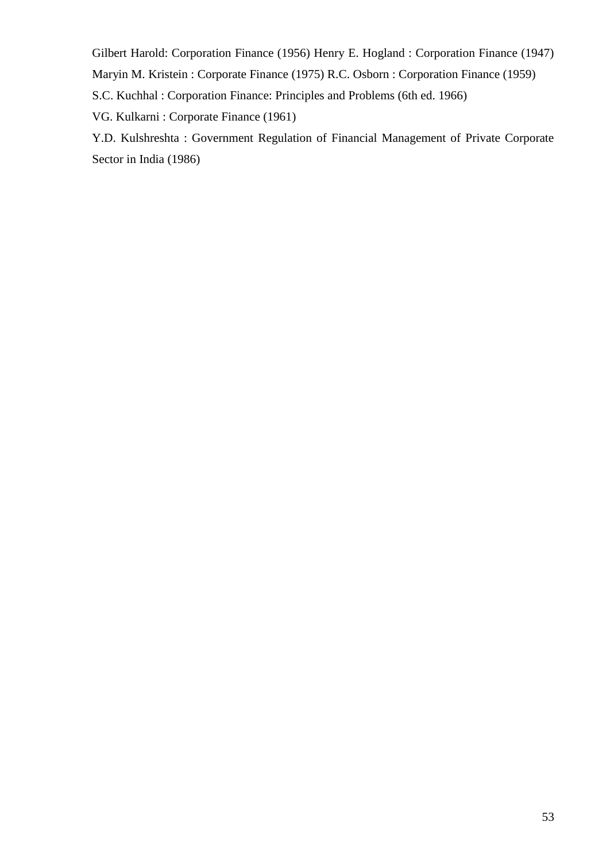Gilbert Harold: Corporation Finance (1956) Henry E. Hogland : Corporation Finance (1947) Maryin M. Kristein : Corporate Finance (1975) R.C. Osborn : Corporation Finance (1959)

S.C. Kuchhal : Corporation Finance: Principles and Problems (6th ed. 1966)

VG. Kulkarni : Corporate Finance (1961)

Y.D. Kulshreshta : Government Regulation of Financial Management of Private Corporate Sector in India (1986)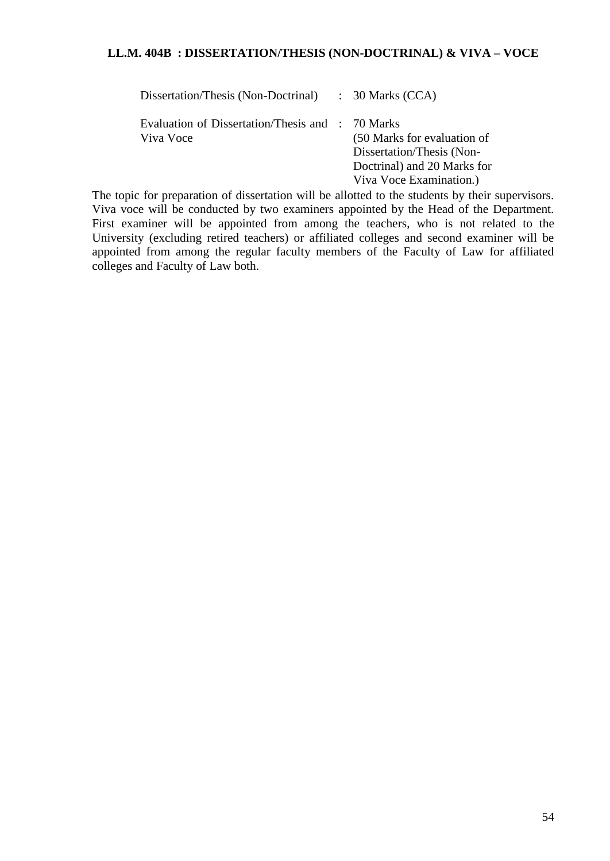### **LL.M. 404B : DISSERTATION/THESIS (NON-DOCTRINAL) & VIVA – VOCE**

| Dissertation/Thesis (Non-Doctrinal)                           | $\therefore$ 30 Marks (CCA)                                                                                        |
|---------------------------------------------------------------|--------------------------------------------------------------------------------------------------------------------|
| Evaluation of Dissertation/Thesis and : 70 Marks<br>Viva Voce | (50 Marks for evaluation of<br>Dissertation/Thesis (Non-<br>Doctrinal) and 20 Marks for<br>Viva Voce Examination.) |

The topic for preparation of dissertation will be allotted to the students by their supervisors. Viva voce will be conducted by two examiners appointed by the Head of the Department. First examiner will be appointed from among the teachers, who is not related to the University (excluding retired teachers) or affiliated colleges and second examiner will be appointed from among the regular faculty members of the Faculty of Law for affiliated colleges and Faculty of Law both.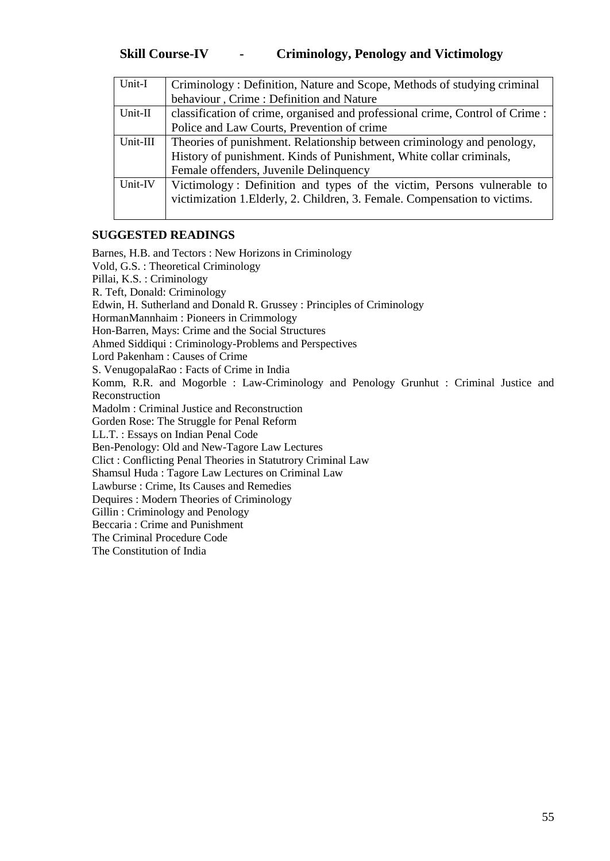| Unit-I   | Criminology: Definition, Nature and Scope, Methods of studying criminal      |
|----------|------------------------------------------------------------------------------|
|          | behaviour, Crime: Definition and Nature                                      |
| Unit-II  | classification of crime, organised and professional crime, Control of Crime: |
|          | Police and Law Courts, Prevention of crime                                   |
| Unit-III | Theories of punishment. Relationship between criminology and penology,       |
|          | History of punishment. Kinds of Punishment, White collar criminals,          |
|          | Female offenders, Juvenile Delinquency                                       |
| Unit-IV  | Victimology: Definition and types of the victim, Persons vulnerable to       |
|          | victimization 1. Elderly, 2. Children, 3. Female. Compensation to victims.   |
|          |                                                                              |

#### **SUGGESTED READINGS**

Barnes, H.B. and Tectors : New Horizons in Criminology Vold, G.S. : Theoretical Criminology Pillai, K.S. : Criminology R. Teft, Donald: Criminology Edwin, H. Sutherland and Donald R. Grussey : Principles of Criminology HormanMannhaim : Pioneers in Crimmology Hon-Barren, Mays: Crime and the Social Structures Ahmed Siddiqui : Criminology-Problems and Perspectives Lord Pakenham : Causes of Crime S. VenugopalaRao : Facts of Crime in India Komm, R.R. and Mogorble : Law-Criminology and Penology Grunhut : Criminal Justice and Reconstruction Madolm : Criminal Justice and Reconstruction Gorden Rose: The Struggle for Penal Reform LL.T. : Essays on Indian Penal Code Ben-Penology: Old and New-Tagore Law Lectures Clict : Conflicting Penal Theories in Statutrory Criminal Law Shamsul Huda : Tagore Law Lectures on Criminal Law Lawburse : Crime, Its Causes and Remedies Dequires : Modern Theories of Criminology Gillin : Criminology and Penology Beccaria : Crime and Punishment The Criminal Procedure Code The Constitution of India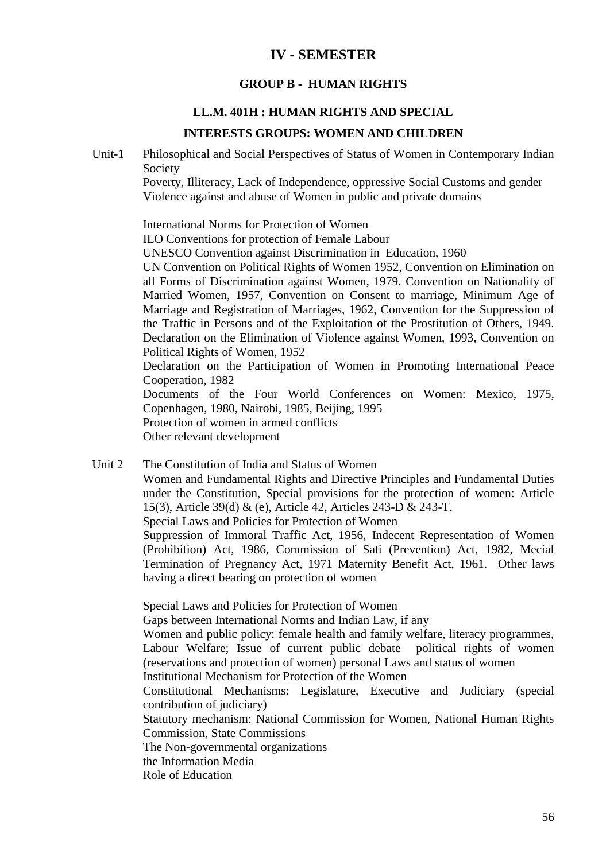# **IV - SEMESTER**

#### **GROUP B - HUMAN RIGHTS**

#### **LL.M. 401H : HUMAN RIGHTS AND SPECIAL**

#### **INTERESTS GROUPS: WOMEN AND CHILDREN**

Unit-1 Philosophical and Social Perspectives of Status of Women in Contemporary Indian Society

> Poverty, Illiteracy, Lack of Independence, oppressive Social Customs and gender Violence against and abuse of Women in public and private domains

International Norms for Protection of Women

ILO Conventions for protection of Female Labour

UNESCO Convention against Discrimination in Education, 1960

UN Convention on Political Rights of Women 1952, Convention on Elimination on all Forms of Discrimination against Women, 1979. Convention on Nationality of Married Women, 1957, Convention on Consent to marriage, Minimum Age of Marriage and Registration of Marriages, 1962, Convention for the Suppression of the Traffic in Persons and of the Exploitation of the Prostitution of Others, 1949. Declaration on the Elimination of Violence against Women, 1993, Convention on Political Rights of Women, 1952

Declaration on the Participation of Women in Promoting International Peace Cooperation, 1982

Documents of the Four World Conferences on Women: Mexico, 1975, Copenhagen, 1980, Nairobi, 1985, Beijing, 1995

Protection of women in armed conflicts

Other relevant development

Unit 2 The Constitution of India and Status of Women

Women and Fundamental Rights and Directive Principles and Fundamental Duties under the Constitution, Special provisions for the protection of women: Article 15(3), Article 39(d) & (e), Article 42, Articles 243-D & 243-T.

Special Laws and Policies for Protection of Women

Suppression of Immoral Traffic Act, 1956, Indecent Representation of Women (Prohibition) Act, 1986, Commission of Sati (Prevention) Act, 1982, Mecial Termination of Pregnancy Act, 1971 Maternity Benefit Act, 1961. Other laws having a direct bearing on protection of women

Special Laws and Policies for Protection of Women

Gaps between International Norms and Indian Law, if any

Women and public policy: female health and family welfare, literacy programmes, Labour Welfare; Issue of current public debate political rights of women (reservations and protection of women) personal Laws and status of women Institutional Mechanism for Protection of the Women

Constitutional Mechanisms: Legislature, Executive and Judiciary (special contribution of judiciary)

Statutory mechanism: National Commission for Women, National Human Rights Commission, State Commissions

The Non-governmental organizations

the Information Media

Role of Education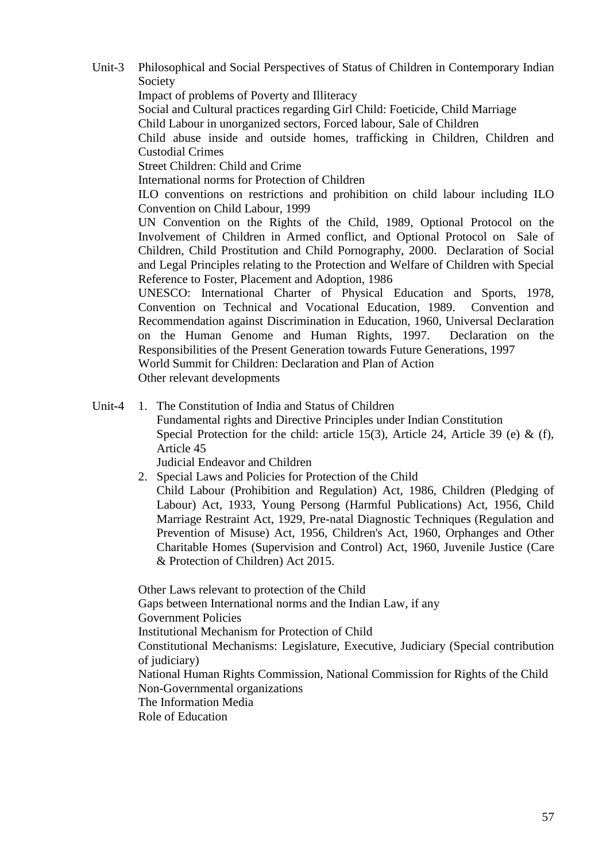Unit-3 Philosophical and Social Perspectives of Status of Children in Contemporary Indian Society Impact of problems of Poverty and Illiteracy Social and Cultural practices regarding Girl Child: Foeticide, Child Marriage Child Labour in unorganized sectors, Forced labour, Sale of Children Child abuse inside and outside homes, trafficking in Children, Children and Custodial Crimes Street Children: Child and Crime International norms for Protection of Children ILO conventions on restrictions and prohibition on child labour including ILO Convention on Child Labour, 1999 UN Convention on the Rights of the Child, 1989, Optional Protocol on the Involvement of Children in Armed conflict, and Optional Protocol on Sale of Children, Child Prostitution and Child Pornography, 2000. Declaration of Social and Legal Principles relating to the Protection and Welfare of Children with Special Reference to Foster, Placement and Adoption, 1986 UNESCO: International Charter of Physical Education and Sports, 1978, Convention on Technical and Vocational Education, 1989. Convention and Recommendation against Discrimination in Education, 1960, Universal Declaration on the Human Genome and Human Rights, 1997. Declaration on the Responsibilities of the Present Generation towards Future Generations, 1997 World Summit for Children: Declaration and Plan of Action

Other relevant developments

Unit-4 1. The Constitution of India and Status of Children

Fundamental rights and Directive Principles under Indian Constitution Special Protection for the child: article 15(3), Article 24, Article 39 (e)  $\&$  (f), Article 45

Judicial Endeavor and Children

2. Special Laws and Policies for Protection of the Child

Child Labour (Prohibition and Regulation) Act, 1986, Children (Pledging of Labour) Act, 1933, Young Persong (Harmful Publications) Act, 1956, Child Marriage Restraint Act, 1929, Pre-natal Diagnostic Techniques (Regulation and Prevention of Misuse) Act, 1956, Children's Act, 1960, Orphanges and Other Charitable Homes (Supervision and Control) Act, 1960, Juvenile Justice (Care & Protection of Children) Act 2015.

Other Laws relevant to protection of the Child Gaps between International norms and the Indian Law, if any Government Policies Institutional Mechanism for Protection of Child Constitutional Mechanisms: Legislature, Executive, Judiciary (Special contribution of judiciary) National Human Rights Commission, National Commission for Rights of the Child Non-Governmental organizations The Information Media Role of Education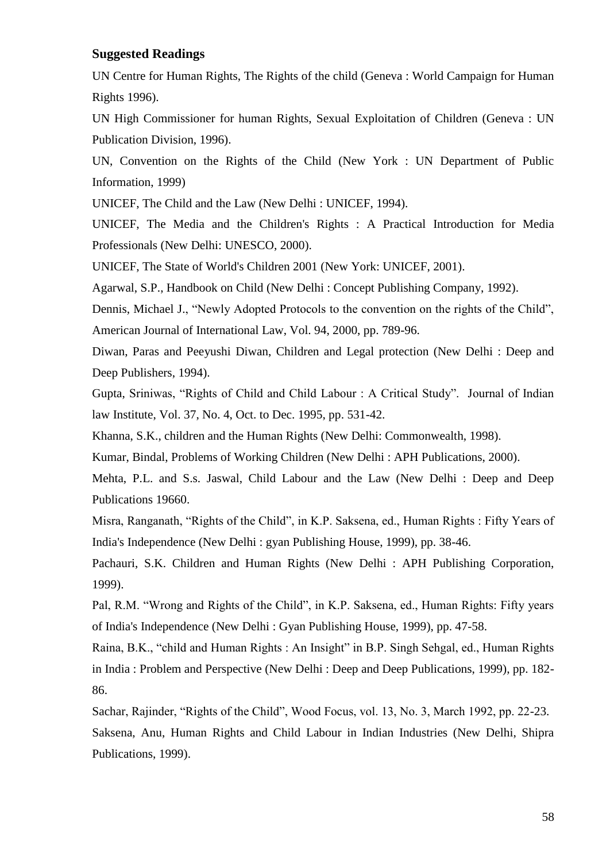#### **Suggested Readings**

UN Centre for Human Rights, The Rights of the child (Geneva : World Campaign for Human Rights 1996).

UN High Commissioner for human Rights, Sexual Exploitation of Children (Geneva : UN Publication Division, 1996).

UN, Convention on the Rights of the Child (New York : UN Department of Public Information, 1999)

UNICEF, The Child and the Law (New Delhi : UNICEF, 1994).

UNICEF, The Media and the Children's Rights : A Practical Introduction for Media Professionals (New Delhi: UNESCO, 2000).

UNICEF, The State of World's Children 2001 (New York: UNICEF, 2001).

Agarwal, S.P., Handbook on Child (New Delhi : Concept Publishing Company, 1992).

Dennis, Michael J., "Newly Adopted Protocols to the convention on the rights of the Child", American Journal of International Law, Vol. 94, 2000, pp. 789-96.

Diwan, Paras and Peeyushi Diwan, Children and Legal protection (New Delhi : Deep and Deep Publishers, 1994).

Gupta, Sriniwas, "Rights of Child and Child Labour : A Critical Study". Journal of Indian law Institute, Vol. 37, No. 4, Oct. to Dec. 1995, pp. 531-42.

Khanna, S.K., children and the Human Rights (New Delhi: Commonwealth, 1998).

Kumar, Bindal, Problems of Working Children (New Delhi : APH Publications, 2000).

Mehta, P.L. and S.s. Jaswal, Child Labour and the Law (New Delhi : Deep and Deep Publications 19660.

Misra, Ranganath, "Rights of the Child", in K.P. Saksena, ed., Human Rights : Fifty Years of India's Independence (New Delhi : gyan Publishing House, 1999), pp. 38-46.

Pachauri, S.K. Children and Human Rights (New Delhi : APH Publishing Corporation, 1999).

Pal, R.M. "Wrong and Rights of the Child", in K.P. Saksena, ed., Human Rights: Fifty years of India's Independence (New Delhi : Gyan Publishing House, 1999), pp. 47-58.

Raina, B.K., "child and Human Rights : An Insight" in B.P. Singh Sehgal, ed., Human Rights in India : Problem and Perspective (New Delhi : Deep and Deep Publications, 1999), pp. 182- 86.

Sachar, Rajinder, "Rights of the Child", Wood Focus, vol. 13, No. 3, March 1992, pp. 22-23. Saksena, Anu, Human Rights and Child Labour in Indian Industries (New Delhi, Shipra Publications, 1999).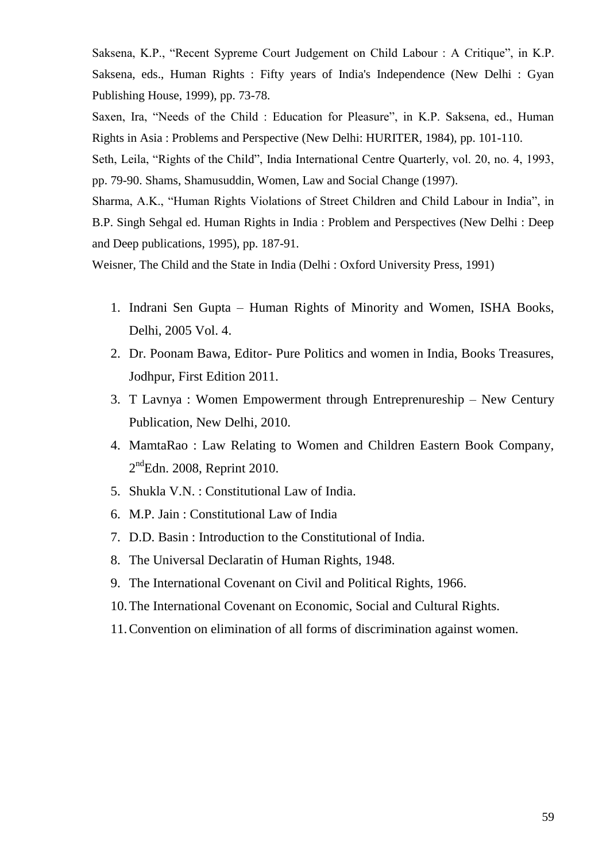Saksena, K.P., "Recent Sypreme Court Judgement on Child Labour : A Critique", in K.P. Saksena, eds., Human Rights : Fifty years of India's Independence (New Delhi : Gyan Publishing House, 1999), pp. 73-78.

Saxen, Ira, "Needs of the Child : Education for Pleasure", in K.P. Saksena, ed., Human Rights in Asia : Problems and Perspective (New Delhi: HURITER, 1984), pp. 101-110.

Seth, Leila, "Rights of the Child", India International Centre Quarterly, vol. 20, no. 4, 1993, pp. 79-90. Shams, Shamusuddin, Women, Law and Social Change (1997).

Sharma, A.K., "Human Rights Violations of Street Children and Child Labour in India", in B.P. Singh Sehgal ed. Human Rights in India : Problem and Perspectives (New Delhi : Deep and Deep publications, 1995), pp. 187-91.

Weisner, The Child and the State in India (Delhi : Oxford University Press, 1991)

- 1. Indrani Sen Gupta Human Rights of Minority and Women, ISHA Books, Delhi, 2005 Vol. 4.
- 2. Dr. Poonam Bawa, Editor- Pure Politics and women in India, Books Treasures, Jodhpur, First Edition 2011.
- 3. T Lavnya : Women Empowerment through Entreprenureship New Century Publication, New Delhi, 2010.
- 4. MamtaRao : Law Relating to Women and Children Eastern Book Company,  $2<sup>nd</sup>Edn. 2008$ , Reprint 2010.
- 5. Shukla V.N. : Constitutional Law of India.
- 6. M.P. Jain : Constitutional Law of India
- 7. D.D. Basin : Introduction to the Constitutional of India.
- 8. The Universal Declaratin of Human Rights, 1948.
- 9. The International Covenant on Civil and Political Rights, 1966.
- 10.The International Covenant on Economic, Social and Cultural Rights.
- 11.Convention on elimination of all forms of discrimination against women.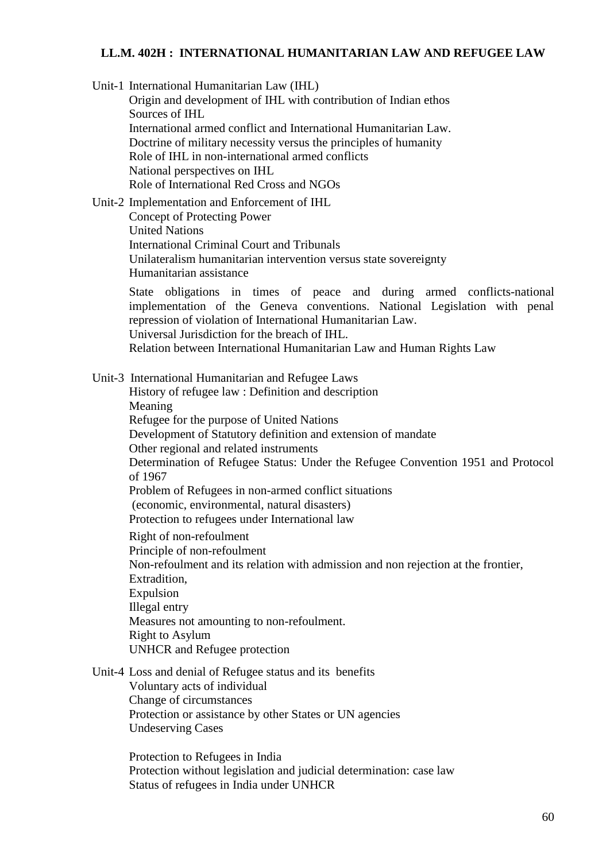#### **LL.M. 402H : INTERNATIONAL HUMANITARIAN LAW AND REFUGEE LAW**

Unit-1 International Humanitarian Law (IHL)

Origin and development of IHL with contribution of Indian ethos Sources of IHL International armed conflict and International Humanitarian Law. Doctrine of military necessity versus the principles of humanity Role of IHL in non-international armed conflicts National perspectives on IHL Role of International Red Cross and NGOs

Unit-2 Implementation and Enforcement of IHL

Concept of Protecting Power United Nations International Criminal Court and Tribunals Unilateralism humanitarian intervention versus state sovereignty Humanitarian assistance

State obligations in times of peace and during armed conflicts-national implementation of the Geneva conventions. National Legislation with penal repression of violation of International Humanitarian Law. Universal Jurisdiction for the breach of IHL.

Relation between International Humanitarian Law and Human Rights Law

Unit-3 International Humanitarian and Refugee Laws

History of refugee law : Definition and description Meaning Refugee for the purpose of United Nations Development of Statutory definition and extension of mandate Other regional and related instruments Determination of Refugee Status: Under the Refugee Convention 1951 and Protocol of 1967 Problem of Refugees in non-armed conflict situations (economic, environmental, natural disasters) Protection to refugees under International law Right of non-refoulment

Principle of non-refoulment Non-refoulment and its relation with admission and non rejection at the frontier, Extradition, Expulsion Illegal entry Measures not amounting to non-refoulment. Right to Asylum UNHCR and Refugee protection

Unit-4 Loss and denial of Refugee status and its benefits

Voluntary acts of individual Change of circumstances Protection or assistance by other States or UN agencies Undeserving Cases

Protection to Refugees in India Protection without legislation and judicial determination: case law Status of refugees in India under UNHCR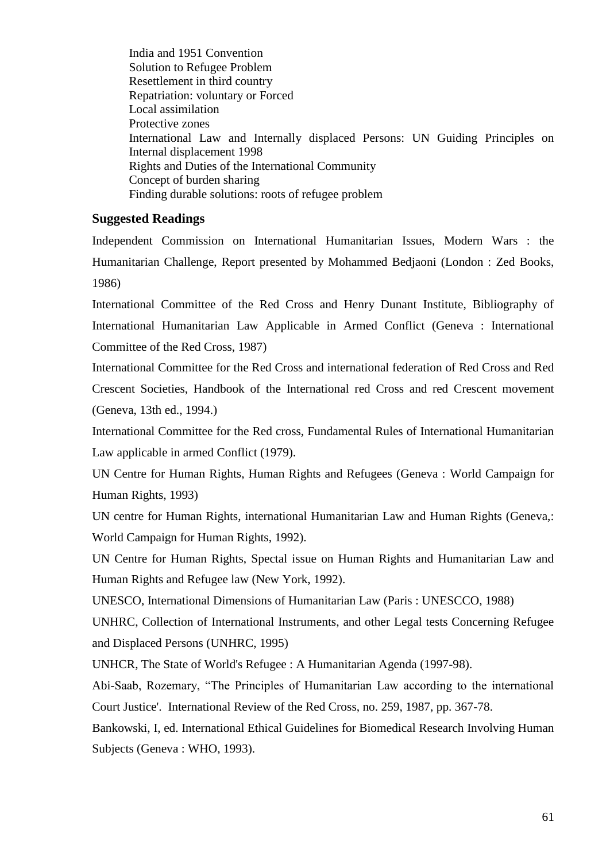India and 1951 Convention Solution to Refugee Problem Resettlement in third country Repatriation: voluntary or Forced Local assimilation Protective zones International Law and Internally displaced Persons: UN Guiding Principles on Internal displacement 1998 Rights and Duties of the International Community Concept of burden sharing Finding durable solutions: roots of refugee problem

#### **Suggested Readings**

Independent Commission on International Humanitarian Issues, Modern Wars : the Humanitarian Challenge, Report presented by Mohammed Bedjaoni (London : Zed Books, 1986)

International Committee of the Red Cross and Henry Dunant Institute, Bibliography of International Humanitarian Law Applicable in Armed Conflict (Geneva : International Committee of the Red Cross, 1987)

International Committee for the Red Cross and international federation of Red Cross and Red Crescent Societies, Handbook of the International red Cross and red Crescent movement (Geneva, 13th ed., 1994.)

International Committee for the Red cross, Fundamental Rules of International Humanitarian Law applicable in armed Conflict (1979).

UN Centre for Human Rights, Human Rights and Refugees (Geneva : World Campaign for Human Rights, 1993)

UN centre for Human Rights, international Humanitarian Law and Human Rights (Geneva,: World Campaign for Human Rights, 1992).

UN Centre for Human Rights, Spectal issue on Human Rights and Humanitarian Law and Human Rights and Refugee law (New York, 1992).

UNESCO, International Dimensions of Humanitarian Law (Paris : UNESCCO, 1988)

UNHRC, Collection of International Instruments, and other Legal tests Concerning Refugee and Displaced Persons (UNHRC, 1995)

UNHCR, The State of World's Refugee : A Humanitarian Agenda (1997-98).

Abi-Saab, Rozemary, "The Principles of Humanitarian Law according to the international Court Justice'. International Review of the Red Cross, no. 259, 1987, pp. 367-78.

Bankowski, I, ed. International Ethical Guidelines for Biomedical Research Involving Human Subjects (Geneva : WHO, 1993).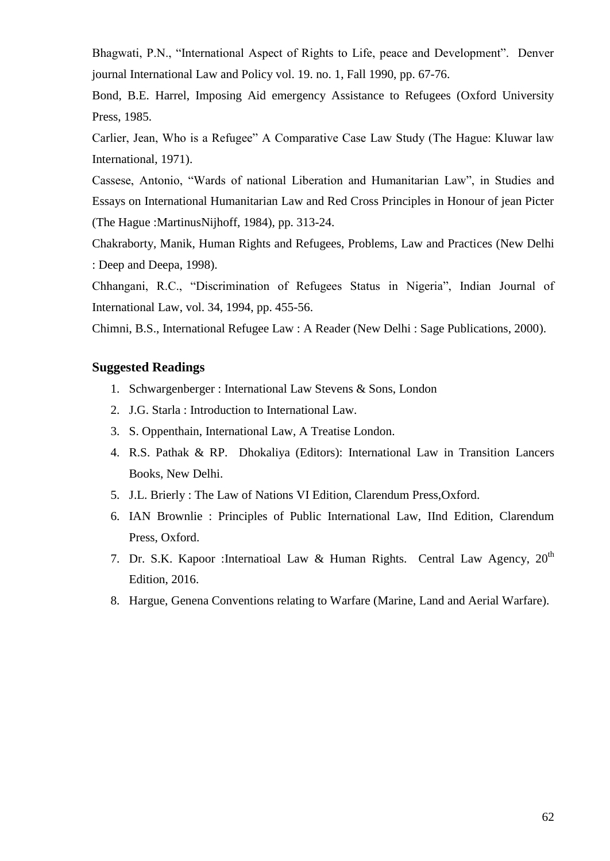Bhagwati, P.N., "International Aspect of Rights to Life, peace and Development". Denver journal International Law and Policy vol. 19. no. 1, Fall 1990, pp. 67-76.

Bond, B.E. Harrel, Imposing Aid emergency Assistance to Refugees (Oxford University Press, 1985.

Carlier, Jean, Who is a Refugee" A Comparative Case Law Study (The Hague: Kluwar law International, 1971).

Cassese, Antonio, "Wards of national Liberation and Humanitarian Law", in Studies and Essays on International Humanitarian Law and Red Cross Principles in Honour of jean Picter (The Hague :MartinusNijhoff, 1984), pp. 313-24.

Chakraborty, Manik, Human Rights and Refugees, Problems, Law and Practices (New Delhi : Deep and Deepa, 1998).

Chhangani, R.C., "Discrimination of Refugees Status in Nigeria", Indian Journal of International Law, vol. 34, 1994, pp. 455-56.

Chimni, B.S., International Refugee Law : A Reader (New Delhi : Sage Publications, 2000).

#### **Suggested Readings**

- 1. Schwargenberger : International Law Stevens & Sons, London
- 2. J.G. Starla : Introduction to International Law.
- 3. S. Oppenthain, International Law, A Treatise London.
- 4. R.S. Pathak & RP. Dhokaliya (Editors): International Law in Transition Lancers Books, New Delhi.
- 5. J.L. Brierly : The Law of Nations VI Edition, Clarendum Press,Oxford.
- 6. IAN Brownlie : Principles of Public International Law, IInd Edition, Clarendum Press, Oxford.
- 7. Dr. S.K. Kapoor : Internatioal Law & Human Rights. Central Law Agency, 20<sup>th</sup> Edition, 2016.
- 8. Hargue, Genena Conventions relating to Warfare (Marine, Land and Aerial Warfare).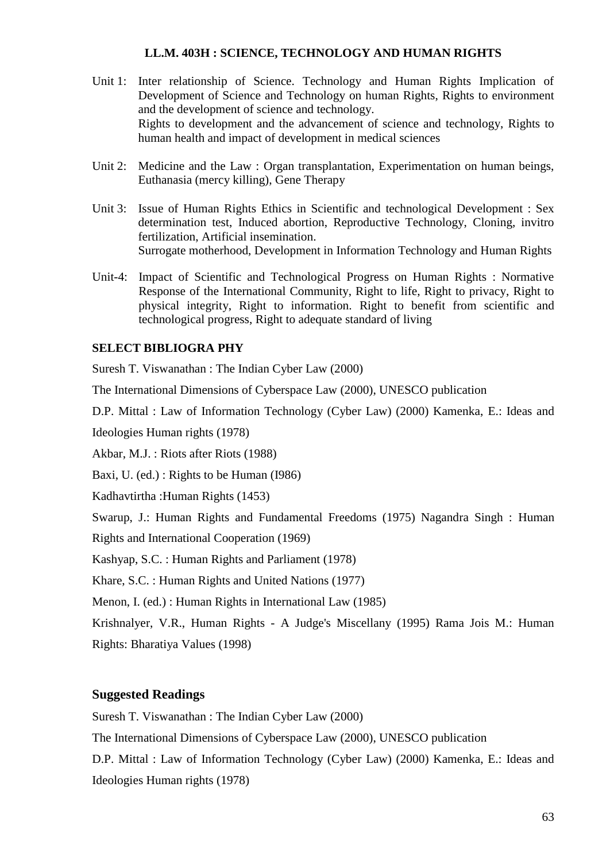#### **LL.M. 403H : SCIENCE, TECHNOLOGY AND HUMAN RIGHTS**

- Unit 1: Inter relationship of Science. Technology and Human Rights Implication of Development of Science and Technology on human Rights, Rights to environment and the development of science and technology. Rights to development and the advancement of science and technology, Rights to human health and impact of development in medical sciences
- Unit 2: Medicine and the Law : Organ transplantation, Experimentation on human beings, Euthanasia (mercy killing), Gene Therapy
- Unit 3: Issue of Human Rights Ethics in Scientific and technological Development : Sex determination test, Induced abortion, Reproductive Technology, Cloning, invitro fertilization, Artificial insemination. Surrogate motherhood, Development in Information Technology and Human Rights
- Unit-4: Impact of Scientific and Technological Progress on Human Rights : Normative Response of the International Community, Right to life, Right to privacy, Right to physical integrity, Right to information. Right to benefit from scientific and technological progress, Right to adequate standard of living

#### **SELECT BIBLIOGRA PHY**

Suresh T. Viswanathan : The Indian Cyber Law (2000)

The International Dimensions of Cyberspace Law (2000), UNESCO publication

D.P. Mittal : Law of Information Technology (Cyber Law) (2000) Kamenka, E.: Ideas and Ideologies Human rights (1978)

Akbar, M.J. : Riots after Riots (1988)

Baxi, U. (ed.) : Rights to be Human (I986)

Kadhavtirtha :Human Rights (1453)

Swarup, J.: Human Rights and Fundamental Freedoms (1975) Nagandra Singh : Human Rights and International Cooperation (1969)

Kashyap, S.C. : Human Rights and Parliament (1978)

Khare, S.C. : Human Rights and United Nations (1977)

Menon, I. (ed.) : Human Rights in International Law (1985)

Krishnalyer, V.R., Human Rights - A Judge's Miscellany (1995) Rama Jois M.: Human Rights: Bharatiya Values (1998)

#### **Suggested Readings**

Suresh T. Viswanathan : The Indian Cyber Law (2000)

The International Dimensions of Cyberspace Law (2000), UNESCO publication

D.P. Mittal : Law of Information Technology (Cyber Law) (2000) Kamenka, E.: Ideas and Ideologies Human rights (1978)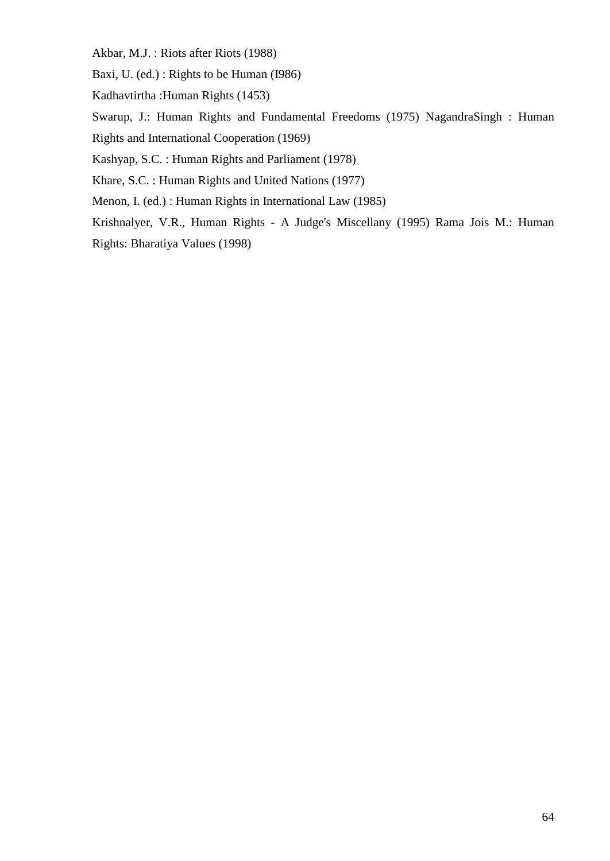Akbar, M.J. : Riots after Riots (1988)

Baxi, U. (ed.) : Rights to be Human (I986)

Kadhavtirtha :Human Rights (1453)

Swarup, J.: Human Rights and Fundamental Freedoms (1975) NagandraSingh : Human

Rights and International Cooperation (1969)

Kashyap, S.C. : Human Rights and Parliament (1978)

Khare, S.C. : Human Rights and United Nations (1977)

Menon, I. (ed.) : Human Rights in International Law (1985)

Krishnalyer, V.R., Human Rights - A Judge's Miscellany (1995) Rama Jois M.: Human Rights: Bharatiya Values (1998)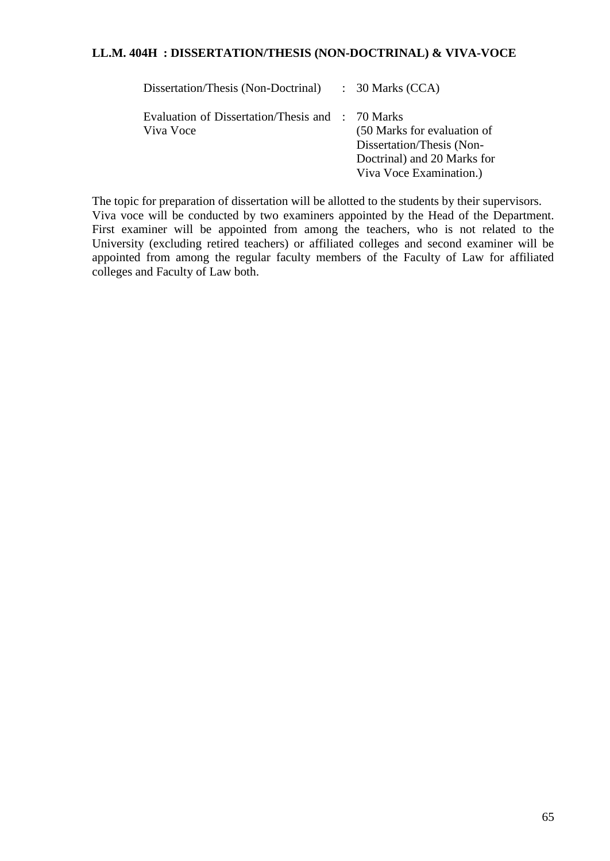### **LL.M. 404H : DISSERTATION/THESIS (NON-DOCTRINAL) & VIVA-VOCE**

| Dissertation/Thesis (Non-Doctrinal) : 30 Marks (CCA)          |                                                                                                                    |
|---------------------------------------------------------------|--------------------------------------------------------------------------------------------------------------------|
| Evaluation of Dissertation/Thesis and : 70 Marks<br>Viva Voce | (50 Marks for evaluation of<br>Dissertation/Thesis (Non-<br>Doctrinal) and 20 Marks for<br>Viva Voce Examination.) |

The topic for preparation of dissertation will be allotted to the students by their supervisors. Viva voce will be conducted by two examiners appointed by the Head of the Department. First examiner will be appointed from among the teachers, who is not related to the University (excluding retired teachers) or affiliated colleges and second examiner will be appointed from among the regular faculty members of the Faculty of Law for affiliated colleges and Faculty of Law both.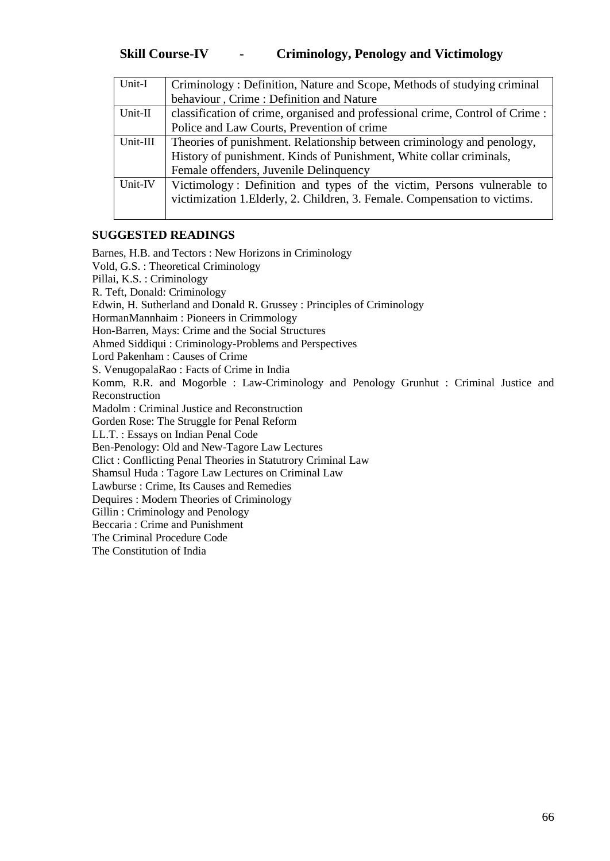| Unit-I   | Criminology: Definition, Nature and Scope, Methods of studying criminal      |
|----------|------------------------------------------------------------------------------|
|          | behaviour, Crime: Definition and Nature                                      |
| Unit-II  | classification of crime, organised and professional crime, Control of Crime: |
|          | Police and Law Courts, Prevention of crime                                   |
| Unit-III | Theories of punishment. Relationship between criminology and penology,       |
|          | History of punishment. Kinds of Punishment, White collar criminals,          |
|          | Female offenders, Juvenile Delinquency                                       |
| Unit-IV  | Victimology: Definition and types of the victim, Persons vulnerable to       |
|          | victimization 1. Elderly, 2. Children, 3. Female. Compensation to victims.   |
|          |                                                                              |

#### **SUGGESTED READINGS**

Barnes, H.B. and Tectors : New Horizons in Criminology Vold, G.S. : Theoretical Criminology Pillai, K.S. : Criminology R. Teft, Donald: Criminology Edwin, H. Sutherland and Donald R. Grussey : Principles of Criminology HormanMannhaim : Pioneers in Crimmology Hon-Barren, Mays: Crime and the Social Structures Ahmed Siddiqui : Criminology-Problems and Perspectives Lord Pakenham : Causes of Crime S. VenugopalaRao : Facts of Crime in India Komm, R.R. and Mogorble : Law-Criminology and Penology Grunhut : Criminal Justice and Reconstruction Madolm : Criminal Justice and Reconstruction Gorden Rose: The Struggle for Penal Reform LL.T. : Essays on Indian Penal Code Ben-Penology: Old and New-Tagore Law Lectures Clict : Conflicting Penal Theories in Statutrory Criminal Law Shamsul Huda : Tagore Law Lectures on Criminal Law Lawburse : Crime, Its Causes and Remedies Dequires : Modern Theories of Criminology Gillin : Criminology and Penology Beccaria : Crime and Punishment The Criminal Procedure Code The Constitution of India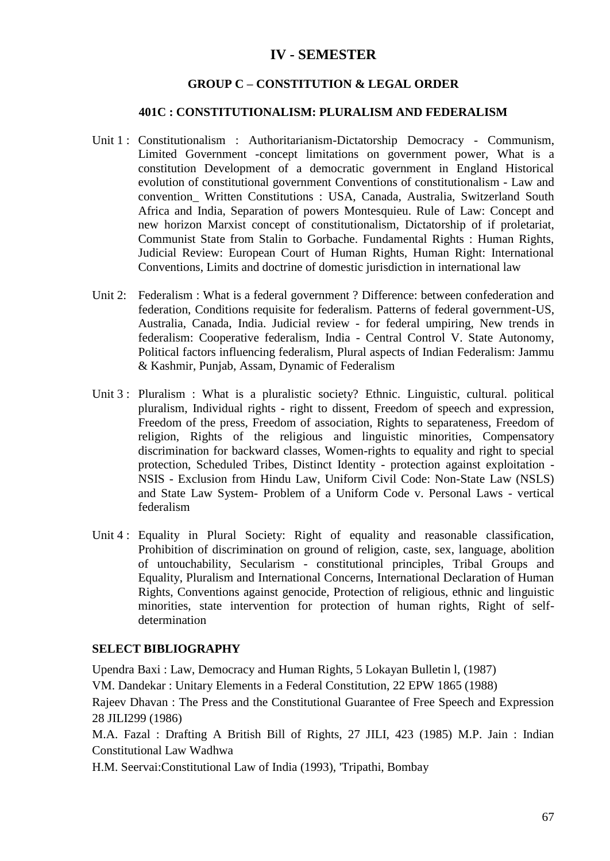# **IV - SEMESTER**

#### **GROUP C – CONSTITUTION & LEGAL ORDER**

#### **401C : CONSTITUTIONALISM: PLURALISM AND FEDERALISM**

- Unit 1 : Constitutionalism : Authoritarianism-Dictatorship Democracy Communism, Limited Government -concept limitations on government power, What is a constitution Development of a democratic government in England Historical evolution of constitutional government Conventions of constitutionalism - Law and convention\_ Written Constitutions : USA, Canada, Australia, Switzerland South Africa and India, Separation of powers Montesquieu. Rule of Law: Concept and new horizon Marxist concept of constitutionalism, Dictatorship of if proletariat, Communist State from Stalin to Gorbache. Fundamental Rights : Human Rights, Judicial Review: European Court of Human Rights, Human Right: International Conventions, Limits and doctrine of domestic jurisdiction in international law
- Unit 2: Federalism : What is a federal government ? Difference: between confederation and federation, Conditions requisite for federalism. Patterns of federal government-US, Australia, Canada, India. Judicial review - for federal umpiring, New trends in federalism: Cooperative federalism, India - Central Control V. State Autonomy, Political factors influencing federalism, Plural aspects of Indian Federalism: Jammu & Kashmir, Punjab, Assam, Dynamic of Federalism
- Unit 3 : Pluralism : What is a pluralistic society? Ethnic. Linguistic, cultural. political pluralism, Individual rights - right to dissent, Freedom of speech and expression, Freedom of the press, Freedom of association, Rights to separateness, Freedom of religion, Rights of the religious and linguistic minorities, Compensatory discrimination for backward classes, Women-rights to equality and right to special protection, Scheduled Tribes, Distinct Identity - protection against exploitation - NSIS - Exclusion from Hindu Law, Uniform Civil Code: Non-State Law (NSLS) and State Law System- Problem of a Uniform Code v. Personal Laws - vertical federalism
- Unit 4 : Equality in Plural Society: Right of equality and reasonable classification, Prohibition of discrimination on ground of religion, caste, sex, language, abolition of untouchability, Secularism - constitutional principles, Tribal Groups and Equality, Pluralism and International Concerns, International Declaration of Human Rights, Conventions against genocide, Protection of religious, ethnic and linguistic minorities, state intervention for protection of human rights, Right of selfdetermination

#### **SELECT BIBLIOGRAPHY**

Upendra Baxi : Law, Democracy and Human Rights, 5 Lokayan Bulletin l, (1987)

VM. Dandekar : Unitary Elements in a Federal Constitution, 22 EPW 1865 (1988)

Rajeev Dhavan : The Press and the Constitutional Guarantee of Free Speech and Expression 28 JILI299 (1986)

M.A. Fazal : Drafting A British Bill of Rights, 27 JILI, 423 (1985) M.P. Jain : Indian Constitutional Law Wadhwa

H.M. Seervai:Constitutional Law of India (1993), 'Tripathi, Bombay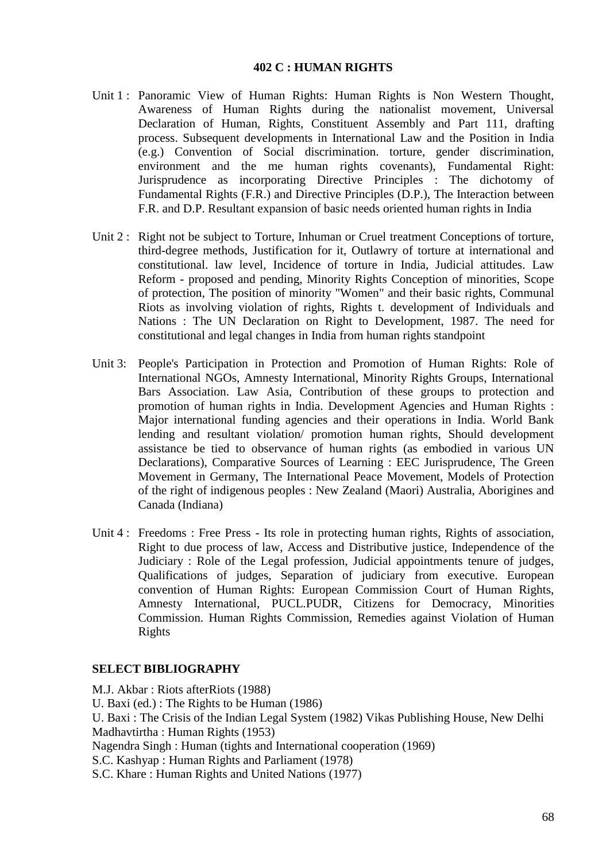#### **402 C : HUMAN RIGHTS**

- Unit 1 : Panoramic View of Human Rights: Human Rights is Non Western Thought, Awareness of Human Rights during the nationalist movement, Universal Declaration of Human, Rights, Constituent Assembly and Part 111, drafting process. Subsequent developments in International Law and the Position in India (e.g.) Convention of Social discrimination. torture, gender discrimination, environment and the me human rights covenants), Fundamental Right: Jurisprudence as incorporating Directive Principles : The dichotomy of Fundamental Rights (F.R.) and Directive Principles (D.P.), The Interaction between F.R. and D.P. Resultant expansion of basic needs oriented human rights in India
- Unit 2 : Right not be subject to Torture, Inhuman or Cruel treatment Conceptions of torture, third-degree methods, Justification for it, Outlawry of torture at international and constitutional. law level, Incidence of torture in India, Judicial attitudes. Law Reform - proposed and pending, Minority Rights Conception of minorities, Scope of protection, The position of minority "Women" and their basic rights, Communal Riots as involving violation of rights, Rights t. development of Individuals and Nations : The UN Declaration on Right to Development, 1987. The need for constitutional and legal changes in India from human rights standpoint
- Unit 3: People's Participation in Protection and Promotion of Human Rights: Role of International NGOs, Amnesty International, Minority Rights Groups, International Bars Association. Law Asia, Contribution of these groups to protection and promotion of human rights in India. Development Agencies and Human Rights : Major international funding agencies and their operations in India. World Bank lending and resultant violation/ promotion human rights, Should development assistance be tied to observance of human rights (as embodied in various UN Declarations), Comparative Sources of Learning : EEC Jurisprudence, The Green Movement in Germany, The International Peace Movement, Models of Protection of the right of indigenous peoples : New Zealand (Maori) Australia, Aborigines and Canada (Indiana)
- Unit 4 : Freedoms : Free Press Its role in protecting human rights, Rights of association, Right to due process of law, Access and Distributive justice, Independence of the Judiciary : Role of the Legal profession, Judicial appointments tenure of judges, Qualifications of judges, Separation of judiciary from executive. European convention of Human Rights: European Commission Court of Human Rights, Amnesty International, PUCL.PUDR, Citizens for Democracy, Minorities Commission. Human Rights Commission, Remedies against Violation of Human Rights

#### **SELECT BIBLIOGRAPHY**

M.J. Akbar : Riots afterRiots (1988) U. Baxi (ed.) : The Rights to be Human (1986) U. Baxi : The Crisis of the Indian Legal System (1982) Vikas Publishing House, New Delhi Madhavtirtha : Human Rights (1953) Nagendra Singh : Human (tights and International cooperation (1969) S.C. Kashyap : Human Rights and Parliament (1978) S.C. Khare : Human Rights and United Nations (1977)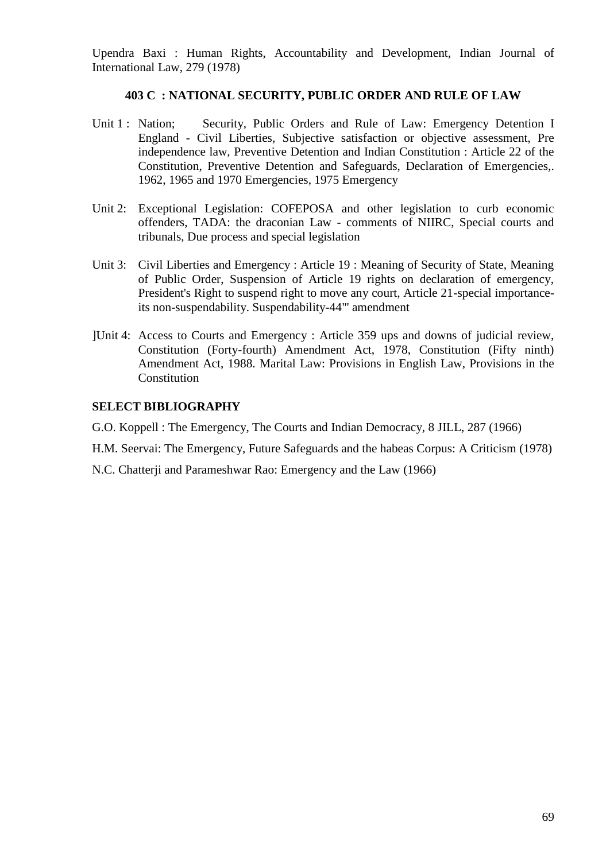Upendra Baxi : Human Rights, Accountability and Development, Indian Journal of International Law, 279 (1978)

### **403 C : NATIONAL SECURITY, PUBLIC ORDER AND RULE OF LAW**

- Unit 1 : Nation; Security, Public Orders and Rule of Law: Emergency Detention I England - Civil Liberties, Subjective satisfaction or objective assessment, Pre independence law, Preventive Detention and Indian Constitution : Article 22 of the Constitution, Preventive Detention and Safeguards, Declaration of Emergencies,. 1962, 1965 and 1970 Emergencies, 1975 Emergency
- Unit 2: Exceptional Legislation: COFEPOSA and other legislation to curb economic offenders, TADA: the draconian Law - comments of NIIRC, Special courts and tribunals, Due process and special legislation
- Unit 3: Civil Liberties and Emergency : Article 19 : Meaning of Security of State, Meaning of Public Order, Suspension of Article 19 rights on declaration of emergency, President's Right to suspend right to move any court, Article 21-special importanceits non-suspendability. Suspendability-44"' amendment
- ]Unit 4: Access to Courts and Emergency : Article 359 ups and downs of judicial review, Constitution (Forty-fourth) Amendment Act, 1978, Constitution (Fifty ninth) Amendment Act, 1988. Marital Law: Provisions in English Law, Provisions in the **Constitution**

#### **SELECT BIBLIOGRAPHY**

- G.O. Koppell : The Emergency, The Courts and Indian Democracy, 8 JILL, 287 (1966)
- H.M. Seervai: The Emergency, Future Safeguards and the habeas Corpus: A Criticism (1978)
- N.C. Chatterji and Parameshwar Rao: Emergency and the Law (1966)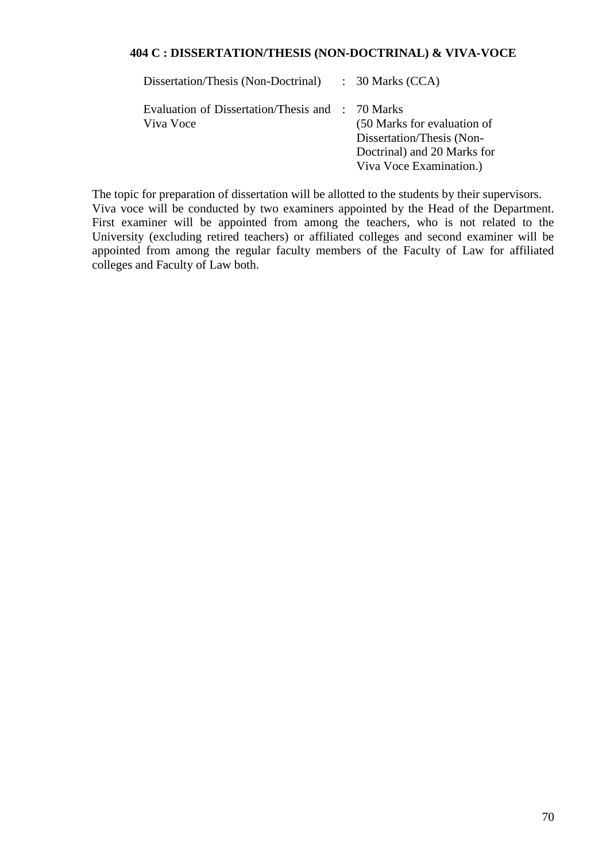#### **404 C : DISSERTATION/THESIS (NON-DOCTRINAL) & VIVA-VOCE**

| Dissertation/Thesis (Non-Doctrinal) : 30 Marks (CCA)          |                                                                                                                    |
|---------------------------------------------------------------|--------------------------------------------------------------------------------------------------------------------|
| Evaluation of Dissertation/Thesis and : 70 Marks<br>Viva Voce | (50 Marks for evaluation of<br>Dissertation/Thesis (Non-<br>Doctrinal) and 20 Marks for<br>Viva Voce Examination.) |

The topic for preparation of dissertation will be allotted to the students by their supervisors. Viva voce will be conducted by two examiners appointed by the Head of the Department. First examiner will be appointed from among the teachers, who is not related to the University (excluding retired teachers) or affiliated colleges and second examiner will be appointed from among the regular faculty members of the Faculty of Law for affiliated colleges and Faculty of Law both.